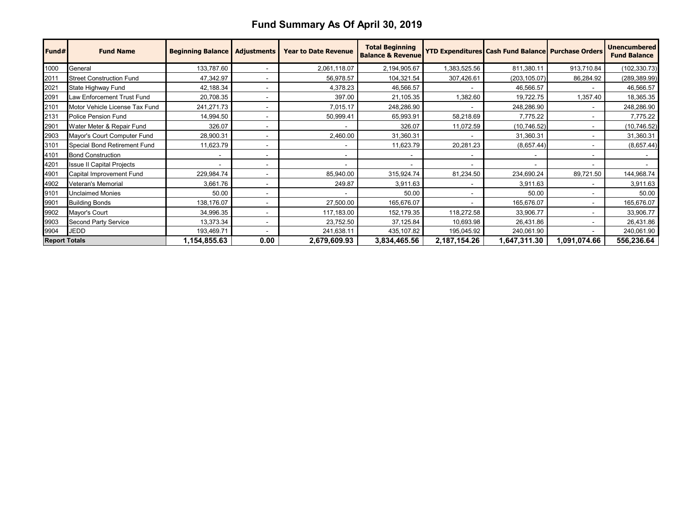## **Fund Summary As Of April 30, 2019**

| Fund#                | <b>Fund Name</b>                 | <b>Beginning Balance</b> | <b>Adjustments</b>       | <b>Year to Date Revenue</b> | <b>Total Beginning</b><br><b>Balance &amp; Revenue</b> |                          | <b>YTD Expenditures Cash Fund Balance Purchase Orders</b> |              | <b>Unencumbered</b><br><b>Fund Balance</b> |
|----------------------|----------------------------------|--------------------------|--------------------------|-----------------------------|--------------------------------------------------------|--------------------------|-----------------------------------------------------------|--------------|--------------------------------------------|
| 1000                 | General                          | 133,787.60               |                          | 2,061,118.07                | 2,194,905.67                                           | 1,383,525.56             | 811,380.11                                                | 913,710.84   | (102, 330.73)                              |
| 2011                 | <b>Street Construction Fund</b>  | 47,342.97                |                          | 56,978.57                   | 104,321.54                                             | 307,426.61               | (203, 105.07)                                             | 86,284.92    | (289, 389.99)                              |
| 2021                 | State Highway Fund               | 42,188.34                |                          | 4,378.23                    | 46,566.57                                              |                          | 46,566.57                                                 |              | 46,566.57                                  |
| 2091                 | Law Enforcement Trust Fund       | 20,708.35                |                          | 397.00                      | 21,105.35                                              | 1,382.60                 | 19,722.75                                                 | 1,357.40     | 18,365.35                                  |
| 2101                 | Motor Vehicle License Tax Fund   | 241,271.73               |                          | 7,015.17                    | 248,286.90                                             | $\overline{\phantom{a}}$ | 248,286.90                                                |              | 248,286.90                                 |
| 2131                 | Police Pension Fund              | 14,994.50                |                          | 50,999.41                   | 65,993.91                                              | 58,218.69                | 7,775.22                                                  |              | 7,775.22                                   |
| 2901                 | Water Meter & Repair Fund        | 326.07                   |                          |                             | 326.07                                                 | 11,072.59                | (10,746.52)                                               |              | (10, 746.52)                               |
| 2903                 | Mayor's Court Computer Fund      | 28,900.31                |                          | 2,460.00                    | 31,360.31                                              |                          | 31,360.31                                                 |              | 31,360.31                                  |
| 3101                 | Special Bond Retirement Fund     | 11,623.79                |                          |                             | 11,623.79                                              | 20,281.23                | (8,657.44)                                                |              | (8,657.44)                                 |
| 4101                 | <b>Bond Construction</b>         |                          |                          |                             |                                                        |                          |                                                           |              |                                            |
| 4201                 | <b>Issue II Capital Projects</b> |                          |                          |                             |                                                        | $\overline{\phantom{a}}$ |                                                           |              |                                            |
| 4901                 | Capital Improvement Fund         | 229,984.74               |                          | 85,940.00                   | 315,924.74                                             | 81,234.50                | 234,690.24                                                | 89,721.50    | 144,968.74                                 |
| 4902                 | Veteran's Memorial               | 3,661.76                 | $\overline{\phantom{0}}$ | 249.87                      | 3,911.63                                               | $\blacksquare$           | 3,911.63                                                  |              | 3,911.63                                   |
| 9101                 | <b>Unclaimed Monies</b>          | 50.00                    |                          |                             | 50.00                                                  | $\blacksquare$           | 50.00                                                     |              | 50.00                                      |
| 9901                 | <b>Building Bonds</b>            | 138,176.07               |                          | 27,500.00                   | 165,676.07                                             |                          | 165,676.07                                                |              | 165,676.07                                 |
| 9902                 | Mayor's Court                    | 34,996.35                |                          | 117,183.00                  | 152, 179.35                                            | 118,272.58               | 33,906.77                                                 |              | 33,906.77                                  |
| 9903                 | Second Party Service             | 13,373.34                | ۰                        | 23,752.50                   | 37,125.84                                              | 10,693.98                | 26,431.86                                                 |              | 26,431.86                                  |
| 9904                 | <b>JEDD</b>                      | 193,469.71               |                          | 241,638.11                  | 435, 107.82                                            | 195,045.92               | 240,061.90                                                |              | 240,061.90                                 |
| <b>Report Totals</b> |                                  | 1,154,855.63             | 0.00                     | 2,679,609.93                | 3,834,465.56                                           | 2,187,154.26             | 1,647,311.30                                              | 1,091,074.66 | 556,236.64                                 |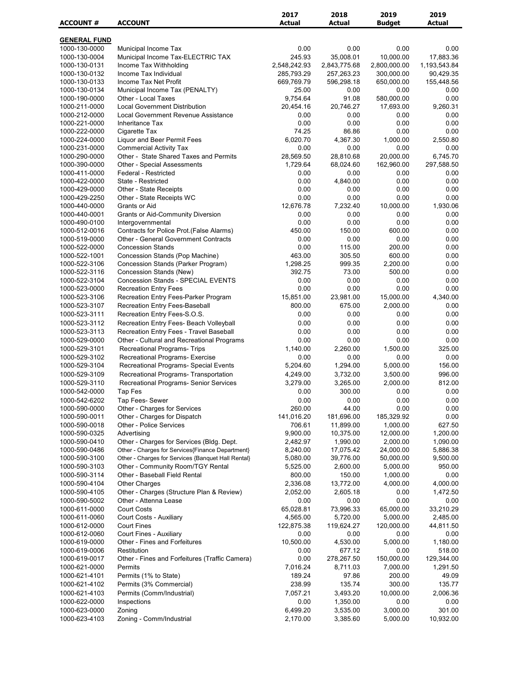| <b>GENERAL FUND</b><br>0.00<br>1000-130-0000<br>Municipal Income Tax<br>0.00<br>0.00<br>0.00<br>245.93<br>35,008.01<br>10,000.00<br>17,883.36<br>1000-130-0004<br>Municipal Income Tax-ELECTRIC TAX<br>2,548,242.93<br>2,800,000.00<br>1000-130-0131<br>Income Tax Withholding<br>2,843,775.68<br>1,193,543.84<br>Income Tax Individual<br>285,793.29<br>257,263.23<br>300,000.00<br>90,429.35<br>1000-130-0132<br>1000-130-0133<br>Income Tax Net Profit<br>669,769.79<br>596,298.18<br>650,000.00<br>155,448.56<br>25.00<br>1000-130-0134<br>Municipal Income Tax (PENALTY)<br>0.00<br>0.00<br>0.00<br>9,754.64<br>0.00<br>1000-190-0000<br>Other - Local Taxes<br>91.08<br>580,000.00<br>1000-211-0000<br><b>Local Government Distribution</b><br>20,454.16<br>20,746.27<br>17,693.00<br>9,260.31<br>Local Government Revenue Assistance<br>1000-212-0000<br>0.00<br>0.00<br>0.00<br>0.00<br>0.00<br>0.00<br>0.00<br>1000-221-0000<br><b>Inheritance Tax</b><br>0.00<br>74.25<br>86.86<br>0.00<br>0.00<br>1000-222-0000<br>Cigarette Tax<br>6,020.70<br>1000-224-0000<br>Liquor and Beer Permit Fees<br>4,367.30<br>1,000.00<br>2,550.80<br>1000-231-0000<br><b>Commercial Activity Tax</b><br>0.00<br>0.00<br>0.00<br>0.00<br>28,569.50<br>20,000.00<br>6,745.70<br>1000-290-0000<br>Other - State Shared Taxes and Permits<br>28,810.68<br>1000-390-0000<br>1,729.64<br>68,024.60<br>162,960.00<br>297,588.50<br><b>Other - Special Assessments</b><br>0.00<br>0.00<br>1000-411-0000<br>Federal - Restricted<br>0.00<br>0.00<br>1000-422-0000<br>State - Restricted<br>0.00<br>4,840.00<br>0.00<br>0.00<br>0.00<br>0.00<br>1000-429-0000<br>Other - State Receipts<br>0.00<br>0.00<br>0.00<br>1000-429-2250<br>Other - State Receipts WC<br>0.00<br>0.00<br>0.00<br>12,676.78<br>7,232.40<br>10,000.00<br>1,930.06<br>1000-440-0000<br>Grants or Aid<br>0.00<br>1000-440-0001<br><b>Grants or Aid-Community Diversion</b><br>0.00<br>0.00<br>0.00<br>0.00<br>0.00<br>0.00<br>0.00<br>1000-490-0100<br>Intergovernmental<br>1000-512-0016<br>Contracts for Police Prot. (False Alarms)<br>450.00<br>150.00<br>600.00<br>0.00<br>0.00<br>0.00<br>1000-519-0000<br><b>Other - General Government Contracts</b><br>0.00<br>0.00<br>1000-522-0000<br><b>Concession Stands</b><br>0.00<br>115.00<br>200.00<br>0.00<br>1000-522-1001<br>463.00<br>600.00<br>0.00<br>Concession Stands (Pop Machine)<br>305.50<br>1000-522-3106<br>Concession Stands (Parker Program)<br>1,298.25<br>999.35<br>2,200.00<br>0.00<br>392.75<br>500.00<br>0.00<br>1000-522-3116<br>Concession Stands (New)<br>73.00<br><b>Concession Stands - SPECIAL EVENTS</b><br>1000-522-3104<br>0.00<br>0.00<br>0.00<br>0.00<br>1000-523-0000<br><b>Recreation Entry Fees</b><br>0.00<br>0.00<br>0.00<br>0.00<br>15,851.00<br>15,000.00<br>1000-523-3106<br>Recreation Entry Fees-Parker Program<br>23,981.00<br>4,340.00<br>675.00<br>1000-523-3107<br>Recreation Entry Fees-Baseball<br>800.00<br>2,000.00<br>0.00<br>Recreation Entry Fees-S.O.S.<br>0.00<br>1000-523-3111<br>0.00<br>0.00<br>0.00<br>Recreation Entry Fees- Beach Volleyball<br>0.00<br>0.00<br>0.00<br>1000-523-3112<br>0.00<br>Recreation Entry Fees - Travel Baseball<br>1000-523-3113<br>0.00<br>0.00<br>0.00<br>0.00<br>0.00<br>0.00<br>0.00<br>0.00<br>1000-529-0000<br>Other - Cultural and Recreational Programs<br>1,140.00<br>1,500.00<br>1000-529-3101<br>Recreational Programs- Trips<br>2,260.00<br>325.00<br>1000-529-3102<br>Recreational Programs- Exercise<br>0.00<br>0.00<br>0.00<br>0.00<br>5,000.00<br>156.00<br>1000-529-3104<br>Recreational Programs- Special Events<br>5,204.60<br>1,294.00<br>1000-529-3109<br>Recreational Programs- Transportation<br>4,249.00<br>3,732.00<br>3,500.00<br>996.00<br>2,000.00<br>1000-529-3110<br>Recreational Programs- Senior Services<br>3,279.00<br>3,265.00<br>812.00<br>300.00<br>1000-542-0000<br>Tap Fes<br>0.00<br>0.00<br>0.00<br>0.00<br>1000-542-6202<br>Tap Fees- Sewer<br>0.00<br>0.00<br>0.00<br>44.00<br>0.00<br>1000-590-0000<br>Other - Charges for Services<br>260.00<br>0.00<br>141,016.20<br>0.00<br>1000-590-0011<br>Other - Charges for Dispatch<br>181,696.00<br>185,329.92<br>706.61<br>11,899.00<br>1,000.00<br>627.50<br>1000-590-0018<br>Other - Police Services<br>1000-590-0325<br>Advertising<br>9,900.00<br>10,375.00<br>12,000.00<br>1,200.00<br>1000-590-0410<br>Other - Charges for Services (Bldg. Dept.<br>2,482.97<br>1,990.00<br>2,000.00<br>1,090.00<br>1000-590-0486<br>Other - Charges for Services{Finance Department}<br>8,240.00<br>17,075.42<br>24,000.00<br>5,886.38<br>1000-590-3100<br>Other - Charges for Services {Banquet Hall Rental}<br>5,080.00<br>39,776.00<br>50,000.00<br>9,500.00<br>Other - Community Room/TGY Rental<br>2,600.00<br>5,000.00<br>950.00<br>1000-590-3103<br>5,525.00<br>Other - Baseball Field Rental<br>800.00<br>150.00<br>1,000.00<br>0.00<br>1000-590-3114<br>1000-590-4104<br><b>Other Charges</b><br>2,336.08<br>13,772.00<br>4,000.00<br>4,000.00<br>Other - Charges (Structure Plan & Review)<br>2,052.00<br>2,605.18<br>1,472.50<br>1000-590-4105<br>0.00<br>0.00<br>0.00<br>0.00<br>1000-590-5002<br>Other - Attenna Lease<br>0.00<br><b>Court Costs</b><br>65,028.81<br>1000-611-0000<br>73,996.33<br>65,000.00<br>33,210.29<br>1000-611-0060<br>Court Costs - Auxiliary<br>4,565.00<br>5,720.00<br>5,000.00<br>2,485.00<br>1000-612-0000<br><b>Court Fines</b><br>122,875.38<br>119,624.27<br>120,000.00<br>44,811.50<br>Court Fines - Auxiliary<br>1000-612-0060<br>0.00<br>0.00<br>0.00<br>0.00<br>Other - Fines and Forfeitures<br>1000-619-0000<br>10,500.00<br>4,530.00<br>5,000.00<br>1,180.00<br>1000-619-0006<br>Restitution<br>0.00<br>677.12<br>0.00<br>518.00<br>Other - Fines and Forfeitures (Traffic Camera)<br>0.00<br>278,267.50<br>150,000.00<br>129,344.00<br>1000-619-0017<br>1000-621-0000<br>Permits<br>7,016.24<br>8,711.03<br>7,000.00<br>1,291.50<br>Permits (1% to State)<br>189.24<br>97.86<br>200.00<br>49.09<br>1000-621-4101<br>1000-621-4102<br>Permits (3% Commercial)<br>238.99<br>135.74<br>300.00<br>135.77<br>Permits (Comm/Industrial)<br>7,057.21<br>1000-621-4103<br>3,493.20<br>10,000.00<br>2,006.36<br>0.00<br>1000-622-0000<br>Inspections<br>1,350.00<br>0.00<br>0.00<br>6,499.20<br>1000-623-0000<br>Zoning<br>3,535.00<br>3,000.00<br>301.00<br>1000-623-4103<br>Zoning - Comm/Industrial<br>2,170.00<br>5,000.00<br>10,932.00<br>3,385.60 | <b>ACCOUNT#</b> | <b>ACCOUNT</b> | 2017<br><b>Actual</b> | 2018<br><b>Actual</b> | 2019<br><b>Budget</b> | 2019<br><b>Actual</b> |
|------------------------------------------------------------------------------------------------------------------------------------------------------------------------------------------------------------------------------------------------------------------------------------------------------------------------------------------------------------------------------------------------------------------------------------------------------------------------------------------------------------------------------------------------------------------------------------------------------------------------------------------------------------------------------------------------------------------------------------------------------------------------------------------------------------------------------------------------------------------------------------------------------------------------------------------------------------------------------------------------------------------------------------------------------------------------------------------------------------------------------------------------------------------------------------------------------------------------------------------------------------------------------------------------------------------------------------------------------------------------------------------------------------------------------------------------------------------------------------------------------------------------------------------------------------------------------------------------------------------------------------------------------------------------------------------------------------------------------------------------------------------------------------------------------------------------------------------------------------------------------------------------------------------------------------------------------------------------------------------------------------------------------------------------------------------------------------------------------------------------------------------------------------------------------------------------------------------------------------------------------------------------------------------------------------------------------------------------------------------------------------------------------------------------------------------------------------------------------------------------------------------------------------------------------------------------------------------------------------------------------------------------------------------------------------------------------------------------------------------------------------------------------------------------------------------------------------------------------------------------------------------------------------------------------------------------------------------------------------------------------------------------------------------------------------------------------------------------------------------------------------------------------------------------------------------------------------------------------------------------------------------------------------------------------------------------------------------------------------------------------------------------------------------------------------------------------------------------------------------------------------------------------------------------------------------------------------------------------------------------------------------------------------------------------------------------------------------------------------------------------------------------------------------------------------------------------------------------------------------------------------------------------------------------------------------------------------------------------------------------------------------------------------------------------------------------------------------------------------------------------------------------------------------------------------------------------------------------------------------------------------------------------------------------------------------------------------------------------------------------------------------------------------------------------------------------------------------------------------------------------------------------------------------------------------------------------------------------------------------------------------------------------------------------------------------------------------------------------------------------------------------------------------------------------------------------------------------------------------------------------------------------------------------------------------------------------------------------------------------------------------------------------------------------------------------------------------------------------------------------------------------------------------------------------------------------------------------------------------------------------------------------------------------------------------------------------------------------------------------------------------------------------------------------------------------------------------------------------------------------------------------------------------------------------------------------------------------------------------------------------------------------------------------------------------------------------------------------------------------------------------------------------------------------------------------------------------------------------------------------------------------------------------------------------------------------------------------------------------------------------------------------------------------------------------------------------------------------------------------------------------------------------------------------------------------------------------------------------------------------------------------------------------------------------------------------------------------------------------------------------------------------------------------------------------------------------------------------------|-----------------|----------------|-----------------------|-----------------------|-----------------------|-----------------------|
|                                                                                                                                                                                                                                                                                                                                                                                                                                                                                                                                                                                                                                                                                                                                                                                                                                                                                                                                                                                                                                                                                                                                                                                                                                                                                                                                                                                                                                                                                                                                                                                                                                                                                                                                                                                                                                                                                                                                                                                                                                                                                                                                                                                                                                                                                                                                                                                                                                                                                                                                                                                                                                                                                                                                                                                                                                                                                                                                                                                                                                                                                                                                                                                                                                                                                                                                                                                                                                                                                                                                                                                                                                                                                                                                                                                                                                                                                                                                                                                                                                                                                                                                                                                                                                                                                                                                                                                                                                                                                                                                                                                                                                                                                                                                                                                                                                                                                                                                                                                                                                                                                                                                                                                                                                                                                                                                                                                                                                                                                                                                                                                                                                                                                                                                                                                                                                                                                                                                                                                                                                                                                                                                                                                                                                                                                                                                                                                                                                                                              |                 |                |                       |                       |                       |                       |
|                                                                                                                                                                                                                                                                                                                                                                                                                                                                                                                                                                                                                                                                                                                                                                                                                                                                                                                                                                                                                                                                                                                                                                                                                                                                                                                                                                                                                                                                                                                                                                                                                                                                                                                                                                                                                                                                                                                                                                                                                                                                                                                                                                                                                                                                                                                                                                                                                                                                                                                                                                                                                                                                                                                                                                                                                                                                                                                                                                                                                                                                                                                                                                                                                                                                                                                                                                                                                                                                                                                                                                                                                                                                                                                                                                                                                                                                                                                                                                                                                                                                                                                                                                                                                                                                                                                                                                                                                                                                                                                                                                                                                                                                                                                                                                                                                                                                                                                                                                                                                                                                                                                                                                                                                                                                                                                                                                                                                                                                                                                                                                                                                                                                                                                                                                                                                                                                                                                                                                                                                                                                                                                                                                                                                                                                                                                                                                                                                                                                              |                 |                |                       |                       |                       |                       |
|                                                                                                                                                                                                                                                                                                                                                                                                                                                                                                                                                                                                                                                                                                                                                                                                                                                                                                                                                                                                                                                                                                                                                                                                                                                                                                                                                                                                                                                                                                                                                                                                                                                                                                                                                                                                                                                                                                                                                                                                                                                                                                                                                                                                                                                                                                                                                                                                                                                                                                                                                                                                                                                                                                                                                                                                                                                                                                                                                                                                                                                                                                                                                                                                                                                                                                                                                                                                                                                                                                                                                                                                                                                                                                                                                                                                                                                                                                                                                                                                                                                                                                                                                                                                                                                                                                                                                                                                                                                                                                                                                                                                                                                                                                                                                                                                                                                                                                                                                                                                                                                                                                                                                                                                                                                                                                                                                                                                                                                                                                                                                                                                                                                                                                                                                                                                                                                                                                                                                                                                                                                                                                                                                                                                                                                                                                                                                                                                                                                                              |                 |                |                       |                       |                       |                       |
|                                                                                                                                                                                                                                                                                                                                                                                                                                                                                                                                                                                                                                                                                                                                                                                                                                                                                                                                                                                                                                                                                                                                                                                                                                                                                                                                                                                                                                                                                                                                                                                                                                                                                                                                                                                                                                                                                                                                                                                                                                                                                                                                                                                                                                                                                                                                                                                                                                                                                                                                                                                                                                                                                                                                                                                                                                                                                                                                                                                                                                                                                                                                                                                                                                                                                                                                                                                                                                                                                                                                                                                                                                                                                                                                                                                                                                                                                                                                                                                                                                                                                                                                                                                                                                                                                                                                                                                                                                                                                                                                                                                                                                                                                                                                                                                                                                                                                                                                                                                                                                                                                                                                                                                                                                                                                                                                                                                                                                                                                                                                                                                                                                                                                                                                                                                                                                                                                                                                                                                                                                                                                                                                                                                                                                                                                                                                                                                                                                                                              |                 |                |                       |                       |                       |                       |
|                                                                                                                                                                                                                                                                                                                                                                                                                                                                                                                                                                                                                                                                                                                                                                                                                                                                                                                                                                                                                                                                                                                                                                                                                                                                                                                                                                                                                                                                                                                                                                                                                                                                                                                                                                                                                                                                                                                                                                                                                                                                                                                                                                                                                                                                                                                                                                                                                                                                                                                                                                                                                                                                                                                                                                                                                                                                                                                                                                                                                                                                                                                                                                                                                                                                                                                                                                                                                                                                                                                                                                                                                                                                                                                                                                                                                                                                                                                                                                                                                                                                                                                                                                                                                                                                                                                                                                                                                                                                                                                                                                                                                                                                                                                                                                                                                                                                                                                                                                                                                                                                                                                                                                                                                                                                                                                                                                                                                                                                                                                                                                                                                                                                                                                                                                                                                                                                                                                                                                                                                                                                                                                                                                                                                                                                                                                                                                                                                                                                              |                 |                |                       |                       |                       |                       |
|                                                                                                                                                                                                                                                                                                                                                                                                                                                                                                                                                                                                                                                                                                                                                                                                                                                                                                                                                                                                                                                                                                                                                                                                                                                                                                                                                                                                                                                                                                                                                                                                                                                                                                                                                                                                                                                                                                                                                                                                                                                                                                                                                                                                                                                                                                                                                                                                                                                                                                                                                                                                                                                                                                                                                                                                                                                                                                                                                                                                                                                                                                                                                                                                                                                                                                                                                                                                                                                                                                                                                                                                                                                                                                                                                                                                                                                                                                                                                                                                                                                                                                                                                                                                                                                                                                                                                                                                                                                                                                                                                                                                                                                                                                                                                                                                                                                                                                                                                                                                                                                                                                                                                                                                                                                                                                                                                                                                                                                                                                                                                                                                                                                                                                                                                                                                                                                                                                                                                                                                                                                                                                                                                                                                                                                                                                                                                                                                                                                                              |                 |                |                       |                       |                       |                       |
|                                                                                                                                                                                                                                                                                                                                                                                                                                                                                                                                                                                                                                                                                                                                                                                                                                                                                                                                                                                                                                                                                                                                                                                                                                                                                                                                                                                                                                                                                                                                                                                                                                                                                                                                                                                                                                                                                                                                                                                                                                                                                                                                                                                                                                                                                                                                                                                                                                                                                                                                                                                                                                                                                                                                                                                                                                                                                                                                                                                                                                                                                                                                                                                                                                                                                                                                                                                                                                                                                                                                                                                                                                                                                                                                                                                                                                                                                                                                                                                                                                                                                                                                                                                                                                                                                                                                                                                                                                                                                                                                                                                                                                                                                                                                                                                                                                                                                                                                                                                                                                                                                                                                                                                                                                                                                                                                                                                                                                                                                                                                                                                                                                                                                                                                                                                                                                                                                                                                                                                                                                                                                                                                                                                                                                                                                                                                                                                                                                                                              |                 |                |                       |                       |                       |                       |
|                                                                                                                                                                                                                                                                                                                                                                                                                                                                                                                                                                                                                                                                                                                                                                                                                                                                                                                                                                                                                                                                                                                                                                                                                                                                                                                                                                                                                                                                                                                                                                                                                                                                                                                                                                                                                                                                                                                                                                                                                                                                                                                                                                                                                                                                                                                                                                                                                                                                                                                                                                                                                                                                                                                                                                                                                                                                                                                                                                                                                                                                                                                                                                                                                                                                                                                                                                                                                                                                                                                                                                                                                                                                                                                                                                                                                                                                                                                                                                                                                                                                                                                                                                                                                                                                                                                                                                                                                                                                                                                                                                                                                                                                                                                                                                                                                                                                                                                                                                                                                                                                                                                                                                                                                                                                                                                                                                                                                                                                                                                                                                                                                                                                                                                                                                                                                                                                                                                                                                                                                                                                                                                                                                                                                                                                                                                                                                                                                                                                              |                 |                |                       |                       |                       |                       |
|                                                                                                                                                                                                                                                                                                                                                                                                                                                                                                                                                                                                                                                                                                                                                                                                                                                                                                                                                                                                                                                                                                                                                                                                                                                                                                                                                                                                                                                                                                                                                                                                                                                                                                                                                                                                                                                                                                                                                                                                                                                                                                                                                                                                                                                                                                                                                                                                                                                                                                                                                                                                                                                                                                                                                                                                                                                                                                                                                                                                                                                                                                                                                                                                                                                                                                                                                                                                                                                                                                                                                                                                                                                                                                                                                                                                                                                                                                                                                                                                                                                                                                                                                                                                                                                                                                                                                                                                                                                                                                                                                                                                                                                                                                                                                                                                                                                                                                                                                                                                                                                                                                                                                                                                                                                                                                                                                                                                                                                                                                                                                                                                                                                                                                                                                                                                                                                                                                                                                                                                                                                                                                                                                                                                                                                                                                                                                                                                                                                                              |                 |                |                       |                       |                       |                       |
|                                                                                                                                                                                                                                                                                                                                                                                                                                                                                                                                                                                                                                                                                                                                                                                                                                                                                                                                                                                                                                                                                                                                                                                                                                                                                                                                                                                                                                                                                                                                                                                                                                                                                                                                                                                                                                                                                                                                                                                                                                                                                                                                                                                                                                                                                                                                                                                                                                                                                                                                                                                                                                                                                                                                                                                                                                                                                                                                                                                                                                                                                                                                                                                                                                                                                                                                                                                                                                                                                                                                                                                                                                                                                                                                                                                                                                                                                                                                                                                                                                                                                                                                                                                                                                                                                                                                                                                                                                                                                                                                                                                                                                                                                                                                                                                                                                                                                                                                                                                                                                                                                                                                                                                                                                                                                                                                                                                                                                                                                                                                                                                                                                                                                                                                                                                                                                                                                                                                                                                                                                                                                                                                                                                                                                                                                                                                                                                                                                                                              |                 |                |                       |                       |                       |                       |
|                                                                                                                                                                                                                                                                                                                                                                                                                                                                                                                                                                                                                                                                                                                                                                                                                                                                                                                                                                                                                                                                                                                                                                                                                                                                                                                                                                                                                                                                                                                                                                                                                                                                                                                                                                                                                                                                                                                                                                                                                                                                                                                                                                                                                                                                                                                                                                                                                                                                                                                                                                                                                                                                                                                                                                                                                                                                                                                                                                                                                                                                                                                                                                                                                                                                                                                                                                                                                                                                                                                                                                                                                                                                                                                                                                                                                                                                                                                                                                                                                                                                                                                                                                                                                                                                                                                                                                                                                                                                                                                                                                                                                                                                                                                                                                                                                                                                                                                                                                                                                                                                                                                                                                                                                                                                                                                                                                                                                                                                                                                                                                                                                                                                                                                                                                                                                                                                                                                                                                                                                                                                                                                                                                                                                                                                                                                                                                                                                                                                              |                 |                |                       |                       |                       |                       |
|                                                                                                                                                                                                                                                                                                                                                                                                                                                                                                                                                                                                                                                                                                                                                                                                                                                                                                                                                                                                                                                                                                                                                                                                                                                                                                                                                                                                                                                                                                                                                                                                                                                                                                                                                                                                                                                                                                                                                                                                                                                                                                                                                                                                                                                                                                                                                                                                                                                                                                                                                                                                                                                                                                                                                                                                                                                                                                                                                                                                                                                                                                                                                                                                                                                                                                                                                                                                                                                                                                                                                                                                                                                                                                                                                                                                                                                                                                                                                                                                                                                                                                                                                                                                                                                                                                                                                                                                                                                                                                                                                                                                                                                                                                                                                                                                                                                                                                                                                                                                                                                                                                                                                                                                                                                                                                                                                                                                                                                                                                                                                                                                                                                                                                                                                                                                                                                                                                                                                                                                                                                                                                                                                                                                                                                                                                                                                                                                                                                                              |                 |                |                       |                       |                       |                       |
|                                                                                                                                                                                                                                                                                                                                                                                                                                                                                                                                                                                                                                                                                                                                                                                                                                                                                                                                                                                                                                                                                                                                                                                                                                                                                                                                                                                                                                                                                                                                                                                                                                                                                                                                                                                                                                                                                                                                                                                                                                                                                                                                                                                                                                                                                                                                                                                                                                                                                                                                                                                                                                                                                                                                                                                                                                                                                                                                                                                                                                                                                                                                                                                                                                                                                                                                                                                                                                                                                                                                                                                                                                                                                                                                                                                                                                                                                                                                                                                                                                                                                                                                                                                                                                                                                                                                                                                                                                                                                                                                                                                                                                                                                                                                                                                                                                                                                                                                                                                                                                                                                                                                                                                                                                                                                                                                                                                                                                                                                                                                                                                                                                                                                                                                                                                                                                                                                                                                                                                                                                                                                                                                                                                                                                                                                                                                                                                                                                                                              |                 |                |                       |                       |                       |                       |
|                                                                                                                                                                                                                                                                                                                                                                                                                                                                                                                                                                                                                                                                                                                                                                                                                                                                                                                                                                                                                                                                                                                                                                                                                                                                                                                                                                                                                                                                                                                                                                                                                                                                                                                                                                                                                                                                                                                                                                                                                                                                                                                                                                                                                                                                                                                                                                                                                                                                                                                                                                                                                                                                                                                                                                                                                                                                                                                                                                                                                                                                                                                                                                                                                                                                                                                                                                                                                                                                                                                                                                                                                                                                                                                                                                                                                                                                                                                                                                                                                                                                                                                                                                                                                                                                                                                                                                                                                                                                                                                                                                                                                                                                                                                                                                                                                                                                                                                                                                                                                                                                                                                                                                                                                                                                                                                                                                                                                                                                                                                                                                                                                                                                                                                                                                                                                                                                                                                                                                                                                                                                                                                                                                                                                                                                                                                                                                                                                                                                              |                 |                |                       |                       |                       |                       |
|                                                                                                                                                                                                                                                                                                                                                                                                                                                                                                                                                                                                                                                                                                                                                                                                                                                                                                                                                                                                                                                                                                                                                                                                                                                                                                                                                                                                                                                                                                                                                                                                                                                                                                                                                                                                                                                                                                                                                                                                                                                                                                                                                                                                                                                                                                                                                                                                                                                                                                                                                                                                                                                                                                                                                                                                                                                                                                                                                                                                                                                                                                                                                                                                                                                                                                                                                                                                                                                                                                                                                                                                                                                                                                                                                                                                                                                                                                                                                                                                                                                                                                                                                                                                                                                                                                                                                                                                                                                                                                                                                                                                                                                                                                                                                                                                                                                                                                                                                                                                                                                                                                                                                                                                                                                                                                                                                                                                                                                                                                                                                                                                                                                                                                                                                                                                                                                                                                                                                                                                                                                                                                                                                                                                                                                                                                                                                                                                                                                                              |                 |                |                       |                       |                       |                       |
|                                                                                                                                                                                                                                                                                                                                                                                                                                                                                                                                                                                                                                                                                                                                                                                                                                                                                                                                                                                                                                                                                                                                                                                                                                                                                                                                                                                                                                                                                                                                                                                                                                                                                                                                                                                                                                                                                                                                                                                                                                                                                                                                                                                                                                                                                                                                                                                                                                                                                                                                                                                                                                                                                                                                                                                                                                                                                                                                                                                                                                                                                                                                                                                                                                                                                                                                                                                                                                                                                                                                                                                                                                                                                                                                                                                                                                                                                                                                                                                                                                                                                                                                                                                                                                                                                                                                                                                                                                                                                                                                                                                                                                                                                                                                                                                                                                                                                                                                                                                                                                                                                                                                                                                                                                                                                                                                                                                                                                                                                                                                                                                                                                                                                                                                                                                                                                                                                                                                                                                                                                                                                                                                                                                                                                                                                                                                                                                                                                                                              |                 |                |                       |                       |                       |                       |
|                                                                                                                                                                                                                                                                                                                                                                                                                                                                                                                                                                                                                                                                                                                                                                                                                                                                                                                                                                                                                                                                                                                                                                                                                                                                                                                                                                                                                                                                                                                                                                                                                                                                                                                                                                                                                                                                                                                                                                                                                                                                                                                                                                                                                                                                                                                                                                                                                                                                                                                                                                                                                                                                                                                                                                                                                                                                                                                                                                                                                                                                                                                                                                                                                                                                                                                                                                                                                                                                                                                                                                                                                                                                                                                                                                                                                                                                                                                                                                                                                                                                                                                                                                                                                                                                                                                                                                                                                                                                                                                                                                                                                                                                                                                                                                                                                                                                                                                                                                                                                                                                                                                                                                                                                                                                                                                                                                                                                                                                                                                                                                                                                                                                                                                                                                                                                                                                                                                                                                                                                                                                                                                                                                                                                                                                                                                                                                                                                                                                              |                 |                |                       |                       |                       |                       |
|                                                                                                                                                                                                                                                                                                                                                                                                                                                                                                                                                                                                                                                                                                                                                                                                                                                                                                                                                                                                                                                                                                                                                                                                                                                                                                                                                                                                                                                                                                                                                                                                                                                                                                                                                                                                                                                                                                                                                                                                                                                                                                                                                                                                                                                                                                                                                                                                                                                                                                                                                                                                                                                                                                                                                                                                                                                                                                                                                                                                                                                                                                                                                                                                                                                                                                                                                                                                                                                                                                                                                                                                                                                                                                                                                                                                                                                                                                                                                                                                                                                                                                                                                                                                                                                                                                                                                                                                                                                                                                                                                                                                                                                                                                                                                                                                                                                                                                                                                                                                                                                                                                                                                                                                                                                                                                                                                                                                                                                                                                                                                                                                                                                                                                                                                                                                                                                                                                                                                                                                                                                                                                                                                                                                                                                                                                                                                                                                                                                                              |                 |                |                       |                       |                       |                       |
|                                                                                                                                                                                                                                                                                                                                                                                                                                                                                                                                                                                                                                                                                                                                                                                                                                                                                                                                                                                                                                                                                                                                                                                                                                                                                                                                                                                                                                                                                                                                                                                                                                                                                                                                                                                                                                                                                                                                                                                                                                                                                                                                                                                                                                                                                                                                                                                                                                                                                                                                                                                                                                                                                                                                                                                                                                                                                                                                                                                                                                                                                                                                                                                                                                                                                                                                                                                                                                                                                                                                                                                                                                                                                                                                                                                                                                                                                                                                                                                                                                                                                                                                                                                                                                                                                                                                                                                                                                                                                                                                                                                                                                                                                                                                                                                                                                                                                                                                                                                                                                                                                                                                                                                                                                                                                                                                                                                                                                                                                                                                                                                                                                                                                                                                                                                                                                                                                                                                                                                                                                                                                                                                                                                                                                                                                                                                                                                                                                                                              |                 |                |                       |                       |                       |                       |
|                                                                                                                                                                                                                                                                                                                                                                                                                                                                                                                                                                                                                                                                                                                                                                                                                                                                                                                                                                                                                                                                                                                                                                                                                                                                                                                                                                                                                                                                                                                                                                                                                                                                                                                                                                                                                                                                                                                                                                                                                                                                                                                                                                                                                                                                                                                                                                                                                                                                                                                                                                                                                                                                                                                                                                                                                                                                                                                                                                                                                                                                                                                                                                                                                                                                                                                                                                                                                                                                                                                                                                                                                                                                                                                                                                                                                                                                                                                                                                                                                                                                                                                                                                                                                                                                                                                                                                                                                                                                                                                                                                                                                                                                                                                                                                                                                                                                                                                                                                                                                                                                                                                                                                                                                                                                                                                                                                                                                                                                                                                                                                                                                                                                                                                                                                                                                                                                                                                                                                                                                                                                                                                                                                                                                                                                                                                                                                                                                                                                              |                 |                |                       |                       |                       |                       |
|                                                                                                                                                                                                                                                                                                                                                                                                                                                                                                                                                                                                                                                                                                                                                                                                                                                                                                                                                                                                                                                                                                                                                                                                                                                                                                                                                                                                                                                                                                                                                                                                                                                                                                                                                                                                                                                                                                                                                                                                                                                                                                                                                                                                                                                                                                                                                                                                                                                                                                                                                                                                                                                                                                                                                                                                                                                                                                                                                                                                                                                                                                                                                                                                                                                                                                                                                                                                                                                                                                                                                                                                                                                                                                                                                                                                                                                                                                                                                                                                                                                                                                                                                                                                                                                                                                                                                                                                                                                                                                                                                                                                                                                                                                                                                                                                                                                                                                                                                                                                                                                                                                                                                                                                                                                                                                                                                                                                                                                                                                                                                                                                                                                                                                                                                                                                                                                                                                                                                                                                                                                                                                                                                                                                                                                                                                                                                                                                                                                                              |                 |                |                       |                       |                       |                       |
|                                                                                                                                                                                                                                                                                                                                                                                                                                                                                                                                                                                                                                                                                                                                                                                                                                                                                                                                                                                                                                                                                                                                                                                                                                                                                                                                                                                                                                                                                                                                                                                                                                                                                                                                                                                                                                                                                                                                                                                                                                                                                                                                                                                                                                                                                                                                                                                                                                                                                                                                                                                                                                                                                                                                                                                                                                                                                                                                                                                                                                                                                                                                                                                                                                                                                                                                                                                                                                                                                                                                                                                                                                                                                                                                                                                                                                                                                                                                                                                                                                                                                                                                                                                                                                                                                                                                                                                                                                                                                                                                                                                                                                                                                                                                                                                                                                                                                                                                                                                                                                                                                                                                                                                                                                                                                                                                                                                                                                                                                                                                                                                                                                                                                                                                                                                                                                                                                                                                                                                                                                                                                                                                                                                                                                                                                                                                                                                                                                                                              |                 |                |                       |                       |                       |                       |
|                                                                                                                                                                                                                                                                                                                                                                                                                                                                                                                                                                                                                                                                                                                                                                                                                                                                                                                                                                                                                                                                                                                                                                                                                                                                                                                                                                                                                                                                                                                                                                                                                                                                                                                                                                                                                                                                                                                                                                                                                                                                                                                                                                                                                                                                                                                                                                                                                                                                                                                                                                                                                                                                                                                                                                                                                                                                                                                                                                                                                                                                                                                                                                                                                                                                                                                                                                                                                                                                                                                                                                                                                                                                                                                                                                                                                                                                                                                                                                                                                                                                                                                                                                                                                                                                                                                                                                                                                                                                                                                                                                                                                                                                                                                                                                                                                                                                                                                                                                                                                                                                                                                                                                                                                                                                                                                                                                                                                                                                                                                                                                                                                                                                                                                                                                                                                                                                                                                                                                                                                                                                                                                                                                                                                                                                                                                                                                                                                                                                              |                 |                |                       |                       |                       |                       |
|                                                                                                                                                                                                                                                                                                                                                                                                                                                                                                                                                                                                                                                                                                                                                                                                                                                                                                                                                                                                                                                                                                                                                                                                                                                                                                                                                                                                                                                                                                                                                                                                                                                                                                                                                                                                                                                                                                                                                                                                                                                                                                                                                                                                                                                                                                                                                                                                                                                                                                                                                                                                                                                                                                                                                                                                                                                                                                                                                                                                                                                                                                                                                                                                                                                                                                                                                                                                                                                                                                                                                                                                                                                                                                                                                                                                                                                                                                                                                                                                                                                                                                                                                                                                                                                                                                                                                                                                                                                                                                                                                                                                                                                                                                                                                                                                                                                                                                                                                                                                                                                                                                                                                                                                                                                                                                                                                                                                                                                                                                                                                                                                                                                                                                                                                                                                                                                                                                                                                                                                                                                                                                                                                                                                                                                                                                                                                                                                                                                                              |                 |                |                       |                       |                       |                       |
|                                                                                                                                                                                                                                                                                                                                                                                                                                                                                                                                                                                                                                                                                                                                                                                                                                                                                                                                                                                                                                                                                                                                                                                                                                                                                                                                                                                                                                                                                                                                                                                                                                                                                                                                                                                                                                                                                                                                                                                                                                                                                                                                                                                                                                                                                                                                                                                                                                                                                                                                                                                                                                                                                                                                                                                                                                                                                                                                                                                                                                                                                                                                                                                                                                                                                                                                                                                                                                                                                                                                                                                                                                                                                                                                                                                                                                                                                                                                                                                                                                                                                                                                                                                                                                                                                                                                                                                                                                                                                                                                                                                                                                                                                                                                                                                                                                                                                                                                                                                                                                                                                                                                                                                                                                                                                                                                                                                                                                                                                                                                                                                                                                                                                                                                                                                                                                                                                                                                                                                                                                                                                                                                                                                                                                                                                                                                                                                                                                                                              |                 |                |                       |                       |                       |                       |
|                                                                                                                                                                                                                                                                                                                                                                                                                                                                                                                                                                                                                                                                                                                                                                                                                                                                                                                                                                                                                                                                                                                                                                                                                                                                                                                                                                                                                                                                                                                                                                                                                                                                                                                                                                                                                                                                                                                                                                                                                                                                                                                                                                                                                                                                                                                                                                                                                                                                                                                                                                                                                                                                                                                                                                                                                                                                                                                                                                                                                                                                                                                                                                                                                                                                                                                                                                                                                                                                                                                                                                                                                                                                                                                                                                                                                                                                                                                                                                                                                                                                                                                                                                                                                                                                                                                                                                                                                                                                                                                                                                                                                                                                                                                                                                                                                                                                                                                                                                                                                                                                                                                                                                                                                                                                                                                                                                                                                                                                                                                                                                                                                                                                                                                                                                                                                                                                                                                                                                                                                                                                                                                                                                                                                                                                                                                                                                                                                                                                              |                 |                |                       |                       |                       |                       |
|                                                                                                                                                                                                                                                                                                                                                                                                                                                                                                                                                                                                                                                                                                                                                                                                                                                                                                                                                                                                                                                                                                                                                                                                                                                                                                                                                                                                                                                                                                                                                                                                                                                                                                                                                                                                                                                                                                                                                                                                                                                                                                                                                                                                                                                                                                                                                                                                                                                                                                                                                                                                                                                                                                                                                                                                                                                                                                                                                                                                                                                                                                                                                                                                                                                                                                                                                                                                                                                                                                                                                                                                                                                                                                                                                                                                                                                                                                                                                                                                                                                                                                                                                                                                                                                                                                                                                                                                                                                                                                                                                                                                                                                                                                                                                                                                                                                                                                                                                                                                                                                                                                                                                                                                                                                                                                                                                                                                                                                                                                                                                                                                                                                                                                                                                                                                                                                                                                                                                                                                                                                                                                                                                                                                                                                                                                                                                                                                                                                                              |                 |                |                       |                       |                       |                       |
|                                                                                                                                                                                                                                                                                                                                                                                                                                                                                                                                                                                                                                                                                                                                                                                                                                                                                                                                                                                                                                                                                                                                                                                                                                                                                                                                                                                                                                                                                                                                                                                                                                                                                                                                                                                                                                                                                                                                                                                                                                                                                                                                                                                                                                                                                                                                                                                                                                                                                                                                                                                                                                                                                                                                                                                                                                                                                                                                                                                                                                                                                                                                                                                                                                                                                                                                                                                                                                                                                                                                                                                                                                                                                                                                                                                                                                                                                                                                                                                                                                                                                                                                                                                                                                                                                                                                                                                                                                                                                                                                                                                                                                                                                                                                                                                                                                                                                                                                                                                                                                                                                                                                                                                                                                                                                                                                                                                                                                                                                                                                                                                                                                                                                                                                                                                                                                                                                                                                                                                                                                                                                                                                                                                                                                                                                                                                                                                                                                                                              |                 |                |                       |                       |                       |                       |
|                                                                                                                                                                                                                                                                                                                                                                                                                                                                                                                                                                                                                                                                                                                                                                                                                                                                                                                                                                                                                                                                                                                                                                                                                                                                                                                                                                                                                                                                                                                                                                                                                                                                                                                                                                                                                                                                                                                                                                                                                                                                                                                                                                                                                                                                                                                                                                                                                                                                                                                                                                                                                                                                                                                                                                                                                                                                                                                                                                                                                                                                                                                                                                                                                                                                                                                                                                                                                                                                                                                                                                                                                                                                                                                                                                                                                                                                                                                                                                                                                                                                                                                                                                                                                                                                                                                                                                                                                                                                                                                                                                                                                                                                                                                                                                                                                                                                                                                                                                                                                                                                                                                                                                                                                                                                                                                                                                                                                                                                                                                                                                                                                                                                                                                                                                                                                                                                                                                                                                                                                                                                                                                                                                                                                                                                                                                                                                                                                                                                              |                 |                |                       |                       |                       |                       |
|                                                                                                                                                                                                                                                                                                                                                                                                                                                                                                                                                                                                                                                                                                                                                                                                                                                                                                                                                                                                                                                                                                                                                                                                                                                                                                                                                                                                                                                                                                                                                                                                                                                                                                                                                                                                                                                                                                                                                                                                                                                                                                                                                                                                                                                                                                                                                                                                                                                                                                                                                                                                                                                                                                                                                                                                                                                                                                                                                                                                                                                                                                                                                                                                                                                                                                                                                                                                                                                                                                                                                                                                                                                                                                                                                                                                                                                                                                                                                                                                                                                                                                                                                                                                                                                                                                                                                                                                                                                                                                                                                                                                                                                                                                                                                                                                                                                                                                                                                                                                                                                                                                                                                                                                                                                                                                                                                                                                                                                                                                                                                                                                                                                                                                                                                                                                                                                                                                                                                                                                                                                                                                                                                                                                                                                                                                                                                                                                                                                                              |                 |                |                       |                       |                       |                       |
|                                                                                                                                                                                                                                                                                                                                                                                                                                                                                                                                                                                                                                                                                                                                                                                                                                                                                                                                                                                                                                                                                                                                                                                                                                                                                                                                                                                                                                                                                                                                                                                                                                                                                                                                                                                                                                                                                                                                                                                                                                                                                                                                                                                                                                                                                                                                                                                                                                                                                                                                                                                                                                                                                                                                                                                                                                                                                                                                                                                                                                                                                                                                                                                                                                                                                                                                                                                                                                                                                                                                                                                                                                                                                                                                                                                                                                                                                                                                                                                                                                                                                                                                                                                                                                                                                                                                                                                                                                                                                                                                                                                                                                                                                                                                                                                                                                                                                                                                                                                                                                                                                                                                                                                                                                                                                                                                                                                                                                                                                                                                                                                                                                                                                                                                                                                                                                                                                                                                                                                                                                                                                                                                                                                                                                                                                                                                                                                                                                                                              |                 |                |                       |                       |                       |                       |
|                                                                                                                                                                                                                                                                                                                                                                                                                                                                                                                                                                                                                                                                                                                                                                                                                                                                                                                                                                                                                                                                                                                                                                                                                                                                                                                                                                                                                                                                                                                                                                                                                                                                                                                                                                                                                                                                                                                                                                                                                                                                                                                                                                                                                                                                                                                                                                                                                                                                                                                                                                                                                                                                                                                                                                                                                                                                                                                                                                                                                                                                                                                                                                                                                                                                                                                                                                                                                                                                                                                                                                                                                                                                                                                                                                                                                                                                                                                                                                                                                                                                                                                                                                                                                                                                                                                                                                                                                                                                                                                                                                                                                                                                                                                                                                                                                                                                                                                                                                                                                                                                                                                                                                                                                                                                                                                                                                                                                                                                                                                                                                                                                                                                                                                                                                                                                                                                                                                                                                                                                                                                                                                                                                                                                                                                                                                                                                                                                                                                              |                 |                |                       |                       |                       |                       |
|                                                                                                                                                                                                                                                                                                                                                                                                                                                                                                                                                                                                                                                                                                                                                                                                                                                                                                                                                                                                                                                                                                                                                                                                                                                                                                                                                                                                                                                                                                                                                                                                                                                                                                                                                                                                                                                                                                                                                                                                                                                                                                                                                                                                                                                                                                                                                                                                                                                                                                                                                                                                                                                                                                                                                                                                                                                                                                                                                                                                                                                                                                                                                                                                                                                                                                                                                                                                                                                                                                                                                                                                                                                                                                                                                                                                                                                                                                                                                                                                                                                                                                                                                                                                                                                                                                                                                                                                                                                                                                                                                                                                                                                                                                                                                                                                                                                                                                                                                                                                                                                                                                                                                                                                                                                                                                                                                                                                                                                                                                                                                                                                                                                                                                                                                                                                                                                                                                                                                                                                                                                                                                                                                                                                                                                                                                                                                                                                                                                                              |                 |                |                       |                       |                       |                       |
|                                                                                                                                                                                                                                                                                                                                                                                                                                                                                                                                                                                                                                                                                                                                                                                                                                                                                                                                                                                                                                                                                                                                                                                                                                                                                                                                                                                                                                                                                                                                                                                                                                                                                                                                                                                                                                                                                                                                                                                                                                                                                                                                                                                                                                                                                                                                                                                                                                                                                                                                                                                                                                                                                                                                                                                                                                                                                                                                                                                                                                                                                                                                                                                                                                                                                                                                                                                                                                                                                                                                                                                                                                                                                                                                                                                                                                                                                                                                                                                                                                                                                                                                                                                                                                                                                                                                                                                                                                                                                                                                                                                                                                                                                                                                                                                                                                                                                                                                                                                                                                                                                                                                                                                                                                                                                                                                                                                                                                                                                                                                                                                                                                                                                                                                                                                                                                                                                                                                                                                                                                                                                                                                                                                                                                                                                                                                                                                                                                                                              |                 |                |                       |                       |                       |                       |
|                                                                                                                                                                                                                                                                                                                                                                                                                                                                                                                                                                                                                                                                                                                                                                                                                                                                                                                                                                                                                                                                                                                                                                                                                                                                                                                                                                                                                                                                                                                                                                                                                                                                                                                                                                                                                                                                                                                                                                                                                                                                                                                                                                                                                                                                                                                                                                                                                                                                                                                                                                                                                                                                                                                                                                                                                                                                                                                                                                                                                                                                                                                                                                                                                                                                                                                                                                                                                                                                                                                                                                                                                                                                                                                                                                                                                                                                                                                                                                                                                                                                                                                                                                                                                                                                                                                                                                                                                                                                                                                                                                                                                                                                                                                                                                                                                                                                                                                                                                                                                                                                                                                                                                                                                                                                                                                                                                                                                                                                                                                                                                                                                                                                                                                                                                                                                                                                                                                                                                                                                                                                                                                                                                                                                                                                                                                                                                                                                                                                              |                 |                |                       |                       |                       |                       |
|                                                                                                                                                                                                                                                                                                                                                                                                                                                                                                                                                                                                                                                                                                                                                                                                                                                                                                                                                                                                                                                                                                                                                                                                                                                                                                                                                                                                                                                                                                                                                                                                                                                                                                                                                                                                                                                                                                                                                                                                                                                                                                                                                                                                                                                                                                                                                                                                                                                                                                                                                                                                                                                                                                                                                                                                                                                                                                                                                                                                                                                                                                                                                                                                                                                                                                                                                                                                                                                                                                                                                                                                                                                                                                                                                                                                                                                                                                                                                                                                                                                                                                                                                                                                                                                                                                                                                                                                                                                                                                                                                                                                                                                                                                                                                                                                                                                                                                                                                                                                                                                                                                                                                                                                                                                                                                                                                                                                                                                                                                                                                                                                                                                                                                                                                                                                                                                                                                                                                                                                                                                                                                                                                                                                                                                                                                                                                                                                                                                                              |                 |                |                       |                       |                       |                       |
|                                                                                                                                                                                                                                                                                                                                                                                                                                                                                                                                                                                                                                                                                                                                                                                                                                                                                                                                                                                                                                                                                                                                                                                                                                                                                                                                                                                                                                                                                                                                                                                                                                                                                                                                                                                                                                                                                                                                                                                                                                                                                                                                                                                                                                                                                                                                                                                                                                                                                                                                                                                                                                                                                                                                                                                                                                                                                                                                                                                                                                                                                                                                                                                                                                                                                                                                                                                                                                                                                                                                                                                                                                                                                                                                                                                                                                                                                                                                                                                                                                                                                                                                                                                                                                                                                                                                                                                                                                                                                                                                                                                                                                                                                                                                                                                                                                                                                                                                                                                                                                                                                                                                                                                                                                                                                                                                                                                                                                                                                                                                                                                                                                                                                                                                                                                                                                                                                                                                                                                                                                                                                                                                                                                                                                                                                                                                                                                                                                                                              |                 |                |                       |                       |                       |                       |
|                                                                                                                                                                                                                                                                                                                                                                                                                                                                                                                                                                                                                                                                                                                                                                                                                                                                                                                                                                                                                                                                                                                                                                                                                                                                                                                                                                                                                                                                                                                                                                                                                                                                                                                                                                                                                                                                                                                                                                                                                                                                                                                                                                                                                                                                                                                                                                                                                                                                                                                                                                                                                                                                                                                                                                                                                                                                                                                                                                                                                                                                                                                                                                                                                                                                                                                                                                                                                                                                                                                                                                                                                                                                                                                                                                                                                                                                                                                                                                                                                                                                                                                                                                                                                                                                                                                                                                                                                                                                                                                                                                                                                                                                                                                                                                                                                                                                                                                                                                                                                                                                                                                                                                                                                                                                                                                                                                                                                                                                                                                                                                                                                                                                                                                                                                                                                                                                                                                                                                                                                                                                                                                                                                                                                                                                                                                                                                                                                                                                              |                 |                |                       |                       |                       |                       |
|                                                                                                                                                                                                                                                                                                                                                                                                                                                                                                                                                                                                                                                                                                                                                                                                                                                                                                                                                                                                                                                                                                                                                                                                                                                                                                                                                                                                                                                                                                                                                                                                                                                                                                                                                                                                                                                                                                                                                                                                                                                                                                                                                                                                                                                                                                                                                                                                                                                                                                                                                                                                                                                                                                                                                                                                                                                                                                                                                                                                                                                                                                                                                                                                                                                                                                                                                                                                                                                                                                                                                                                                                                                                                                                                                                                                                                                                                                                                                                                                                                                                                                                                                                                                                                                                                                                                                                                                                                                                                                                                                                                                                                                                                                                                                                                                                                                                                                                                                                                                                                                                                                                                                                                                                                                                                                                                                                                                                                                                                                                                                                                                                                                                                                                                                                                                                                                                                                                                                                                                                                                                                                                                                                                                                                                                                                                                                                                                                                                                              |                 |                |                       |                       |                       |                       |
|                                                                                                                                                                                                                                                                                                                                                                                                                                                                                                                                                                                                                                                                                                                                                                                                                                                                                                                                                                                                                                                                                                                                                                                                                                                                                                                                                                                                                                                                                                                                                                                                                                                                                                                                                                                                                                                                                                                                                                                                                                                                                                                                                                                                                                                                                                                                                                                                                                                                                                                                                                                                                                                                                                                                                                                                                                                                                                                                                                                                                                                                                                                                                                                                                                                                                                                                                                                                                                                                                                                                                                                                                                                                                                                                                                                                                                                                                                                                                                                                                                                                                                                                                                                                                                                                                                                                                                                                                                                                                                                                                                                                                                                                                                                                                                                                                                                                                                                                                                                                                                                                                                                                                                                                                                                                                                                                                                                                                                                                                                                                                                                                                                                                                                                                                                                                                                                                                                                                                                                                                                                                                                                                                                                                                                                                                                                                                                                                                                                                              |                 |                |                       |                       |                       |                       |
|                                                                                                                                                                                                                                                                                                                                                                                                                                                                                                                                                                                                                                                                                                                                                                                                                                                                                                                                                                                                                                                                                                                                                                                                                                                                                                                                                                                                                                                                                                                                                                                                                                                                                                                                                                                                                                                                                                                                                                                                                                                                                                                                                                                                                                                                                                                                                                                                                                                                                                                                                                                                                                                                                                                                                                                                                                                                                                                                                                                                                                                                                                                                                                                                                                                                                                                                                                                                                                                                                                                                                                                                                                                                                                                                                                                                                                                                                                                                                                                                                                                                                                                                                                                                                                                                                                                                                                                                                                                                                                                                                                                                                                                                                                                                                                                                                                                                                                                                                                                                                                                                                                                                                                                                                                                                                                                                                                                                                                                                                                                                                                                                                                                                                                                                                                                                                                                                                                                                                                                                                                                                                                                                                                                                                                                                                                                                                                                                                                                                              |                 |                |                       |                       |                       |                       |
|                                                                                                                                                                                                                                                                                                                                                                                                                                                                                                                                                                                                                                                                                                                                                                                                                                                                                                                                                                                                                                                                                                                                                                                                                                                                                                                                                                                                                                                                                                                                                                                                                                                                                                                                                                                                                                                                                                                                                                                                                                                                                                                                                                                                                                                                                                                                                                                                                                                                                                                                                                                                                                                                                                                                                                                                                                                                                                                                                                                                                                                                                                                                                                                                                                                                                                                                                                                                                                                                                                                                                                                                                                                                                                                                                                                                                                                                                                                                                                                                                                                                                                                                                                                                                                                                                                                                                                                                                                                                                                                                                                                                                                                                                                                                                                                                                                                                                                                                                                                                                                                                                                                                                                                                                                                                                                                                                                                                                                                                                                                                                                                                                                                                                                                                                                                                                                                                                                                                                                                                                                                                                                                                                                                                                                                                                                                                                                                                                                                                              |                 |                |                       |                       |                       |                       |
|                                                                                                                                                                                                                                                                                                                                                                                                                                                                                                                                                                                                                                                                                                                                                                                                                                                                                                                                                                                                                                                                                                                                                                                                                                                                                                                                                                                                                                                                                                                                                                                                                                                                                                                                                                                                                                                                                                                                                                                                                                                                                                                                                                                                                                                                                                                                                                                                                                                                                                                                                                                                                                                                                                                                                                                                                                                                                                                                                                                                                                                                                                                                                                                                                                                                                                                                                                                                                                                                                                                                                                                                                                                                                                                                                                                                                                                                                                                                                                                                                                                                                                                                                                                                                                                                                                                                                                                                                                                                                                                                                                                                                                                                                                                                                                                                                                                                                                                                                                                                                                                                                                                                                                                                                                                                                                                                                                                                                                                                                                                                                                                                                                                                                                                                                                                                                                                                                                                                                                                                                                                                                                                                                                                                                                                                                                                                                                                                                                                                              |                 |                |                       |                       |                       |                       |
|                                                                                                                                                                                                                                                                                                                                                                                                                                                                                                                                                                                                                                                                                                                                                                                                                                                                                                                                                                                                                                                                                                                                                                                                                                                                                                                                                                                                                                                                                                                                                                                                                                                                                                                                                                                                                                                                                                                                                                                                                                                                                                                                                                                                                                                                                                                                                                                                                                                                                                                                                                                                                                                                                                                                                                                                                                                                                                                                                                                                                                                                                                                                                                                                                                                                                                                                                                                                                                                                                                                                                                                                                                                                                                                                                                                                                                                                                                                                                                                                                                                                                                                                                                                                                                                                                                                                                                                                                                                                                                                                                                                                                                                                                                                                                                                                                                                                                                                                                                                                                                                                                                                                                                                                                                                                                                                                                                                                                                                                                                                                                                                                                                                                                                                                                                                                                                                                                                                                                                                                                                                                                                                                                                                                                                                                                                                                                                                                                                                                              |                 |                |                       |                       |                       |                       |
|                                                                                                                                                                                                                                                                                                                                                                                                                                                                                                                                                                                                                                                                                                                                                                                                                                                                                                                                                                                                                                                                                                                                                                                                                                                                                                                                                                                                                                                                                                                                                                                                                                                                                                                                                                                                                                                                                                                                                                                                                                                                                                                                                                                                                                                                                                                                                                                                                                                                                                                                                                                                                                                                                                                                                                                                                                                                                                                                                                                                                                                                                                                                                                                                                                                                                                                                                                                                                                                                                                                                                                                                                                                                                                                                                                                                                                                                                                                                                                                                                                                                                                                                                                                                                                                                                                                                                                                                                                                                                                                                                                                                                                                                                                                                                                                                                                                                                                                                                                                                                                                                                                                                                                                                                                                                                                                                                                                                                                                                                                                                                                                                                                                                                                                                                                                                                                                                                                                                                                                                                                                                                                                                                                                                                                                                                                                                                                                                                                                                              |                 |                |                       |                       |                       |                       |
|                                                                                                                                                                                                                                                                                                                                                                                                                                                                                                                                                                                                                                                                                                                                                                                                                                                                                                                                                                                                                                                                                                                                                                                                                                                                                                                                                                                                                                                                                                                                                                                                                                                                                                                                                                                                                                                                                                                                                                                                                                                                                                                                                                                                                                                                                                                                                                                                                                                                                                                                                                                                                                                                                                                                                                                                                                                                                                                                                                                                                                                                                                                                                                                                                                                                                                                                                                                                                                                                                                                                                                                                                                                                                                                                                                                                                                                                                                                                                                                                                                                                                                                                                                                                                                                                                                                                                                                                                                                                                                                                                                                                                                                                                                                                                                                                                                                                                                                                                                                                                                                                                                                                                                                                                                                                                                                                                                                                                                                                                                                                                                                                                                                                                                                                                                                                                                                                                                                                                                                                                                                                                                                                                                                                                                                                                                                                                                                                                                                                              |                 |                |                       |                       |                       |                       |
|                                                                                                                                                                                                                                                                                                                                                                                                                                                                                                                                                                                                                                                                                                                                                                                                                                                                                                                                                                                                                                                                                                                                                                                                                                                                                                                                                                                                                                                                                                                                                                                                                                                                                                                                                                                                                                                                                                                                                                                                                                                                                                                                                                                                                                                                                                                                                                                                                                                                                                                                                                                                                                                                                                                                                                                                                                                                                                                                                                                                                                                                                                                                                                                                                                                                                                                                                                                                                                                                                                                                                                                                                                                                                                                                                                                                                                                                                                                                                                                                                                                                                                                                                                                                                                                                                                                                                                                                                                                                                                                                                                                                                                                                                                                                                                                                                                                                                                                                                                                                                                                                                                                                                                                                                                                                                                                                                                                                                                                                                                                                                                                                                                                                                                                                                                                                                                                                                                                                                                                                                                                                                                                                                                                                                                                                                                                                                                                                                                                                              |                 |                |                       |                       |                       |                       |
|                                                                                                                                                                                                                                                                                                                                                                                                                                                                                                                                                                                                                                                                                                                                                                                                                                                                                                                                                                                                                                                                                                                                                                                                                                                                                                                                                                                                                                                                                                                                                                                                                                                                                                                                                                                                                                                                                                                                                                                                                                                                                                                                                                                                                                                                                                                                                                                                                                                                                                                                                                                                                                                                                                                                                                                                                                                                                                                                                                                                                                                                                                                                                                                                                                                                                                                                                                                                                                                                                                                                                                                                                                                                                                                                                                                                                                                                                                                                                                                                                                                                                                                                                                                                                                                                                                                                                                                                                                                                                                                                                                                                                                                                                                                                                                                                                                                                                                                                                                                                                                                                                                                                                                                                                                                                                                                                                                                                                                                                                                                                                                                                                                                                                                                                                                                                                                                                                                                                                                                                                                                                                                                                                                                                                                                                                                                                                                                                                                                                              |                 |                |                       |                       |                       |                       |
|                                                                                                                                                                                                                                                                                                                                                                                                                                                                                                                                                                                                                                                                                                                                                                                                                                                                                                                                                                                                                                                                                                                                                                                                                                                                                                                                                                                                                                                                                                                                                                                                                                                                                                                                                                                                                                                                                                                                                                                                                                                                                                                                                                                                                                                                                                                                                                                                                                                                                                                                                                                                                                                                                                                                                                                                                                                                                                                                                                                                                                                                                                                                                                                                                                                                                                                                                                                                                                                                                                                                                                                                                                                                                                                                                                                                                                                                                                                                                                                                                                                                                                                                                                                                                                                                                                                                                                                                                                                                                                                                                                                                                                                                                                                                                                                                                                                                                                                                                                                                                                                                                                                                                                                                                                                                                                                                                                                                                                                                                                                                                                                                                                                                                                                                                                                                                                                                                                                                                                                                                                                                                                                                                                                                                                                                                                                                                                                                                                                                              |                 |                |                       |                       |                       |                       |
|                                                                                                                                                                                                                                                                                                                                                                                                                                                                                                                                                                                                                                                                                                                                                                                                                                                                                                                                                                                                                                                                                                                                                                                                                                                                                                                                                                                                                                                                                                                                                                                                                                                                                                                                                                                                                                                                                                                                                                                                                                                                                                                                                                                                                                                                                                                                                                                                                                                                                                                                                                                                                                                                                                                                                                                                                                                                                                                                                                                                                                                                                                                                                                                                                                                                                                                                                                                                                                                                                                                                                                                                                                                                                                                                                                                                                                                                                                                                                                                                                                                                                                                                                                                                                                                                                                                                                                                                                                                                                                                                                                                                                                                                                                                                                                                                                                                                                                                                                                                                                                                                                                                                                                                                                                                                                                                                                                                                                                                                                                                                                                                                                                                                                                                                                                                                                                                                                                                                                                                                                                                                                                                                                                                                                                                                                                                                                                                                                                                                              |                 |                |                       |                       |                       |                       |
|                                                                                                                                                                                                                                                                                                                                                                                                                                                                                                                                                                                                                                                                                                                                                                                                                                                                                                                                                                                                                                                                                                                                                                                                                                                                                                                                                                                                                                                                                                                                                                                                                                                                                                                                                                                                                                                                                                                                                                                                                                                                                                                                                                                                                                                                                                                                                                                                                                                                                                                                                                                                                                                                                                                                                                                                                                                                                                                                                                                                                                                                                                                                                                                                                                                                                                                                                                                                                                                                                                                                                                                                                                                                                                                                                                                                                                                                                                                                                                                                                                                                                                                                                                                                                                                                                                                                                                                                                                                                                                                                                                                                                                                                                                                                                                                                                                                                                                                                                                                                                                                                                                                                                                                                                                                                                                                                                                                                                                                                                                                                                                                                                                                                                                                                                                                                                                                                                                                                                                                                                                                                                                                                                                                                                                                                                                                                                                                                                                                                              |                 |                |                       |                       |                       |                       |
|                                                                                                                                                                                                                                                                                                                                                                                                                                                                                                                                                                                                                                                                                                                                                                                                                                                                                                                                                                                                                                                                                                                                                                                                                                                                                                                                                                                                                                                                                                                                                                                                                                                                                                                                                                                                                                                                                                                                                                                                                                                                                                                                                                                                                                                                                                                                                                                                                                                                                                                                                                                                                                                                                                                                                                                                                                                                                                                                                                                                                                                                                                                                                                                                                                                                                                                                                                                                                                                                                                                                                                                                                                                                                                                                                                                                                                                                                                                                                                                                                                                                                                                                                                                                                                                                                                                                                                                                                                                                                                                                                                                                                                                                                                                                                                                                                                                                                                                                                                                                                                                                                                                                                                                                                                                                                                                                                                                                                                                                                                                                                                                                                                                                                                                                                                                                                                                                                                                                                                                                                                                                                                                                                                                                                                                                                                                                                                                                                                                                              |                 |                |                       |                       |                       |                       |
|                                                                                                                                                                                                                                                                                                                                                                                                                                                                                                                                                                                                                                                                                                                                                                                                                                                                                                                                                                                                                                                                                                                                                                                                                                                                                                                                                                                                                                                                                                                                                                                                                                                                                                                                                                                                                                                                                                                                                                                                                                                                                                                                                                                                                                                                                                                                                                                                                                                                                                                                                                                                                                                                                                                                                                                                                                                                                                                                                                                                                                                                                                                                                                                                                                                                                                                                                                                                                                                                                                                                                                                                                                                                                                                                                                                                                                                                                                                                                                                                                                                                                                                                                                                                                                                                                                                                                                                                                                                                                                                                                                                                                                                                                                                                                                                                                                                                                                                                                                                                                                                                                                                                                                                                                                                                                                                                                                                                                                                                                                                                                                                                                                                                                                                                                                                                                                                                                                                                                                                                                                                                                                                                                                                                                                                                                                                                                                                                                                                                              |                 |                |                       |                       |                       |                       |
|                                                                                                                                                                                                                                                                                                                                                                                                                                                                                                                                                                                                                                                                                                                                                                                                                                                                                                                                                                                                                                                                                                                                                                                                                                                                                                                                                                                                                                                                                                                                                                                                                                                                                                                                                                                                                                                                                                                                                                                                                                                                                                                                                                                                                                                                                                                                                                                                                                                                                                                                                                                                                                                                                                                                                                                                                                                                                                                                                                                                                                                                                                                                                                                                                                                                                                                                                                                                                                                                                                                                                                                                                                                                                                                                                                                                                                                                                                                                                                                                                                                                                                                                                                                                                                                                                                                                                                                                                                                                                                                                                                                                                                                                                                                                                                                                                                                                                                                                                                                                                                                                                                                                                                                                                                                                                                                                                                                                                                                                                                                                                                                                                                                                                                                                                                                                                                                                                                                                                                                                                                                                                                                                                                                                                                                                                                                                                                                                                                                                              |                 |                |                       |                       |                       |                       |
|                                                                                                                                                                                                                                                                                                                                                                                                                                                                                                                                                                                                                                                                                                                                                                                                                                                                                                                                                                                                                                                                                                                                                                                                                                                                                                                                                                                                                                                                                                                                                                                                                                                                                                                                                                                                                                                                                                                                                                                                                                                                                                                                                                                                                                                                                                                                                                                                                                                                                                                                                                                                                                                                                                                                                                                                                                                                                                                                                                                                                                                                                                                                                                                                                                                                                                                                                                                                                                                                                                                                                                                                                                                                                                                                                                                                                                                                                                                                                                                                                                                                                                                                                                                                                                                                                                                                                                                                                                                                                                                                                                                                                                                                                                                                                                                                                                                                                                                                                                                                                                                                                                                                                                                                                                                                                                                                                                                                                                                                                                                                                                                                                                                                                                                                                                                                                                                                                                                                                                                                                                                                                                                                                                                                                                                                                                                                                                                                                                                                              |                 |                |                       |                       |                       |                       |
|                                                                                                                                                                                                                                                                                                                                                                                                                                                                                                                                                                                                                                                                                                                                                                                                                                                                                                                                                                                                                                                                                                                                                                                                                                                                                                                                                                                                                                                                                                                                                                                                                                                                                                                                                                                                                                                                                                                                                                                                                                                                                                                                                                                                                                                                                                                                                                                                                                                                                                                                                                                                                                                                                                                                                                                                                                                                                                                                                                                                                                                                                                                                                                                                                                                                                                                                                                                                                                                                                                                                                                                                                                                                                                                                                                                                                                                                                                                                                                                                                                                                                                                                                                                                                                                                                                                                                                                                                                                                                                                                                                                                                                                                                                                                                                                                                                                                                                                                                                                                                                                                                                                                                                                                                                                                                                                                                                                                                                                                                                                                                                                                                                                                                                                                                                                                                                                                                                                                                                                                                                                                                                                                                                                                                                                                                                                                                                                                                                                                              |                 |                |                       |                       |                       |                       |
|                                                                                                                                                                                                                                                                                                                                                                                                                                                                                                                                                                                                                                                                                                                                                                                                                                                                                                                                                                                                                                                                                                                                                                                                                                                                                                                                                                                                                                                                                                                                                                                                                                                                                                                                                                                                                                                                                                                                                                                                                                                                                                                                                                                                                                                                                                                                                                                                                                                                                                                                                                                                                                                                                                                                                                                                                                                                                                                                                                                                                                                                                                                                                                                                                                                                                                                                                                                                                                                                                                                                                                                                                                                                                                                                                                                                                                                                                                                                                                                                                                                                                                                                                                                                                                                                                                                                                                                                                                                                                                                                                                                                                                                                                                                                                                                                                                                                                                                                                                                                                                                                                                                                                                                                                                                                                                                                                                                                                                                                                                                                                                                                                                                                                                                                                                                                                                                                                                                                                                                                                                                                                                                                                                                                                                                                                                                                                                                                                                                                              |                 |                |                       |                       |                       |                       |
|                                                                                                                                                                                                                                                                                                                                                                                                                                                                                                                                                                                                                                                                                                                                                                                                                                                                                                                                                                                                                                                                                                                                                                                                                                                                                                                                                                                                                                                                                                                                                                                                                                                                                                                                                                                                                                                                                                                                                                                                                                                                                                                                                                                                                                                                                                                                                                                                                                                                                                                                                                                                                                                                                                                                                                                                                                                                                                                                                                                                                                                                                                                                                                                                                                                                                                                                                                                                                                                                                                                                                                                                                                                                                                                                                                                                                                                                                                                                                                                                                                                                                                                                                                                                                                                                                                                                                                                                                                                                                                                                                                                                                                                                                                                                                                                                                                                                                                                                                                                                                                                                                                                                                                                                                                                                                                                                                                                                                                                                                                                                                                                                                                                                                                                                                                                                                                                                                                                                                                                                                                                                                                                                                                                                                                                                                                                                                                                                                                                                              |                 |                |                       |                       |                       |                       |
|                                                                                                                                                                                                                                                                                                                                                                                                                                                                                                                                                                                                                                                                                                                                                                                                                                                                                                                                                                                                                                                                                                                                                                                                                                                                                                                                                                                                                                                                                                                                                                                                                                                                                                                                                                                                                                                                                                                                                                                                                                                                                                                                                                                                                                                                                                                                                                                                                                                                                                                                                                                                                                                                                                                                                                                                                                                                                                                                                                                                                                                                                                                                                                                                                                                                                                                                                                                                                                                                                                                                                                                                                                                                                                                                                                                                                                                                                                                                                                                                                                                                                                                                                                                                                                                                                                                                                                                                                                                                                                                                                                                                                                                                                                                                                                                                                                                                                                                                                                                                                                                                                                                                                                                                                                                                                                                                                                                                                                                                                                                                                                                                                                                                                                                                                                                                                                                                                                                                                                                                                                                                                                                                                                                                                                                                                                                                                                                                                                                                              |                 |                |                       |                       |                       |                       |
|                                                                                                                                                                                                                                                                                                                                                                                                                                                                                                                                                                                                                                                                                                                                                                                                                                                                                                                                                                                                                                                                                                                                                                                                                                                                                                                                                                                                                                                                                                                                                                                                                                                                                                                                                                                                                                                                                                                                                                                                                                                                                                                                                                                                                                                                                                                                                                                                                                                                                                                                                                                                                                                                                                                                                                                                                                                                                                                                                                                                                                                                                                                                                                                                                                                                                                                                                                                                                                                                                                                                                                                                                                                                                                                                                                                                                                                                                                                                                                                                                                                                                                                                                                                                                                                                                                                                                                                                                                                                                                                                                                                                                                                                                                                                                                                                                                                                                                                                                                                                                                                                                                                                                                                                                                                                                                                                                                                                                                                                                                                                                                                                                                                                                                                                                                                                                                                                                                                                                                                                                                                                                                                                                                                                                                                                                                                                                                                                                                                                              |                 |                |                       |                       |                       |                       |
|                                                                                                                                                                                                                                                                                                                                                                                                                                                                                                                                                                                                                                                                                                                                                                                                                                                                                                                                                                                                                                                                                                                                                                                                                                                                                                                                                                                                                                                                                                                                                                                                                                                                                                                                                                                                                                                                                                                                                                                                                                                                                                                                                                                                                                                                                                                                                                                                                                                                                                                                                                                                                                                                                                                                                                                                                                                                                                                                                                                                                                                                                                                                                                                                                                                                                                                                                                                                                                                                                                                                                                                                                                                                                                                                                                                                                                                                                                                                                                                                                                                                                                                                                                                                                                                                                                                                                                                                                                                                                                                                                                                                                                                                                                                                                                                                                                                                                                                                                                                                                                                                                                                                                                                                                                                                                                                                                                                                                                                                                                                                                                                                                                                                                                                                                                                                                                                                                                                                                                                                                                                                                                                                                                                                                                                                                                                                                                                                                                                                              |                 |                |                       |                       |                       |                       |
|                                                                                                                                                                                                                                                                                                                                                                                                                                                                                                                                                                                                                                                                                                                                                                                                                                                                                                                                                                                                                                                                                                                                                                                                                                                                                                                                                                                                                                                                                                                                                                                                                                                                                                                                                                                                                                                                                                                                                                                                                                                                                                                                                                                                                                                                                                                                                                                                                                                                                                                                                                                                                                                                                                                                                                                                                                                                                                                                                                                                                                                                                                                                                                                                                                                                                                                                                                                                                                                                                                                                                                                                                                                                                                                                                                                                                                                                                                                                                                                                                                                                                                                                                                                                                                                                                                                                                                                                                                                                                                                                                                                                                                                                                                                                                                                                                                                                                                                                                                                                                                                                                                                                                                                                                                                                                                                                                                                                                                                                                                                                                                                                                                                                                                                                                                                                                                                                                                                                                                                                                                                                                                                                                                                                                                                                                                                                                                                                                                                                              |                 |                |                       |                       |                       |                       |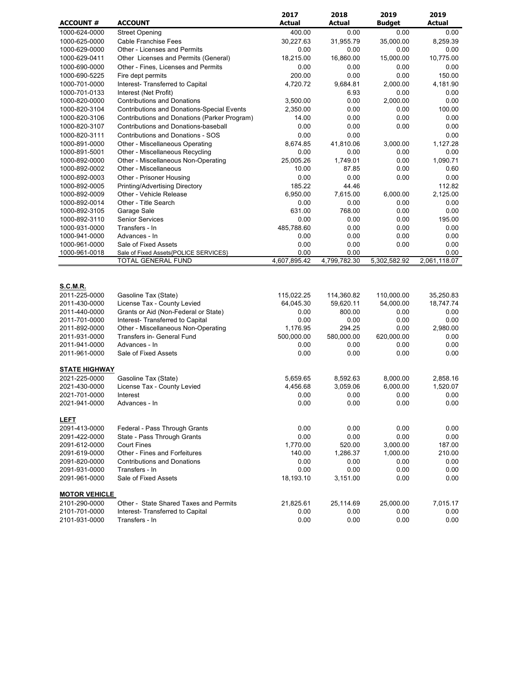|                                  |                                                             | 2017                 | 2018                 | 2019          | 2019                 |
|----------------------------------|-------------------------------------------------------------|----------------------|----------------------|---------------|----------------------|
| <b>ACCOUNT #</b>                 | <b>ACCOUNT</b>                                              | <b>Actual</b>        | <b>Actual</b>        | <b>Budget</b> | <b>Actual</b>        |
| 1000-624-0000                    | <b>Street Opening</b>                                       | 400.00               | 0.00                 | 0.00          | 0.00                 |
| 1000-625-0000                    | <b>Cable Franchise Fees</b>                                 | 30,227.63            | 31,955.79            | 35,000.00     | 8,259.39             |
| 1000-629-0000                    | <b>Other - Licenses and Permits</b>                         | 0.00                 | 0.00                 | 0.00          | 0.00                 |
| 1000-629-0411                    | Other Licenses and Permits (General)                        | 18,215.00            | 16,860.00            | 15,000.00     | 10,775.00            |
| 1000-690-0000                    | Other - Fines, Licenses and Permits                         | 0.00                 | 0.00                 | 0.00          | 0.00                 |
| 1000-690-5225                    | Fire dept permits                                           | 200.00               | 0.00                 | 0.00          | 150.00               |
| 1000-701-0000                    | Interest- Transferred to Capital                            | 4,720.72             | 9,684.81             | 2,000.00      | 4,181.90             |
| 1000-701-0133                    | Interest (Net Profit)                                       |                      | 6.93                 | 0.00          | 0.00                 |
| 1000-820-0000                    | <b>Contributions and Donations</b>                          | 3,500.00             | 0.00                 | 2,000.00      | 0.00                 |
| 1000-820-3104                    | <b>Contributions and Donations-Special Events</b>           | 2,350.00             | 0.00                 | 0.00          | 100.00               |
| 1000-820-3106                    | Contributions and Donations (Parker Program)                | 14.00                | 0.00                 | 0.00          | 0.00                 |
| 1000-820-3107                    | Contributions and Donations-baseball                        | 0.00                 | 0.00                 | 0.00          | 0.00                 |
| 1000-820-3111                    | <b>Contributions and Donations - SOS</b>                    | 0.00                 | 0.00                 |               | 0.00                 |
| 1000-891-0000                    | Other - Miscellaneous Operating                             | 8,674.85             | 41,810.06            | 3,000.00      | 1,127.28             |
| 1000-891-5001                    | Other - Miscellaneous Recycling                             | 0.00                 | 0.00                 | 0.00          | 0.00                 |
| 1000-892-0000                    | Other - Miscellaneous Non-Operating                         | 25,005.26            | 1,749.01             | 0.00          | 1,090.71             |
| 1000-892-0002                    | Other - Miscellaneous                                       | 10.00                | 87.85                | 0.00          | 0.60                 |
| 1000-892-0003                    | Other - Prisoner Housing                                    | 0.00                 | 0.00                 | 0.00          | 0.00                 |
| 1000-892-0005                    | Printing/Advertising Directory                              | 185.22               | 44.46                |               | 112.82               |
| 1000-892-0009                    | Other - Vehicle Release                                     | 6,950.00             | 7,615.00             | 6,000.00      | 2,125.00             |
| 1000-892-0014                    | Other - Title Search                                        | 0.00                 | 0.00                 | 0.00          | 0.00                 |
| 1000-892-3105                    | Garage Sale                                                 | 631.00               | 768.00               | 0.00          | 0.00                 |
| 1000-892-3110                    | <b>Senior Services</b>                                      | 0.00                 | 0.00                 | 0.00          | 195.00               |
| 1000-931-0000                    | Transfers - In                                              | 485,788.60           | 0.00                 | 0.00          | 0.00                 |
| 1000-941-0000                    | Advances - In                                               | 0.00                 | 0.00                 | 0.00          | 0.00                 |
| 1000-961-0000                    | Sale of Fixed Assets                                        | 0.00                 | 0.00                 | 0.00          | 0.00                 |
| 1000-961-0018                    | Sale of Fixed Assets{POLICE SERVICES}<br>TOTAL GENERAL FUND | 0.00<br>4,607,895.42 | 0.00<br>4,799,782.30 | 5,302,582.92  | 0.00<br>2,061,118.07 |
| <b>S.C.M.R.</b><br>2011-225-0000 | Gasoline Tax (State)                                        | 115,022.25           | 114,360.82           | 110,000.00    | 35,250.83            |
| 2011-430-0000                    | License Tax - County Levied                                 | 64,045.30            | 59,620.11            | 54,000.00     | 18,747.74            |
| 2011-440-0000                    | Grants or Aid (Non-Federal or State)                        | 0.00                 | 800.00               | 0.00          | 0.00                 |
| 2011-701-0000                    | Interest- Transferred to Capital                            | 0.00                 | 0.00                 | 0.00          | 0.00                 |
| 2011-892-0000                    | Other - Miscellaneous Non-Operating                         | 1,176.95             | 294.25               | 0.00          | 2,980.00             |
| 2011-931-0000                    | Transfers in- General Fund                                  | 500,000.00           | 580,000.00           | 620,000.00    | 0.00                 |
| 2011-941-0000                    | Advances - In                                               | 0.00                 | 0.00                 | 0.00          | 0.00                 |
| 2011-961-0000                    | Sale of Fixed Assets                                        | 0.00                 | 0.00                 | 0.00          | 0.00                 |
| <b>STATE HIGHWAY</b>             |                                                             |                      |                      |               |                      |
| 2021-225-0000                    | Gasoline Tax (State)                                        | 5,659.65             | 8,592.63             | 8,000.00      | 2,858.16             |
| 2021-430-0000                    | License Tax - County Levied                                 | 4,456.68             | 3,059.06             | 6,000.00      | 1,520.07             |
| 2021-701-0000                    | Interest                                                    | 0.00                 | 0.00                 | 0.00          | 0.00                 |
| 2021-941-0000                    | Advances - In                                               | 0.00                 | 0.00                 | 0.00          | 0.00                 |
| <b>LEFT</b>                      |                                                             |                      |                      |               |                      |
| 2091-413-0000                    | Federal - Pass Through Grants                               | 0.00                 | 0.00                 | 0.00          | 0.00                 |
| 2091-422-0000                    | State - Pass Through Grants                                 | 0.00                 | 0.00                 | 0.00          | 0.00                 |
| 2091-612-0000                    | <b>Court Fines</b>                                          | 1,770.00             | 520.00               | 3,000.00      | 187.00               |
| 2091-619-0000                    | Other - Fines and Forfeitures                               | 140.00               | 1,286.37             | 1,000.00      | 210.00               |
| 2091-820-0000                    | <b>Contributions and Donations</b>                          | 0.00                 | 0.00                 | 0.00          | 0.00                 |
| 2091-931-0000                    | Transfers - In                                              | 0.00                 | 0.00                 | 0.00          | 0.00                 |
| 2091-961-0000                    | Sale of Fixed Assets                                        | 18,193.10            | 3,151.00             | 0.00          | 0.00                 |
| <b>MOTOR VEHICLE</b>             |                                                             |                      |                      |               |                      |
| 2101-290-0000                    | Other - State Shared Taxes and Permits                      | 21,825.61            | 25,114.69            | 25,000.00     | 7,015.17             |
| 2101-701-0000                    | Interest- Transferred to Capital                            | 0.00                 | 0.00                 | 0.00          | 0.00                 |
| 2101-931-0000                    | Transfers - In                                              | 0.00                 | 0.00                 | 0.00          | 0.00                 |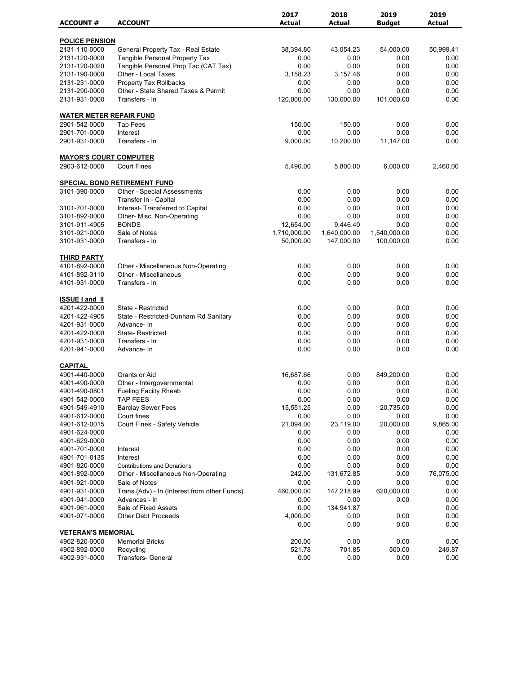|                                 |                                              | 2017          | 2018          | 2019          | 2019          |
|---------------------------------|----------------------------------------------|---------------|---------------|---------------|---------------|
| <b>ACCOUNT#</b>                 | <b>ACCOUNT</b>                               | <b>Actual</b> | <b>Actual</b> | <b>Budget</b> | <b>Actual</b> |
| <b>POLICE PENSION</b>           |                                              |               |               |               |               |
| 2131-110-0000                   | General Property Tax - Real Estate           | 38,394.80     | 43,054.23     | 54,000.00     | 50,999.41     |
| 2131-120-0000                   | <b>Tangible Personal Property Tax</b>        | 0.00          | 0.00          | 0.00          | 0.00          |
| 2131-120-0020                   | Tangible Personal Prop Tac (CAT Tax)         | 0.00          | 0.00          | 0.00          | 0.00          |
| 2131-190-0000                   | Other - Local Taxes                          | 3,158.23      | 3,157.46      | 0.00          | 0.00          |
| 2131-231-0000                   | Property Tax Rollbacks                       | 0.00          | 0.00          | 0.00          | 0.00          |
| 2131-290-0000                   | Other - State Shared Taxes & Permit          | 0.00          | 0.00          | 0.00          | 0.00          |
| 2131-931-0000                   | Transfers - In                               | 120,000.00    | 130,000.00    | 101,000.00    | 0.00          |
| <b>WATER METER REPAIR FUND</b>  |                                              |               |               |               |               |
| 2901-542-0000                   | <b>Tap Fees</b>                              | 150.00        | 150.00        | 0.00          | 0.00          |
| 2901-701-0000                   | Interest                                     | 0.00          | 0.00          | 0.00          | 0.00          |
| 2901-931-0000                   | Transfers - In                               | 9,000.00      | 10,200.00     | 11,147.00     | 0.00          |
| <b>MAYOR'S COURT COMPUTER</b>   |                                              |               |               |               |               |
| 2903-612-0000                   | <b>Court Fines</b>                           | 5,490.00      | 5,800.00      | 6,000.00      | 2,460.00      |
|                                 | <b>SPECIAL BOND RETIREMENT FUND</b>          |               |               |               |               |
| 3101-390-0000                   | Other - Special Assessments                  | 0.00          | 0.00          | 0.00          | 0.00          |
|                                 | Transfer In - Capital                        | 0.00          | 0.00          | 0.00          | 0.00          |
| 3101-701-0000                   | Interest- Transferred to Capital             | 0.00          | 0.00          | 0.00          | 0.00          |
| 3101-892-0000                   | Other- Misc. Non-Operating                   | 0.00          | 0.00          | 0.00          | 0.00          |
| 3101-911-4905                   | <b>BONDS</b>                                 | 12,654.00     | 9,446.40      | 0.00          | 0.00          |
| 3101-921-0000                   | Sale of Notes                                | 1,710,000.00  | 1,640,000.00  | 1,540,000.00  | 0.00          |
| 3101-931-0000                   | Transfers - In                               | 50,000.00     | 147,000.00    | 100,000.00    | 0.00          |
| <b>THIRD PARTY</b>              |                                              |               |               |               |               |
| 4101-892-0000                   | Other - Miscellaneous Non-Operating          | 0.00          | 0.00          | 0.00          | 0.00          |
| 4101-892-3110                   | Other - Miscellaneous                        | 0.00          | 0.00          | 0.00          | 0.00          |
| 4101-931-0000                   | Transfers - In                               | 0.00          | 0.00          | 0.00          | 0.00          |
| <b>ISSUE I and II</b>           |                                              |               |               |               |               |
| 4201-422-0000                   | State - Restricted                           | 0.00          | 0.00          | 0.00          | 0.00          |
| 4201-422-4905                   | State - Restricted-Dunham Rd Sanitary        | 0.00          | 0.00          | 0.00          | 0.00          |
| 4201-931-0000                   | Advance-In                                   | 0.00          | 0.00          | 0.00          | 0.00          |
| 4201-422-0000                   | <b>State-Restricted</b>                      | 0.00          | 0.00          | 0.00          | 0.00          |
| 4201-931-0000                   | Transfers - In                               | 0.00          | 0.00          | 0.00          | 0.00          |
| 4201-941-0000                   | Advance-In                                   | 0.00          | 0.00          | 0.00          | 0.00          |
|                                 |                                              |               |               |               |               |
| <b>CAPITAL</b><br>4901-440-0000 | Grants or Aid                                | 16,687.66     | 0.00          | 849,200.00    | 0.00          |
| 4901-490-0000                   | Other - Intergovernmental                    | 0.00          | 0.00          | 0.00          | 0.00          |
| 4901-490-0801                   | <b>Fueling Facilty Rheab</b>                 | 0.00          | 0.00          | 0.00          | 0.00          |
| 4901-542-0000                   | <b>TAP FEES</b>                              | 0.00          | 0.00          | 0.00          | 0.00          |
| 4901-549-4910                   | <b>Barclay Sewer Fees</b>                    | 15,551.25     | 0.00          | 20,735.00     | 0.00          |
| 4901-612-0000                   | Court fines                                  | 0.00          | 0.00          | 0.00          | 0.00          |
| 4901-612-0015                   | Court Fines - Safety Vehicle                 | 21,094.00     | 23,119.00     | 20,000.00     | 9,865.00      |
| 4901-624-0000                   |                                              | 0.00          | 0.00          | 0.00          | 0.00          |
| 4901-629-0000                   |                                              | 0.00          | 0.00          | 0.00          | 0.00          |
| 4901-701-0000                   | Interest                                     | 0.00          | 0.00          | 0.00          | 0.00          |
| 4901-701-0135                   | Interest                                     | 0.00          | 0.00          | 0.00          | 0.00          |
| 4901-820-0000                   | <b>Contributions and Donations</b>           | 0.00          | 0.00          | 0.00          | 0.00          |
| 4901-892-0000                   | Other - Miscellaneous Non-Operating          | 242.00        | 131,672.85    | 0.00          | 76,075.00     |
| 4901-921-0000                   | Sale of Notes                                | 0.00          | 0.00          | 0.00          | 0.00          |
| 4901-931-0000                   | Trans (Adv) - In (Interest from other Funds) | 460,000.00    | 147,218.99    | 620,000.00    | 0.00          |
| 4901-941-0000                   | Advances - In                                | 0.00          | 0.00          | 0.00          | 0.00          |
| 4901-961-0000                   | Sale of Fixed Assets                         | 0.00          | 134,941.87    |               | 0.00          |
| 4901-971-0000                   | <b>Other Debt Proceeds</b>                   | 4,000.00      | 0.00          | 0.00          | 0.00          |
|                                 |                                              | 0.00          | 0.00          | 0.00          | 0.00          |
| <b>VETERAN'S MEMORIAL</b>       |                                              |               |               |               |               |
| 4902-820-0000                   | <b>Memorial Bricks</b>                       | 200.00        | 0.00          | 0.00          | 0.00          |
| 4902-892-0000                   | Recycling                                    | 521.78        | 701.85        | 500.00        | 249.87        |
| 4902-931-0000                   | Transfers- General                           | 0.00          | 0.00          | 0.00          | 0.00          |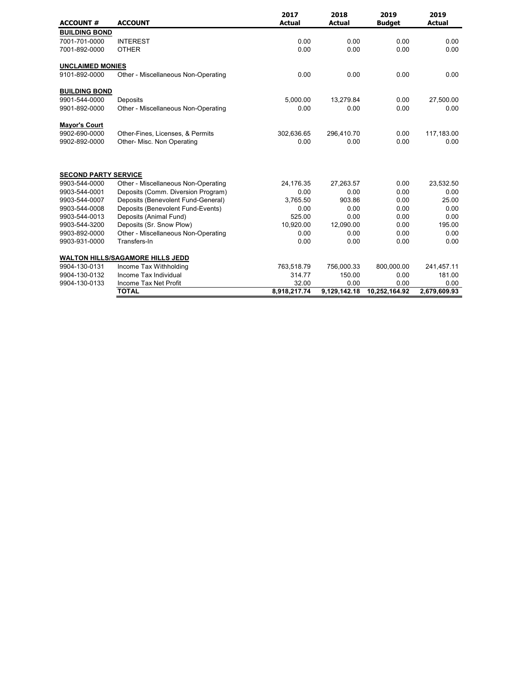| <b>ACCOUNT #</b>            | <b>ACCOUNT</b>                          | 2017<br><b>Actual</b> | 2018<br><b>Actual</b> | 2019<br><b>Budget</b> | 2019<br><b>Actual</b> |
|-----------------------------|-----------------------------------------|-----------------------|-----------------------|-----------------------|-----------------------|
| <b>BUILDING BOND</b>        |                                         |                       |                       |                       |                       |
| 7001-701-0000               | <b>INTEREST</b>                         | 0.00                  | 0.00                  | 0.00                  | 0.00                  |
| 7001-892-0000               | <b>OTHER</b>                            | 0.00                  | 0.00                  | 0.00                  | 0.00                  |
| <b>UNCLAIMED MONIES</b>     |                                         |                       |                       |                       |                       |
| 9101-892-0000               | Other - Miscellaneous Non-Operating     | 0.00                  | 0.00                  | 0.00                  | 0.00                  |
| <b>BUILDING BOND</b>        |                                         |                       |                       |                       |                       |
| 9901-544-0000               | Deposits                                | 5,000.00              | 13,279.84             | 0.00                  | 27,500.00             |
| 9901-892-0000               | Other - Miscellaneous Non-Operating     | 0.00                  | 0.00                  | 0.00                  | 0.00                  |
| <b>Mayor's Court</b>        |                                         |                       |                       |                       |                       |
| 9902-690-0000               | Other-Fines, Licenses, & Permits        | 302,636.65            | 296,410.70            | 0.00                  | 117,183.00            |
| 9902-892-0000               | Other- Misc. Non Operating              | 0.00                  | 0.00                  | 0.00                  | 0.00                  |
| <b>SECOND PARTY SERVICE</b> |                                         |                       |                       |                       |                       |
| 9903-544-0000               | Other - Miscellaneous Non-Operating     | 24,176.35             | 27,263.57             | 0.00                  | 23,532.50             |
| 9903-544-0001               | Deposits (Comm. Diversion Program)      | 0.00                  | 0.00                  | 0.00                  | 0.00                  |
| 9903-544-0007               | Deposits (Benevolent Fund-General)      | 3,765.50              | 903.86                | 0.00                  | 25.00                 |
| 9903-544-0008               | Deposits (Benevolent Fund-Events)       | 0.00                  | 0.00                  | 0.00                  | 0.00                  |
| 9903-544-0013               | Deposits (Animal Fund)                  | 525.00                | 0.00                  | 0.00                  | 0.00                  |
| 9903-544-3200               | Deposits (Sr. Snow Plow)                | 10,920.00             | 12,090.00             | 0.00                  | 195.00                |
| 9903-892-0000               | Other - Miscellaneous Non-Operating     | 0.00                  | 0.00                  | 0.00                  | 0.00                  |
| 9903-931-0000               | Transfers-In                            | 0.00                  | 0.00                  | 0.00                  | 0.00                  |
|                             | <b>WALTON HILLS/SAGAMORE HILLS JEDD</b> |                       |                       |                       |                       |
| 9904-130-0131               | Income Tax Withholding                  | 763,518.79            | 756,000.33            | 800,000.00            | 241,457.11            |
| 9904-130-0132               | Income Tax Individual                   | 314.77                | 150.00                | 0.00                  | 181.00                |
| 9904-130-0133               | Income Tax Net Profit                   | 32.00                 | 0.00                  | 0.00                  | 0.00                  |
|                             | <b>TOTAL</b>                            | 8,918,217.74          | 9,129,142.18          | 10,252,164.92         | 2,679,609.93          |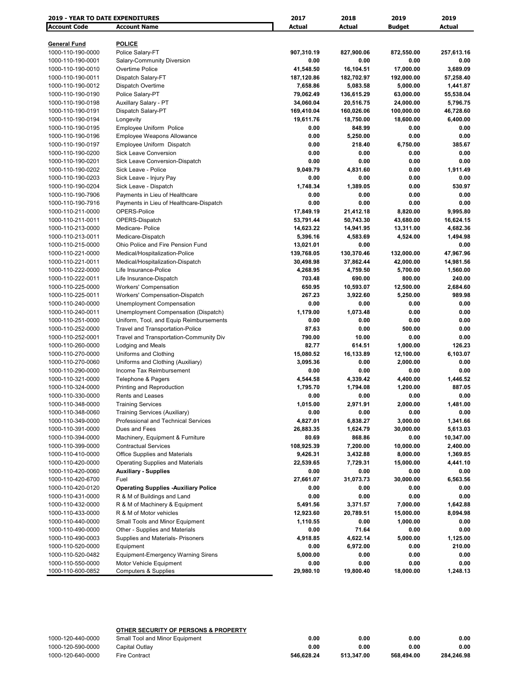| <b>Account Code</b><br><b>Account Name</b><br>Actual<br>Actual<br><b>Budget</b><br>Actual<br><b>POLICE</b><br><b>General Fund</b><br>1000-110-190-0000<br>Police Salary-FT<br>907,310.19<br>827,900.06<br>872,550.00<br>257,613.16<br>0.00<br>0.00<br>0.00<br>0.00<br>1000-110-190-0001<br>Salary-Community Diversion<br>Overtime Police<br>41,548.50<br>16,104.51<br>17,000.00<br>3,689.09<br>1000-110-190-0010<br>Dispatch Salary-FT<br>187,120.86<br>182,702.97<br>192,000.00<br>57,258.40<br>1000-110-190-0011<br>1000-110-190-0012<br>Dispatch Overtime<br>1,441.87<br>7,658.86<br>5,083.58<br>5,000.00<br>1000-110-190-0190<br>Police Salary-PT<br>79,062.49<br>136,615.29<br>63,000.00<br>55,538.04<br>1000-110-190-0198<br>Auxillary Salary - PT<br>34,060.04<br>20,516.75<br>24,000.00<br>5,796.75<br>46,728.60<br>1000-110-190-0191<br>Dispatch Salary-PT<br>169,410.04<br>160,026.06<br>100,000.00<br>6,400.00<br>1000-110-190-0194<br>Longevity<br>19,611.76<br>18,750.00<br>18,600.00<br>Employee Uniform Police<br>0.00<br>848.99<br>0.00<br>0.00<br>1000-110-190-0195<br><b>Employee Weapons Allowance</b><br>5,250.00<br>0.00<br>0.00<br>1000-110-190-0196<br>0.00<br>Employee Uniform Dispatch<br>0.00<br>218.40<br>6,750.00<br>385.67<br>1000-110-190-0197<br><b>Sick Leave Conversion</b><br>0.00<br>0.00<br>0.00<br>0.00<br>1000-110-190-0200<br>Sick Leave Conversion-Dispatch<br>0.00<br>0.00<br>0.00<br>0.00<br>1000-110-190-0201<br>1000-110-190-0202<br>Sick Leave - Police<br>9,049.79<br>4,831.60<br>0.00<br>1,911.49<br>0.00<br>0.00<br>0.00<br>0.00<br>1000-110-190-0203<br>Sick Leave - Injury Pay<br>1,748.34<br>1,389.05<br>0.00<br>530.97<br>1000-110-190-0204<br>Sick Leave - Dispatch<br>0.00<br>0.00<br>0.00<br>0.00<br>1000-110-190-7906<br>Payments in Lieu of Healthcare<br>0.00<br>1000-110-190-7916<br>0.00<br>0.00<br>0.00<br>Payments in Lieu of Healthcare-Dispatch<br>1000-110-211-0000<br>OPERS-Police<br>17,849.19<br>21,412.18<br>8,820.00<br>9,995.80<br>OPERS-Dispatch<br>53,791.44<br>50,743.30<br>16,624.15<br>1000-110-211-0011<br>43,680.00<br>1000-110-213-0000<br>Medicare-Police<br>14,623.22<br>14,941.95<br>13,311.00<br>4,682.36<br>1,494.98<br>5,396.16<br>4,583.69<br>4,524.00<br>1000-110-213-0011<br>Medicare-Dispatch<br>Ohio Police and Fire Pension Fund<br>13,021.01<br>0.00<br>0.00<br>1000-110-215-0000<br>139,768.05<br>130,370.46<br>47,967.96<br>1000-110-221-0000<br>Medical/Hospitalization-Police<br>132,000.00<br>30,498.98<br>37,862.44<br>42,000.00<br>14,981.56<br>1000-110-221-0011<br>Medical/Hospitalization-Dispatch<br>1000-110-222-0000<br>Life Insurance-Police<br>4,268.95<br>4,759.50<br>5,700.00<br>1,560.00<br>1000-110-222-0011<br>Life Insurance-Dispatch<br>703.48<br>690.00<br>800.00<br>240.00<br>650.95<br>1000-110-225-0000<br><b>Workers' Compensation</b><br>10,593.07<br>12,500.00<br>2,684.60<br>267.23<br>3,922.60<br>5,250.00<br>989.98<br>1000-110-225-0011<br>Workers' Compensation-Dispatch<br>1000-110-240-0000<br><b>Unemployment Compensation</b><br>0.00<br>0.00<br>0.00<br>0.00<br>Unemployment Compensation (Dispatch)<br>1,179.00<br>1,073.48<br>0.00<br>0.00<br>1000-110-240-0011<br>1000-110-251-0000<br>Uniform, Tool, and Equip Reimbursements<br>0.00<br>0.00<br>0.00<br>0.00<br>87.63<br>1000-110-252-0000<br>Travel and Transportation-Police<br>0.00<br>500.00<br>0.00<br>790.00<br>10.00<br>1000-110-252-0001<br>Travel and Transportation-Community Div<br>0.00<br>0.00<br>82.77<br>614.51<br>1,000.00<br>126.23<br>1000-110-260-0000<br>Lodging and Meals<br>15,080.52<br>16,133.89<br>6,103.07<br>1000-110-270-0000<br>Uniforms and Clothing<br>12,100.00<br>Uniforms and Clothing (Auxiliary)<br>0.00<br>0.00<br>1000-110-270-0060<br>3,095.36<br>2,000.00<br>Income Tax Reimbursement<br>0.00<br>0.00<br>0.00<br>1000-110-290-0000<br>0.00<br>1000-110-321-0000<br>4,544.58<br>4,339.42<br>4,400.00<br>1,446.52<br>Telephone & Pagers<br>887.05<br>1000-110-324-0000<br>Printing and Reproduction<br>1,795.70<br>1,794.08<br>1,200.00<br>0.00<br>1000-110-330-0000<br>0.00<br>0.00<br>0.00<br>Rents and Leases<br>1000-110-348-0000<br><b>Training Services</b><br>1,015.00<br>2,971.91<br>2,000.00<br>1,481.00<br>1000-110-348-0060<br>Training Services (Auxiliary)<br>0.00<br>0.00<br>0.00<br>0.00<br>Professional and Technical Services<br>6,838.27<br>3,000.00<br>1000-110-349-0000<br>4,827.01<br>1,341.66<br>Dues and Fees<br>26,883.35<br>1,624.79<br>30,000.00<br>5,613.03<br>1000-110-391-0000<br>1000-110-394-0000<br>Machinery, Equipment & Furniture<br>80.69<br>868.86<br>0.00<br>10,347.00<br>108,925.39<br><b>Contractual Services</b><br>7,200.00<br>10,000.00<br>2,400.00<br>1000-110-399-0000<br>Office Supplies and Materials<br>9,426.31<br>3,432.88<br>8,000.00<br>1,369.85<br>1000-110-410-0000<br>1000-110-420-0000<br>Operating Supplies and Materials<br>22,539.65<br>7,729.31<br>15,000.00<br>4,441.10<br>1000-110-420-0060<br><b>Auxiliary - Supplies</b><br>0.00<br>0.00<br>0.00<br>0.00<br>Fuel<br>31,073.73<br>30,000.00<br>1000-110-420-6700<br>27,661.07<br>6,563.56<br><b>Operating Supplies -Auxiliary Police</b><br>0.00<br>1000-110-420-0120<br>0.00<br>0.00<br>0.00<br>0.00<br>0.00<br>0.00<br>0.00<br>1000-110-431-0000<br>R & M of Buildings and Land<br>R & M of Machinery & Equipment<br>7,000.00<br>1,642.88<br>1000-110-432-0000<br>5,491.56<br>3,371.57<br>1000-110-433-0000<br>R & M of Motor vehicles<br>12,923.60<br>20,789.51<br>15,000.00<br>8,094.98<br>Small Tools and Minor Equipment<br>1,110.55<br>0.00<br>0.00<br>1000-110-440-0000<br>1,000.00<br>Other - Supplies and Materials<br>71.64<br>1000-110-490-0000<br>0.00<br>0.00<br>0.00<br>Supplies and Materials- Prisoners<br>4,622.14<br>1000-110-490-0003<br>4,918.85<br>5,000.00<br>1,125.00<br>6,972.00<br>0.00<br>210.00<br>1000-110-520-0000<br>Equipment<br>0.00<br><b>Equipment-Emergency Warning Sirens</b><br>0.00<br>1000-110-520-0482<br>5,000.00<br>0.00<br>0.00<br>1000-110-550-0000<br>Motor Vehicle Equipment<br>0.00<br>0.00<br>0.00<br>0.00<br>1000-110-600-0852<br><b>Computers &amp; Supplies</b><br>29,980.10<br>19,800.40<br>18,000.00<br>1,248.13 | <b>2019 - YEAR TO DATE EXPENDITURES</b> |  | 2017 | 2018 | 2019 | 2019 |  |
|---------------------------------------------------------------------------------------------------------------------------------------------------------------------------------------------------------------------------------------------------------------------------------------------------------------------------------------------------------------------------------------------------------------------------------------------------------------------------------------------------------------------------------------------------------------------------------------------------------------------------------------------------------------------------------------------------------------------------------------------------------------------------------------------------------------------------------------------------------------------------------------------------------------------------------------------------------------------------------------------------------------------------------------------------------------------------------------------------------------------------------------------------------------------------------------------------------------------------------------------------------------------------------------------------------------------------------------------------------------------------------------------------------------------------------------------------------------------------------------------------------------------------------------------------------------------------------------------------------------------------------------------------------------------------------------------------------------------------------------------------------------------------------------------------------------------------------------------------------------------------------------------------------------------------------------------------------------------------------------------------------------------------------------------------------------------------------------------------------------------------------------------------------------------------------------------------------------------------------------------------------------------------------------------------------------------------------------------------------------------------------------------------------------------------------------------------------------------------------------------------------------------------------------------------------------------------------------------------------------------------------------------------------------------------------------------------------------------------------------------------------------------------------------------------------------------------------------------------------------------------------------------------------------------------------------------------------------------------------------------------------------------------------------------------------------------------------------------------------------------------------------------------------------------------------------------------------------------------------------------------------------------------------------------------------------------------------------------------------------------------------------------------------------------------------------------------------------------------------------------------------------------------------------------------------------------------------------------------------------------------------------------------------------------------------------------------------------------------------------------------------------------------------------------------------------------------------------------------------------------------------------------------------------------------------------------------------------------------------------------------------------------------------------------------------------------------------------------------------------------------------------------------------------------------------------------------------------------------------------------------------------------------------------------------------------------------------------------------------------------------------------------------------------------------------------------------------------------------------------------------------------------------------------------------------------------------------------------------------------------------------------------------------------------------------------------------------------------------------------------------------------------------------------------------------------------------------------------------------------------------------------------------------------------------------------------------------------------------------------------------------------------------------------------------------------------------------------------------------------------------------------------------------------------------------------------------------------------------------------------------------------------------------------------------------------------------------------------------------------------------------------------------------------------------------------------------------------------------------------------------------------------------------------------------------------------------------------------------------------------------------------------------------------------------------------------------------------------------------------------------------------------------------------------------------------------------------------------------------------------------------------------------------------------------------------------------------------------------------------------------------------------------------------------------------------------------------------------------------------------------------------------------------------------------------------------------------------------|-----------------------------------------|--|------|------|------|------|--|
|                                                                                                                                                                                                                                                                                                                                                                                                                                                                                                                                                                                                                                                                                                                                                                                                                                                                                                                                                                                                                                                                                                                                                                                                                                                                                                                                                                                                                                                                                                                                                                                                                                                                                                                                                                                                                                                                                                                                                                                                                                                                                                                                                                                                                                                                                                                                                                                                                                                                                                                                                                                                                                                                                                                                                                                                                                                                                                                                                                                                                                                                                                                                                                                                                                                                                                                                                                                                                                                                                                                                                                                                                                                                                                                                                                                                                                                                                                                                                                                                                                                                                                                                                                                                                                                                                                                                                                                                                                                                                                                                                                                                                                                                                                                                                                                                                                                                                                                                                                                                                                                                                                                                                                                                                                                                                                                                                                                                                                                                                                                                                                                                                                                                                                                                                                                                                                                                                                                                                                                                                                                                                                                                                                                                                     |                                         |  |      |      |      |      |  |
|                                                                                                                                                                                                                                                                                                                                                                                                                                                                                                                                                                                                                                                                                                                                                                                                                                                                                                                                                                                                                                                                                                                                                                                                                                                                                                                                                                                                                                                                                                                                                                                                                                                                                                                                                                                                                                                                                                                                                                                                                                                                                                                                                                                                                                                                                                                                                                                                                                                                                                                                                                                                                                                                                                                                                                                                                                                                                                                                                                                                                                                                                                                                                                                                                                                                                                                                                                                                                                                                                                                                                                                                                                                                                                                                                                                                                                                                                                                                                                                                                                                                                                                                                                                                                                                                                                                                                                                                                                                                                                                                                                                                                                                                                                                                                                                                                                                                                                                                                                                                                                                                                                                                                                                                                                                                                                                                                                                                                                                                                                                                                                                                                                                                                                                                                                                                                                                                                                                                                                                                                                                                                                                                                                                                                     |                                         |  |      |      |      |      |  |
|                                                                                                                                                                                                                                                                                                                                                                                                                                                                                                                                                                                                                                                                                                                                                                                                                                                                                                                                                                                                                                                                                                                                                                                                                                                                                                                                                                                                                                                                                                                                                                                                                                                                                                                                                                                                                                                                                                                                                                                                                                                                                                                                                                                                                                                                                                                                                                                                                                                                                                                                                                                                                                                                                                                                                                                                                                                                                                                                                                                                                                                                                                                                                                                                                                                                                                                                                                                                                                                                                                                                                                                                                                                                                                                                                                                                                                                                                                                                                                                                                                                                                                                                                                                                                                                                                                                                                                                                                                                                                                                                                                                                                                                                                                                                                                                                                                                                                                                                                                                                                                                                                                                                                                                                                                                                                                                                                                                                                                                                                                                                                                                                                                                                                                                                                                                                                                                                                                                                                                                                                                                                                                                                                                                                                     |                                         |  |      |      |      |      |  |
|                                                                                                                                                                                                                                                                                                                                                                                                                                                                                                                                                                                                                                                                                                                                                                                                                                                                                                                                                                                                                                                                                                                                                                                                                                                                                                                                                                                                                                                                                                                                                                                                                                                                                                                                                                                                                                                                                                                                                                                                                                                                                                                                                                                                                                                                                                                                                                                                                                                                                                                                                                                                                                                                                                                                                                                                                                                                                                                                                                                                                                                                                                                                                                                                                                                                                                                                                                                                                                                                                                                                                                                                                                                                                                                                                                                                                                                                                                                                                                                                                                                                                                                                                                                                                                                                                                                                                                                                                                                                                                                                                                                                                                                                                                                                                                                                                                                                                                                                                                                                                                                                                                                                                                                                                                                                                                                                                                                                                                                                                                                                                                                                                                                                                                                                                                                                                                                                                                                                                                                                                                                                                                                                                                                                                     |                                         |  |      |      |      |      |  |
|                                                                                                                                                                                                                                                                                                                                                                                                                                                                                                                                                                                                                                                                                                                                                                                                                                                                                                                                                                                                                                                                                                                                                                                                                                                                                                                                                                                                                                                                                                                                                                                                                                                                                                                                                                                                                                                                                                                                                                                                                                                                                                                                                                                                                                                                                                                                                                                                                                                                                                                                                                                                                                                                                                                                                                                                                                                                                                                                                                                                                                                                                                                                                                                                                                                                                                                                                                                                                                                                                                                                                                                                                                                                                                                                                                                                                                                                                                                                                                                                                                                                                                                                                                                                                                                                                                                                                                                                                                                                                                                                                                                                                                                                                                                                                                                                                                                                                                                                                                                                                                                                                                                                                                                                                                                                                                                                                                                                                                                                                                                                                                                                                                                                                                                                                                                                                                                                                                                                                                                                                                                                                                                                                                                                                     |                                         |  |      |      |      |      |  |
|                                                                                                                                                                                                                                                                                                                                                                                                                                                                                                                                                                                                                                                                                                                                                                                                                                                                                                                                                                                                                                                                                                                                                                                                                                                                                                                                                                                                                                                                                                                                                                                                                                                                                                                                                                                                                                                                                                                                                                                                                                                                                                                                                                                                                                                                                                                                                                                                                                                                                                                                                                                                                                                                                                                                                                                                                                                                                                                                                                                                                                                                                                                                                                                                                                                                                                                                                                                                                                                                                                                                                                                                                                                                                                                                                                                                                                                                                                                                                                                                                                                                                                                                                                                                                                                                                                                                                                                                                                                                                                                                                                                                                                                                                                                                                                                                                                                                                                                                                                                                                                                                                                                                                                                                                                                                                                                                                                                                                                                                                                                                                                                                                                                                                                                                                                                                                                                                                                                                                                                                                                                                                                                                                                                                                     |                                         |  |      |      |      |      |  |
|                                                                                                                                                                                                                                                                                                                                                                                                                                                                                                                                                                                                                                                                                                                                                                                                                                                                                                                                                                                                                                                                                                                                                                                                                                                                                                                                                                                                                                                                                                                                                                                                                                                                                                                                                                                                                                                                                                                                                                                                                                                                                                                                                                                                                                                                                                                                                                                                                                                                                                                                                                                                                                                                                                                                                                                                                                                                                                                                                                                                                                                                                                                                                                                                                                                                                                                                                                                                                                                                                                                                                                                                                                                                                                                                                                                                                                                                                                                                                                                                                                                                                                                                                                                                                                                                                                                                                                                                                                                                                                                                                                                                                                                                                                                                                                                                                                                                                                                                                                                                                                                                                                                                                                                                                                                                                                                                                                                                                                                                                                                                                                                                                                                                                                                                                                                                                                                                                                                                                                                                                                                                                                                                                                                                                     |                                         |  |      |      |      |      |  |
|                                                                                                                                                                                                                                                                                                                                                                                                                                                                                                                                                                                                                                                                                                                                                                                                                                                                                                                                                                                                                                                                                                                                                                                                                                                                                                                                                                                                                                                                                                                                                                                                                                                                                                                                                                                                                                                                                                                                                                                                                                                                                                                                                                                                                                                                                                                                                                                                                                                                                                                                                                                                                                                                                                                                                                                                                                                                                                                                                                                                                                                                                                                                                                                                                                                                                                                                                                                                                                                                                                                                                                                                                                                                                                                                                                                                                                                                                                                                                                                                                                                                                                                                                                                                                                                                                                                                                                                                                                                                                                                                                                                                                                                                                                                                                                                                                                                                                                                                                                                                                                                                                                                                                                                                                                                                                                                                                                                                                                                                                                                                                                                                                                                                                                                                                                                                                                                                                                                                                                                                                                                                                                                                                                                                                     |                                         |  |      |      |      |      |  |
|                                                                                                                                                                                                                                                                                                                                                                                                                                                                                                                                                                                                                                                                                                                                                                                                                                                                                                                                                                                                                                                                                                                                                                                                                                                                                                                                                                                                                                                                                                                                                                                                                                                                                                                                                                                                                                                                                                                                                                                                                                                                                                                                                                                                                                                                                                                                                                                                                                                                                                                                                                                                                                                                                                                                                                                                                                                                                                                                                                                                                                                                                                                                                                                                                                                                                                                                                                                                                                                                                                                                                                                                                                                                                                                                                                                                                                                                                                                                                                                                                                                                                                                                                                                                                                                                                                                                                                                                                                                                                                                                                                                                                                                                                                                                                                                                                                                                                                                                                                                                                                                                                                                                                                                                                                                                                                                                                                                                                                                                                                                                                                                                                                                                                                                                                                                                                                                                                                                                                                                                                                                                                                                                                                                                                     |                                         |  |      |      |      |      |  |
|                                                                                                                                                                                                                                                                                                                                                                                                                                                                                                                                                                                                                                                                                                                                                                                                                                                                                                                                                                                                                                                                                                                                                                                                                                                                                                                                                                                                                                                                                                                                                                                                                                                                                                                                                                                                                                                                                                                                                                                                                                                                                                                                                                                                                                                                                                                                                                                                                                                                                                                                                                                                                                                                                                                                                                                                                                                                                                                                                                                                                                                                                                                                                                                                                                                                                                                                                                                                                                                                                                                                                                                                                                                                                                                                                                                                                                                                                                                                                                                                                                                                                                                                                                                                                                                                                                                                                                                                                                                                                                                                                                                                                                                                                                                                                                                                                                                                                                                                                                                                                                                                                                                                                                                                                                                                                                                                                                                                                                                                                                                                                                                                                                                                                                                                                                                                                                                                                                                                                                                                                                                                                                                                                                                                                     |                                         |  |      |      |      |      |  |
|                                                                                                                                                                                                                                                                                                                                                                                                                                                                                                                                                                                                                                                                                                                                                                                                                                                                                                                                                                                                                                                                                                                                                                                                                                                                                                                                                                                                                                                                                                                                                                                                                                                                                                                                                                                                                                                                                                                                                                                                                                                                                                                                                                                                                                                                                                                                                                                                                                                                                                                                                                                                                                                                                                                                                                                                                                                                                                                                                                                                                                                                                                                                                                                                                                                                                                                                                                                                                                                                                                                                                                                                                                                                                                                                                                                                                                                                                                                                                                                                                                                                                                                                                                                                                                                                                                                                                                                                                                                                                                                                                                                                                                                                                                                                                                                                                                                                                                                                                                                                                                                                                                                                                                                                                                                                                                                                                                                                                                                                                                                                                                                                                                                                                                                                                                                                                                                                                                                                                                                                                                                                                                                                                                                                                     |                                         |  |      |      |      |      |  |
|                                                                                                                                                                                                                                                                                                                                                                                                                                                                                                                                                                                                                                                                                                                                                                                                                                                                                                                                                                                                                                                                                                                                                                                                                                                                                                                                                                                                                                                                                                                                                                                                                                                                                                                                                                                                                                                                                                                                                                                                                                                                                                                                                                                                                                                                                                                                                                                                                                                                                                                                                                                                                                                                                                                                                                                                                                                                                                                                                                                                                                                                                                                                                                                                                                                                                                                                                                                                                                                                                                                                                                                                                                                                                                                                                                                                                                                                                                                                                                                                                                                                                                                                                                                                                                                                                                                                                                                                                                                                                                                                                                                                                                                                                                                                                                                                                                                                                                                                                                                                                                                                                                                                                                                                                                                                                                                                                                                                                                                                                                                                                                                                                                                                                                                                                                                                                                                                                                                                                                                                                                                                                                                                                                                                                     |                                         |  |      |      |      |      |  |
|                                                                                                                                                                                                                                                                                                                                                                                                                                                                                                                                                                                                                                                                                                                                                                                                                                                                                                                                                                                                                                                                                                                                                                                                                                                                                                                                                                                                                                                                                                                                                                                                                                                                                                                                                                                                                                                                                                                                                                                                                                                                                                                                                                                                                                                                                                                                                                                                                                                                                                                                                                                                                                                                                                                                                                                                                                                                                                                                                                                                                                                                                                                                                                                                                                                                                                                                                                                                                                                                                                                                                                                                                                                                                                                                                                                                                                                                                                                                                                                                                                                                                                                                                                                                                                                                                                                                                                                                                                                                                                                                                                                                                                                                                                                                                                                                                                                                                                                                                                                                                                                                                                                                                                                                                                                                                                                                                                                                                                                                                                                                                                                                                                                                                                                                                                                                                                                                                                                                                                                                                                                                                                                                                                                                                     |                                         |  |      |      |      |      |  |
|                                                                                                                                                                                                                                                                                                                                                                                                                                                                                                                                                                                                                                                                                                                                                                                                                                                                                                                                                                                                                                                                                                                                                                                                                                                                                                                                                                                                                                                                                                                                                                                                                                                                                                                                                                                                                                                                                                                                                                                                                                                                                                                                                                                                                                                                                                                                                                                                                                                                                                                                                                                                                                                                                                                                                                                                                                                                                                                                                                                                                                                                                                                                                                                                                                                                                                                                                                                                                                                                                                                                                                                                                                                                                                                                                                                                                                                                                                                                                                                                                                                                                                                                                                                                                                                                                                                                                                                                                                                                                                                                                                                                                                                                                                                                                                                                                                                                                                                                                                                                                                                                                                                                                                                                                                                                                                                                                                                                                                                                                                                                                                                                                                                                                                                                                                                                                                                                                                                                                                                                                                                                                                                                                                                                                     |                                         |  |      |      |      |      |  |
|                                                                                                                                                                                                                                                                                                                                                                                                                                                                                                                                                                                                                                                                                                                                                                                                                                                                                                                                                                                                                                                                                                                                                                                                                                                                                                                                                                                                                                                                                                                                                                                                                                                                                                                                                                                                                                                                                                                                                                                                                                                                                                                                                                                                                                                                                                                                                                                                                                                                                                                                                                                                                                                                                                                                                                                                                                                                                                                                                                                                                                                                                                                                                                                                                                                                                                                                                                                                                                                                                                                                                                                                                                                                                                                                                                                                                                                                                                                                                                                                                                                                                                                                                                                                                                                                                                                                                                                                                                                                                                                                                                                                                                                                                                                                                                                                                                                                                                                                                                                                                                                                                                                                                                                                                                                                                                                                                                                                                                                                                                                                                                                                                                                                                                                                                                                                                                                                                                                                                                                                                                                                                                                                                                                                                     |                                         |  |      |      |      |      |  |
|                                                                                                                                                                                                                                                                                                                                                                                                                                                                                                                                                                                                                                                                                                                                                                                                                                                                                                                                                                                                                                                                                                                                                                                                                                                                                                                                                                                                                                                                                                                                                                                                                                                                                                                                                                                                                                                                                                                                                                                                                                                                                                                                                                                                                                                                                                                                                                                                                                                                                                                                                                                                                                                                                                                                                                                                                                                                                                                                                                                                                                                                                                                                                                                                                                                                                                                                                                                                                                                                                                                                                                                                                                                                                                                                                                                                                                                                                                                                                                                                                                                                                                                                                                                                                                                                                                                                                                                                                                                                                                                                                                                                                                                                                                                                                                                                                                                                                                                                                                                                                                                                                                                                                                                                                                                                                                                                                                                                                                                                                                                                                                                                                                                                                                                                                                                                                                                                                                                                                                                                                                                                                                                                                                                                                     |                                         |  |      |      |      |      |  |
|                                                                                                                                                                                                                                                                                                                                                                                                                                                                                                                                                                                                                                                                                                                                                                                                                                                                                                                                                                                                                                                                                                                                                                                                                                                                                                                                                                                                                                                                                                                                                                                                                                                                                                                                                                                                                                                                                                                                                                                                                                                                                                                                                                                                                                                                                                                                                                                                                                                                                                                                                                                                                                                                                                                                                                                                                                                                                                                                                                                                                                                                                                                                                                                                                                                                                                                                                                                                                                                                                                                                                                                                                                                                                                                                                                                                                                                                                                                                                                                                                                                                                                                                                                                                                                                                                                                                                                                                                                                                                                                                                                                                                                                                                                                                                                                                                                                                                                                                                                                                                                                                                                                                                                                                                                                                                                                                                                                                                                                                                                                                                                                                                                                                                                                                                                                                                                                                                                                                                                                                                                                                                                                                                                                                                     |                                         |  |      |      |      |      |  |
|                                                                                                                                                                                                                                                                                                                                                                                                                                                                                                                                                                                                                                                                                                                                                                                                                                                                                                                                                                                                                                                                                                                                                                                                                                                                                                                                                                                                                                                                                                                                                                                                                                                                                                                                                                                                                                                                                                                                                                                                                                                                                                                                                                                                                                                                                                                                                                                                                                                                                                                                                                                                                                                                                                                                                                                                                                                                                                                                                                                                                                                                                                                                                                                                                                                                                                                                                                                                                                                                                                                                                                                                                                                                                                                                                                                                                                                                                                                                                                                                                                                                                                                                                                                                                                                                                                                                                                                                                                                                                                                                                                                                                                                                                                                                                                                                                                                                                                                                                                                                                                                                                                                                                                                                                                                                                                                                                                                                                                                                                                                                                                                                                                                                                                                                                                                                                                                                                                                                                                                                                                                                                                                                                                                                                     |                                         |  |      |      |      |      |  |
|                                                                                                                                                                                                                                                                                                                                                                                                                                                                                                                                                                                                                                                                                                                                                                                                                                                                                                                                                                                                                                                                                                                                                                                                                                                                                                                                                                                                                                                                                                                                                                                                                                                                                                                                                                                                                                                                                                                                                                                                                                                                                                                                                                                                                                                                                                                                                                                                                                                                                                                                                                                                                                                                                                                                                                                                                                                                                                                                                                                                                                                                                                                                                                                                                                                                                                                                                                                                                                                                                                                                                                                                                                                                                                                                                                                                                                                                                                                                                                                                                                                                                                                                                                                                                                                                                                                                                                                                                                                                                                                                                                                                                                                                                                                                                                                                                                                                                                                                                                                                                                                                                                                                                                                                                                                                                                                                                                                                                                                                                                                                                                                                                                                                                                                                                                                                                                                                                                                                                                                                                                                                                                                                                                                                                     |                                         |  |      |      |      |      |  |
|                                                                                                                                                                                                                                                                                                                                                                                                                                                                                                                                                                                                                                                                                                                                                                                                                                                                                                                                                                                                                                                                                                                                                                                                                                                                                                                                                                                                                                                                                                                                                                                                                                                                                                                                                                                                                                                                                                                                                                                                                                                                                                                                                                                                                                                                                                                                                                                                                                                                                                                                                                                                                                                                                                                                                                                                                                                                                                                                                                                                                                                                                                                                                                                                                                                                                                                                                                                                                                                                                                                                                                                                                                                                                                                                                                                                                                                                                                                                                                                                                                                                                                                                                                                                                                                                                                                                                                                                                                                                                                                                                                                                                                                                                                                                                                                                                                                                                                                                                                                                                                                                                                                                                                                                                                                                                                                                                                                                                                                                                                                                                                                                                                                                                                                                                                                                                                                                                                                                                                                                                                                                                                                                                                                                                     |                                         |  |      |      |      |      |  |
|                                                                                                                                                                                                                                                                                                                                                                                                                                                                                                                                                                                                                                                                                                                                                                                                                                                                                                                                                                                                                                                                                                                                                                                                                                                                                                                                                                                                                                                                                                                                                                                                                                                                                                                                                                                                                                                                                                                                                                                                                                                                                                                                                                                                                                                                                                                                                                                                                                                                                                                                                                                                                                                                                                                                                                                                                                                                                                                                                                                                                                                                                                                                                                                                                                                                                                                                                                                                                                                                                                                                                                                                                                                                                                                                                                                                                                                                                                                                                                                                                                                                                                                                                                                                                                                                                                                                                                                                                                                                                                                                                                                                                                                                                                                                                                                                                                                                                                                                                                                                                                                                                                                                                                                                                                                                                                                                                                                                                                                                                                                                                                                                                                                                                                                                                                                                                                                                                                                                                                                                                                                                                                                                                                                                                     |                                         |  |      |      |      |      |  |
|                                                                                                                                                                                                                                                                                                                                                                                                                                                                                                                                                                                                                                                                                                                                                                                                                                                                                                                                                                                                                                                                                                                                                                                                                                                                                                                                                                                                                                                                                                                                                                                                                                                                                                                                                                                                                                                                                                                                                                                                                                                                                                                                                                                                                                                                                                                                                                                                                                                                                                                                                                                                                                                                                                                                                                                                                                                                                                                                                                                                                                                                                                                                                                                                                                                                                                                                                                                                                                                                                                                                                                                                                                                                                                                                                                                                                                                                                                                                                                                                                                                                                                                                                                                                                                                                                                                                                                                                                                                                                                                                                                                                                                                                                                                                                                                                                                                                                                                                                                                                                                                                                                                                                                                                                                                                                                                                                                                                                                                                                                                                                                                                                                                                                                                                                                                                                                                                                                                                                                                                                                                                                                                                                                                                                     |                                         |  |      |      |      |      |  |
|                                                                                                                                                                                                                                                                                                                                                                                                                                                                                                                                                                                                                                                                                                                                                                                                                                                                                                                                                                                                                                                                                                                                                                                                                                                                                                                                                                                                                                                                                                                                                                                                                                                                                                                                                                                                                                                                                                                                                                                                                                                                                                                                                                                                                                                                                                                                                                                                                                                                                                                                                                                                                                                                                                                                                                                                                                                                                                                                                                                                                                                                                                                                                                                                                                                                                                                                                                                                                                                                                                                                                                                                                                                                                                                                                                                                                                                                                                                                                                                                                                                                                                                                                                                                                                                                                                                                                                                                                                                                                                                                                                                                                                                                                                                                                                                                                                                                                                                                                                                                                                                                                                                                                                                                                                                                                                                                                                                                                                                                                                                                                                                                                                                                                                                                                                                                                                                                                                                                                                                                                                                                                                                                                                                                                     |                                         |  |      |      |      |      |  |
|                                                                                                                                                                                                                                                                                                                                                                                                                                                                                                                                                                                                                                                                                                                                                                                                                                                                                                                                                                                                                                                                                                                                                                                                                                                                                                                                                                                                                                                                                                                                                                                                                                                                                                                                                                                                                                                                                                                                                                                                                                                                                                                                                                                                                                                                                                                                                                                                                                                                                                                                                                                                                                                                                                                                                                                                                                                                                                                                                                                                                                                                                                                                                                                                                                                                                                                                                                                                                                                                                                                                                                                                                                                                                                                                                                                                                                                                                                                                                                                                                                                                                                                                                                                                                                                                                                                                                                                                                                                                                                                                                                                                                                                                                                                                                                                                                                                                                                                                                                                                                                                                                                                                                                                                                                                                                                                                                                                                                                                                                                                                                                                                                                                                                                                                                                                                                                                                                                                                                                                                                                                                                                                                                                                                                     |                                         |  |      |      |      |      |  |
|                                                                                                                                                                                                                                                                                                                                                                                                                                                                                                                                                                                                                                                                                                                                                                                                                                                                                                                                                                                                                                                                                                                                                                                                                                                                                                                                                                                                                                                                                                                                                                                                                                                                                                                                                                                                                                                                                                                                                                                                                                                                                                                                                                                                                                                                                                                                                                                                                                                                                                                                                                                                                                                                                                                                                                                                                                                                                                                                                                                                                                                                                                                                                                                                                                                                                                                                                                                                                                                                                                                                                                                                                                                                                                                                                                                                                                                                                                                                                                                                                                                                                                                                                                                                                                                                                                                                                                                                                                                                                                                                                                                                                                                                                                                                                                                                                                                                                                                                                                                                                                                                                                                                                                                                                                                                                                                                                                                                                                                                                                                                                                                                                                                                                                                                                                                                                                                                                                                                                                                                                                                                                                                                                                                                                     |                                         |  |      |      |      |      |  |
|                                                                                                                                                                                                                                                                                                                                                                                                                                                                                                                                                                                                                                                                                                                                                                                                                                                                                                                                                                                                                                                                                                                                                                                                                                                                                                                                                                                                                                                                                                                                                                                                                                                                                                                                                                                                                                                                                                                                                                                                                                                                                                                                                                                                                                                                                                                                                                                                                                                                                                                                                                                                                                                                                                                                                                                                                                                                                                                                                                                                                                                                                                                                                                                                                                                                                                                                                                                                                                                                                                                                                                                                                                                                                                                                                                                                                                                                                                                                                                                                                                                                                                                                                                                                                                                                                                                                                                                                                                                                                                                                                                                                                                                                                                                                                                                                                                                                                                                                                                                                                                                                                                                                                                                                                                                                                                                                                                                                                                                                                                                                                                                                                                                                                                                                                                                                                                                                                                                                                                                                                                                                                                                                                                                                                     |                                         |  |      |      |      |      |  |
|                                                                                                                                                                                                                                                                                                                                                                                                                                                                                                                                                                                                                                                                                                                                                                                                                                                                                                                                                                                                                                                                                                                                                                                                                                                                                                                                                                                                                                                                                                                                                                                                                                                                                                                                                                                                                                                                                                                                                                                                                                                                                                                                                                                                                                                                                                                                                                                                                                                                                                                                                                                                                                                                                                                                                                                                                                                                                                                                                                                                                                                                                                                                                                                                                                                                                                                                                                                                                                                                                                                                                                                                                                                                                                                                                                                                                                                                                                                                                                                                                                                                                                                                                                                                                                                                                                                                                                                                                                                                                                                                                                                                                                                                                                                                                                                                                                                                                                                                                                                                                                                                                                                                                                                                                                                                                                                                                                                                                                                                                                                                                                                                                                                                                                                                                                                                                                                                                                                                                                                                                                                                                                                                                                                                                     |                                         |  |      |      |      |      |  |
|                                                                                                                                                                                                                                                                                                                                                                                                                                                                                                                                                                                                                                                                                                                                                                                                                                                                                                                                                                                                                                                                                                                                                                                                                                                                                                                                                                                                                                                                                                                                                                                                                                                                                                                                                                                                                                                                                                                                                                                                                                                                                                                                                                                                                                                                                                                                                                                                                                                                                                                                                                                                                                                                                                                                                                                                                                                                                                                                                                                                                                                                                                                                                                                                                                                                                                                                                                                                                                                                                                                                                                                                                                                                                                                                                                                                                                                                                                                                                                                                                                                                                                                                                                                                                                                                                                                                                                                                                                                                                                                                                                                                                                                                                                                                                                                                                                                                                                                                                                                                                                                                                                                                                                                                                                                                                                                                                                                                                                                                                                                                                                                                                                                                                                                                                                                                                                                                                                                                                                                                                                                                                                                                                                                                                     |                                         |  |      |      |      |      |  |
|                                                                                                                                                                                                                                                                                                                                                                                                                                                                                                                                                                                                                                                                                                                                                                                                                                                                                                                                                                                                                                                                                                                                                                                                                                                                                                                                                                                                                                                                                                                                                                                                                                                                                                                                                                                                                                                                                                                                                                                                                                                                                                                                                                                                                                                                                                                                                                                                                                                                                                                                                                                                                                                                                                                                                                                                                                                                                                                                                                                                                                                                                                                                                                                                                                                                                                                                                                                                                                                                                                                                                                                                                                                                                                                                                                                                                                                                                                                                                                                                                                                                                                                                                                                                                                                                                                                                                                                                                                                                                                                                                                                                                                                                                                                                                                                                                                                                                                                                                                                                                                                                                                                                                                                                                                                                                                                                                                                                                                                                                                                                                                                                                                                                                                                                                                                                                                                                                                                                                                                                                                                                                                                                                                                                                     |                                         |  |      |      |      |      |  |
|                                                                                                                                                                                                                                                                                                                                                                                                                                                                                                                                                                                                                                                                                                                                                                                                                                                                                                                                                                                                                                                                                                                                                                                                                                                                                                                                                                                                                                                                                                                                                                                                                                                                                                                                                                                                                                                                                                                                                                                                                                                                                                                                                                                                                                                                                                                                                                                                                                                                                                                                                                                                                                                                                                                                                                                                                                                                                                                                                                                                                                                                                                                                                                                                                                                                                                                                                                                                                                                                                                                                                                                                                                                                                                                                                                                                                                                                                                                                                                                                                                                                                                                                                                                                                                                                                                                                                                                                                                                                                                                                                                                                                                                                                                                                                                                                                                                                                                                                                                                                                                                                                                                                                                                                                                                                                                                                                                                                                                                                                                                                                                                                                                                                                                                                                                                                                                                                                                                                                                                                                                                                                                                                                                                                                     |                                         |  |      |      |      |      |  |
|                                                                                                                                                                                                                                                                                                                                                                                                                                                                                                                                                                                                                                                                                                                                                                                                                                                                                                                                                                                                                                                                                                                                                                                                                                                                                                                                                                                                                                                                                                                                                                                                                                                                                                                                                                                                                                                                                                                                                                                                                                                                                                                                                                                                                                                                                                                                                                                                                                                                                                                                                                                                                                                                                                                                                                                                                                                                                                                                                                                                                                                                                                                                                                                                                                                                                                                                                                                                                                                                                                                                                                                                                                                                                                                                                                                                                                                                                                                                                                                                                                                                                                                                                                                                                                                                                                                                                                                                                                                                                                                                                                                                                                                                                                                                                                                                                                                                                                                                                                                                                                                                                                                                                                                                                                                                                                                                                                                                                                                                                                                                                                                                                                                                                                                                                                                                                                                                                                                                                                                                                                                                                                                                                                                                                     |                                         |  |      |      |      |      |  |
|                                                                                                                                                                                                                                                                                                                                                                                                                                                                                                                                                                                                                                                                                                                                                                                                                                                                                                                                                                                                                                                                                                                                                                                                                                                                                                                                                                                                                                                                                                                                                                                                                                                                                                                                                                                                                                                                                                                                                                                                                                                                                                                                                                                                                                                                                                                                                                                                                                                                                                                                                                                                                                                                                                                                                                                                                                                                                                                                                                                                                                                                                                                                                                                                                                                                                                                                                                                                                                                                                                                                                                                                                                                                                                                                                                                                                                                                                                                                                                                                                                                                                                                                                                                                                                                                                                                                                                                                                                                                                                                                                                                                                                                                                                                                                                                                                                                                                                                                                                                                                                                                                                                                                                                                                                                                                                                                                                                                                                                                                                                                                                                                                                                                                                                                                                                                                                                                                                                                                                                                                                                                                                                                                                                                                     |                                         |  |      |      |      |      |  |
|                                                                                                                                                                                                                                                                                                                                                                                                                                                                                                                                                                                                                                                                                                                                                                                                                                                                                                                                                                                                                                                                                                                                                                                                                                                                                                                                                                                                                                                                                                                                                                                                                                                                                                                                                                                                                                                                                                                                                                                                                                                                                                                                                                                                                                                                                                                                                                                                                                                                                                                                                                                                                                                                                                                                                                                                                                                                                                                                                                                                                                                                                                                                                                                                                                                                                                                                                                                                                                                                                                                                                                                                                                                                                                                                                                                                                                                                                                                                                                                                                                                                                                                                                                                                                                                                                                                                                                                                                                                                                                                                                                                                                                                                                                                                                                                                                                                                                                                                                                                                                                                                                                                                                                                                                                                                                                                                                                                                                                                                                                                                                                                                                                                                                                                                                                                                                                                                                                                                                                                                                                                                                                                                                                                                                     |                                         |  |      |      |      |      |  |
|                                                                                                                                                                                                                                                                                                                                                                                                                                                                                                                                                                                                                                                                                                                                                                                                                                                                                                                                                                                                                                                                                                                                                                                                                                                                                                                                                                                                                                                                                                                                                                                                                                                                                                                                                                                                                                                                                                                                                                                                                                                                                                                                                                                                                                                                                                                                                                                                                                                                                                                                                                                                                                                                                                                                                                                                                                                                                                                                                                                                                                                                                                                                                                                                                                                                                                                                                                                                                                                                                                                                                                                                                                                                                                                                                                                                                                                                                                                                                                                                                                                                                                                                                                                                                                                                                                                                                                                                                                                                                                                                                                                                                                                                                                                                                                                                                                                                                                                                                                                                                                                                                                                                                                                                                                                                                                                                                                                                                                                                                                                                                                                                                                                                                                                                                                                                                                                                                                                                                                                                                                                                                                                                                                                                                     |                                         |  |      |      |      |      |  |
|                                                                                                                                                                                                                                                                                                                                                                                                                                                                                                                                                                                                                                                                                                                                                                                                                                                                                                                                                                                                                                                                                                                                                                                                                                                                                                                                                                                                                                                                                                                                                                                                                                                                                                                                                                                                                                                                                                                                                                                                                                                                                                                                                                                                                                                                                                                                                                                                                                                                                                                                                                                                                                                                                                                                                                                                                                                                                                                                                                                                                                                                                                                                                                                                                                                                                                                                                                                                                                                                                                                                                                                                                                                                                                                                                                                                                                                                                                                                                                                                                                                                                                                                                                                                                                                                                                                                                                                                                                                                                                                                                                                                                                                                                                                                                                                                                                                                                                                                                                                                                                                                                                                                                                                                                                                                                                                                                                                                                                                                                                                                                                                                                                                                                                                                                                                                                                                                                                                                                                                                                                                                                                                                                                                                                     |                                         |  |      |      |      |      |  |
|                                                                                                                                                                                                                                                                                                                                                                                                                                                                                                                                                                                                                                                                                                                                                                                                                                                                                                                                                                                                                                                                                                                                                                                                                                                                                                                                                                                                                                                                                                                                                                                                                                                                                                                                                                                                                                                                                                                                                                                                                                                                                                                                                                                                                                                                                                                                                                                                                                                                                                                                                                                                                                                                                                                                                                                                                                                                                                                                                                                                                                                                                                                                                                                                                                                                                                                                                                                                                                                                                                                                                                                                                                                                                                                                                                                                                                                                                                                                                                                                                                                                                                                                                                                                                                                                                                                                                                                                                                                                                                                                                                                                                                                                                                                                                                                                                                                                                                                                                                                                                                                                                                                                                                                                                                                                                                                                                                                                                                                                                                                                                                                                                                                                                                                                                                                                                                                                                                                                                                                                                                                                                                                                                                                                                     |                                         |  |      |      |      |      |  |
|                                                                                                                                                                                                                                                                                                                                                                                                                                                                                                                                                                                                                                                                                                                                                                                                                                                                                                                                                                                                                                                                                                                                                                                                                                                                                                                                                                                                                                                                                                                                                                                                                                                                                                                                                                                                                                                                                                                                                                                                                                                                                                                                                                                                                                                                                                                                                                                                                                                                                                                                                                                                                                                                                                                                                                                                                                                                                                                                                                                                                                                                                                                                                                                                                                                                                                                                                                                                                                                                                                                                                                                                                                                                                                                                                                                                                                                                                                                                                                                                                                                                                                                                                                                                                                                                                                                                                                                                                                                                                                                                                                                                                                                                                                                                                                                                                                                                                                                                                                                                                                                                                                                                                                                                                                                                                                                                                                                                                                                                                                                                                                                                                                                                                                                                                                                                                                                                                                                                                                                                                                                                                                                                                                                                                     |                                         |  |      |      |      |      |  |
|                                                                                                                                                                                                                                                                                                                                                                                                                                                                                                                                                                                                                                                                                                                                                                                                                                                                                                                                                                                                                                                                                                                                                                                                                                                                                                                                                                                                                                                                                                                                                                                                                                                                                                                                                                                                                                                                                                                                                                                                                                                                                                                                                                                                                                                                                                                                                                                                                                                                                                                                                                                                                                                                                                                                                                                                                                                                                                                                                                                                                                                                                                                                                                                                                                                                                                                                                                                                                                                                                                                                                                                                                                                                                                                                                                                                                                                                                                                                                                                                                                                                                                                                                                                                                                                                                                                                                                                                                                                                                                                                                                                                                                                                                                                                                                                                                                                                                                                                                                                                                                                                                                                                                                                                                                                                                                                                                                                                                                                                                                                                                                                                                                                                                                                                                                                                                                                                                                                                                                                                                                                                                                                                                                                                                     |                                         |  |      |      |      |      |  |
|                                                                                                                                                                                                                                                                                                                                                                                                                                                                                                                                                                                                                                                                                                                                                                                                                                                                                                                                                                                                                                                                                                                                                                                                                                                                                                                                                                                                                                                                                                                                                                                                                                                                                                                                                                                                                                                                                                                                                                                                                                                                                                                                                                                                                                                                                                                                                                                                                                                                                                                                                                                                                                                                                                                                                                                                                                                                                                                                                                                                                                                                                                                                                                                                                                                                                                                                                                                                                                                                                                                                                                                                                                                                                                                                                                                                                                                                                                                                                                                                                                                                                                                                                                                                                                                                                                                                                                                                                                                                                                                                                                                                                                                                                                                                                                                                                                                                                                                                                                                                                                                                                                                                                                                                                                                                                                                                                                                                                                                                                                                                                                                                                                                                                                                                                                                                                                                                                                                                                                                                                                                                                                                                                                                                                     |                                         |  |      |      |      |      |  |
|                                                                                                                                                                                                                                                                                                                                                                                                                                                                                                                                                                                                                                                                                                                                                                                                                                                                                                                                                                                                                                                                                                                                                                                                                                                                                                                                                                                                                                                                                                                                                                                                                                                                                                                                                                                                                                                                                                                                                                                                                                                                                                                                                                                                                                                                                                                                                                                                                                                                                                                                                                                                                                                                                                                                                                                                                                                                                                                                                                                                                                                                                                                                                                                                                                                                                                                                                                                                                                                                                                                                                                                                                                                                                                                                                                                                                                                                                                                                                                                                                                                                                                                                                                                                                                                                                                                                                                                                                                                                                                                                                                                                                                                                                                                                                                                                                                                                                                                                                                                                                                                                                                                                                                                                                                                                                                                                                                                                                                                                                                                                                                                                                                                                                                                                                                                                                                                                                                                                                                                                                                                                                                                                                                                                                     |                                         |  |      |      |      |      |  |
|                                                                                                                                                                                                                                                                                                                                                                                                                                                                                                                                                                                                                                                                                                                                                                                                                                                                                                                                                                                                                                                                                                                                                                                                                                                                                                                                                                                                                                                                                                                                                                                                                                                                                                                                                                                                                                                                                                                                                                                                                                                                                                                                                                                                                                                                                                                                                                                                                                                                                                                                                                                                                                                                                                                                                                                                                                                                                                                                                                                                                                                                                                                                                                                                                                                                                                                                                                                                                                                                                                                                                                                                                                                                                                                                                                                                                                                                                                                                                                                                                                                                                                                                                                                                                                                                                                                                                                                                                                                                                                                                                                                                                                                                                                                                                                                                                                                                                                                                                                                                                                                                                                                                                                                                                                                                                                                                                                                                                                                                                                                                                                                                                                                                                                                                                                                                                                                                                                                                                                                                                                                                                                                                                                                                                     |                                         |  |      |      |      |      |  |
|                                                                                                                                                                                                                                                                                                                                                                                                                                                                                                                                                                                                                                                                                                                                                                                                                                                                                                                                                                                                                                                                                                                                                                                                                                                                                                                                                                                                                                                                                                                                                                                                                                                                                                                                                                                                                                                                                                                                                                                                                                                                                                                                                                                                                                                                                                                                                                                                                                                                                                                                                                                                                                                                                                                                                                                                                                                                                                                                                                                                                                                                                                                                                                                                                                                                                                                                                                                                                                                                                                                                                                                                                                                                                                                                                                                                                                                                                                                                                                                                                                                                                                                                                                                                                                                                                                                                                                                                                                                                                                                                                                                                                                                                                                                                                                                                                                                                                                                                                                                                                                                                                                                                                                                                                                                                                                                                                                                                                                                                                                                                                                                                                                                                                                                                                                                                                                                                                                                                                                                                                                                                                                                                                                                                                     |                                         |  |      |      |      |      |  |
|                                                                                                                                                                                                                                                                                                                                                                                                                                                                                                                                                                                                                                                                                                                                                                                                                                                                                                                                                                                                                                                                                                                                                                                                                                                                                                                                                                                                                                                                                                                                                                                                                                                                                                                                                                                                                                                                                                                                                                                                                                                                                                                                                                                                                                                                                                                                                                                                                                                                                                                                                                                                                                                                                                                                                                                                                                                                                                                                                                                                                                                                                                                                                                                                                                                                                                                                                                                                                                                                                                                                                                                                                                                                                                                                                                                                                                                                                                                                                                                                                                                                                                                                                                                                                                                                                                                                                                                                                                                                                                                                                                                                                                                                                                                                                                                                                                                                                                                                                                                                                                                                                                                                                                                                                                                                                                                                                                                                                                                                                                                                                                                                                                                                                                                                                                                                                                                                                                                                                                                                                                                                                                                                                                                                                     |                                         |  |      |      |      |      |  |
|                                                                                                                                                                                                                                                                                                                                                                                                                                                                                                                                                                                                                                                                                                                                                                                                                                                                                                                                                                                                                                                                                                                                                                                                                                                                                                                                                                                                                                                                                                                                                                                                                                                                                                                                                                                                                                                                                                                                                                                                                                                                                                                                                                                                                                                                                                                                                                                                                                                                                                                                                                                                                                                                                                                                                                                                                                                                                                                                                                                                                                                                                                                                                                                                                                                                                                                                                                                                                                                                                                                                                                                                                                                                                                                                                                                                                                                                                                                                                                                                                                                                                                                                                                                                                                                                                                                                                                                                                                                                                                                                                                                                                                                                                                                                                                                                                                                                                                                                                                                                                                                                                                                                                                                                                                                                                                                                                                                                                                                                                                                                                                                                                                                                                                                                                                                                                                                                                                                                                                                                                                                                                                                                                                                                                     |                                         |  |      |      |      |      |  |
|                                                                                                                                                                                                                                                                                                                                                                                                                                                                                                                                                                                                                                                                                                                                                                                                                                                                                                                                                                                                                                                                                                                                                                                                                                                                                                                                                                                                                                                                                                                                                                                                                                                                                                                                                                                                                                                                                                                                                                                                                                                                                                                                                                                                                                                                                                                                                                                                                                                                                                                                                                                                                                                                                                                                                                                                                                                                                                                                                                                                                                                                                                                                                                                                                                                                                                                                                                                                                                                                                                                                                                                                                                                                                                                                                                                                                                                                                                                                                                                                                                                                                                                                                                                                                                                                                                                                                                                                                                                                                                                                                                                                                                                                                                                                                                                                                                                                                                                                                                                                                                                                                                                                                                                                                                                                                                                                                                                                                                                                                                                                                                                                                                                                                                                                                                                                                                                                                                                                                                                                                                                                                                                                                                                                                     |                                         |  |      |      |      |      |  |
|                                                                                                                                                                                                                                                                                                                                                                                                                                                                                                                                                                                                                                                                                                                                                                                                                                                                                                                                                                                                                                                                                                                                                                                                                                                                                                                                                                                                                                                                                                                                                                                                                                                                                                                                                                                                                                                                                                                                                                                                                                                                                                                                                                                                                                                                                                                                                                                                                                                                                                                                                                                                                                                                                                                                                                                                                                                                                                                                                                                                                                                                                                                                                                                                                                                                                                                                                                                                                                                                                                                                                                                                                                                                                                                                                                                                                                                                                                                                                                                                                                                                                                                                                                                                                                                                                                                                                                                                                                                                                                                                                                                                                                                                                                                                                                                                                                                                                                                                                                                                                                                                                                                                                                                                                                                                                                                                                                                                                                                                                                                                                                                                                                                                                                                                                                                                                                                                                                                                                                                                                                                                                                                                                                                                                     |                                         |  |      |      |      |      |  |
|                                                                                                                                                                                                                                                                                                                                                                                                                                                                                                                                                                                                                                                                                                                                                                                                                                                                                                                                                                                                                                                                                                                                                                                                                                                                                                                                                                                                                                                                                                                                                                                                                                                                                                                                                                                                                                                                                                                                                                                                                                                                                                                                                                                                                                                                                                                                                                                                                                                                                                                                                                                                                                                                                                                                                                                                                                                                                                                                                                                                                                                                                                                                                                                                                                                                                                                                                                                                                                                                                                                                                                                                                                                                                                                                                                                                                                                                                                                                                                                                                                                                                                                                                                                                                                                                                                                                                                                                                                                                                                                                                                                                                                                                                                                                                                                                                                                                                                                                                                                                                                                                                                                                                                                                                                                                                                                                                                                                                                                                                                                                                                                                                                                                                                                                                                                                                                                                                                                                                                                                                                                                                                                                                                                                                     |                                         |  |      |      |      |      |  |
|                                                                                                                                                                                                                                                                                                                                                                                                                                                                                                                                                                                                                                                                                                                                                                                                                                                                                                                                                                                                                                                                                                                                                                                                                                                                                                                                                                                                                                                                                                                                                                                                                                                                                                                                                                                                                                                                                                                                                                                                                                                                                                                                                                                                                                                                                                                                                                                                                                                                                                                                                                                                                                                                                                                                                                                                                                                                                                                                                                                                                                                                                                                                                                                                                                                                                                                                                                                                                                                                                                                                                                                                                                                                                                                                                                                                                                                                                                                                                                                                                                                                                                                                                                                                                                                                                                                                                                                                                                                                                                                                                                                                                                                                                                                                                                                                                                                                                                                                                                                                                                                                                                                                                                                                                                                                                                                                                                                                                                                                                                                                                                                                                                                                                                                                                                                                                                                                                                                                                                                                                                                                                                                                                                                                                     |                                         |  |      |      |      |      |  |
|                                                                                                                                                                                                                                                                                                                                                                                                                                                                                                                                                                                                                                                                                                                                                                                                                                                                                                                                                                                                                                                                                                                                                                                                                                                                                                                                                                                                                                                                                                                                                                                                                                                                                                                                                                                                                                                                                                                                                                                                                                                                                                                                                                                                                                                                                                                                                                                                                                                                                                                                                                                                                                                                                                                                                                                                                                                                                                                                                                                                                                                                                                                                                                                                                                                                                                                                                                                                                                                                                                                                                                                                                                                                                                                                                                                                                                                                                                                                                                                                                                                                                                                                                                                                                                                                                                                                                                                                                                                                                                                                                                                                                                                                                                                                                                                                                                                                                                                                                                                                                                                                                                                                                                                                                                                                                                                                                                                                                                                                                                                                                                                                                                                                                                                                                                                                                                                                                                                                                                                                                                                                                                                                                                                                                     |                                         |  |      |      |      |      |  |
|                                                                                                                                                                                                                                                                                                                                                                                                                                                                                                                                                                                                                                                                                                                                                                                                                                                                                                                                                                                                                                                                                                                                                                                                                                                                                                                                                                                                                                                                                                                                                                                                                                                                                                                                                                                                                                                                                                                                                                                                                                                                                                                                                                                                                                                                                                                                                                                                                                                                                                                                                                                                                                                                                                                                                                                                                                                                                                                                                                                                                                                                                                                                                                                                                                                                                                                                                                                                                                                                                                                                                                                                                                                                                                                                                                                                                                                                                                                                                                                                                                                                                                                                                                                                                                                                                                                                                                                                                                                                                                                                                                                                                                                                                                                                                                                                                                                                                                                                                                                                                                                                                                                                                                                                                                                                                                                                                                                                                                                                                                                                                                                                                                                                                                                                                                                                                                                                                                                                                                                                                                                                                                                                                                                                                     |                                         |  |      |      |      |      |  |
|                                                                                                                                                                                                                                                                                                                                                                                                                                                                                                                                                                                                                                                                                                                                                                                                                                                                                                                                                                                                                                                                                                                                                                                                                                                                                                                                                                                                                                                                                                                                                                                                                                                                                                                                                                                                                                                                                                                                                                                                                                                                                                                                                                                                                                                                                                                                                                                                                                                                                                                                                                                                                                                                                                                                                                                                                                                                                                                                                                                                                                                                                                                                                                                                                                                                                                                                                                                                                                                                                                                                                                                                                                                                                                                                                                                                                                                                                                                                                                                                                                                                                                                                                                                                                                                                                                                                                                                                                                                                                                                                                                                                                                                                                                                                                                                                                                                                                                                                                                                                                                                                                                                                                                                                                                                                                                                                                                                                                                                                                                                                                                                                                                                                                                                                                                                                                                                                                                                                                                                                                                                                                                                                                                                                                     |                                         |  |      |      |      |      |  |
|                                                                                                                                                                                                                                                                                                                                                                                                                                                                                                                                                                                                                                                                                                                                                                                                                                                                                                                                                                                                                                                                                                                                                                                                                                                                                                                                                                                                                                                                                                                                                                                                                                                                                                                                                                                                                                                                                                                                                                                                                                                                                                                                                                                                                                                                                                                                                                                                                                                                                                                                                                                                                                                                                                                                                                                                                                                                                                                                                                                                                                                                                                                                                                                                                                                                                                                                                                                                                                                                                                                                                                                                                                                                                                                                                                                                                                                                                                                                                                                                                                                                                                                                                                                                                                                                                                                                                                                                                                                                                                                                                                                                                                                                                                                                                                                                                                                                                                                                                                                                                                                                                                                                                                                                                                                                                                                                                                                                                                                                                                                                                                                                                                                                                                                                                                                                                                                                                                                                                                                                                                                                                                                                                                                                                     |                                         |  |      |      |      |      |  |
|                                                                                                                                                                                                                                                                                                                                                                                                                                                                                                                                                                                                                                                                                                                                                                                                                                                                                                                                                                                                                                                                                                                                                                                                                                                                                                                                                                                                                                                                                                                                                                                                                                                                                                                                                                                                                                                                                                                                                                                                                                                                                                                                                                                                                                                                                                                                                                                                                                                                                                                                                                                                                                                                                                                                                                                                                                                                                                                                                                                                                                                                                                                                                                                                                                                                                                                                                                                                                                                                                                                                                                                                                                                                                                                                                                                                                                                                                                                                                                                                                                                                                                                                                                                                                                                                                                                                                                                                                                                                                                                                                                                                                                                                                                                                                                                                                                                                                                                                                                                                                                                                                                                                                                                                                                                                                                                                                                                                                                                                                                                                                                                                                                                                                                                                                                                                                                                                                                                                                                                                                                                                                                                                                                                                                     |                                         |  |      |      |      |      |  |
|                                                                                                                                                                                                                                                                                                                                                                                                                                                                                                                                                                                                                                                                                                                                                                                                                                                                                                                                                                                                                                                                                                                                                                                                                                                                                                                                                                                                                                                                                                                                                                                                                                                                                                                                                                                                                                                                                                                                                                                                                                                                                                                                                                                                                                                                                                                                                                                                                                                                                                                                                                                                                                                                                                                                                                                                                                                                                                                                                                                                                                                                                                                                                                                                                                                                                                                                                                                                                                                                                                                                                                                                                                                                                                                                                                                                                                                                                                                                                                                                                                                                                                                                                                                                                                                                                                                                                                                                                                                                                                                                                                                                                                                                                                                                                                                                                                                                                                                                                                                                                                                                                                                                                                                                                                                                                                                                                                                                                                                                                                                                                                                                                                                                                                                                                                                                                                                                                                                                                                                                                                                                                                                                                                                                                     |                                         |  |      |      |      |      |  |
|                                                                                                                                                                                                                                                                                                                                                                                                                                                                                                                                                                                                                                                                                                                                                                                                                                                                                                                                                                                                                                                                                                                                                                                                                                                                                                                                                                                                                                                                                                                                                                                                                                                                                                                                                                                                                                                                                                                                                                                                                                                                                                                                                                                                                                                                                                                                                                                                                                                                                                                                                                                                                                                                                                                                                                                                                                                                                                                                                                                                                                                                                                                                                                                                                                                                                                                                                                                                                                                                                                                                                                                                                                                                                                                                                                                                                                                                                                                                                                                                                                                                                                                                                                                                                                                                                                                                                                                                                                                                                                                                                                                                                                                                                                                                                                                                                                                                                                                                                                                                                                                                                                                                                                                                                                                                                                                                                                                                                                                                                                                                                                                                                                                                                                                                                                                                                                                                                                                                                                                                                                                                                                                                                                                                                     |                                         |  |      |      |      |      |  |
|                                                                                                                                                                                                                                                                                                                                                                                                                                                                                                                                                                                                                                                                                                                                                                                                                                                                                                                                                                                                                                                                                                                                                                                                                                                                                                                                                                                                                                                                                                                                                                                                                                                                                                                                                                                                                                                                                                                                                                                                                                                                                                                                                                                                                                                                                                                                                                                                                                                                                                                                                                                                                                                                                                                                                                                                                                                                                                                                                                                                                                                                                                                                                                                                                                                                                                                                                                                                                                                                                                                                                                                                                                                                                                                                                                                                                                                                                                                                                                                                                                                                                                                                                                                                                                                                                                                                                                                                                                                                                                                                                                                                                                                                                                                                                                                                                                                                                                                                                                                                                                                                                                                                                                                                                                                                                                                                                                                                                                                                                                                                                                                                                                                                                                                                                                                                                                                                                                                                                                                                                                                                                                                                                                                                                     |                                         |  |      |      |      |      |  |
|                                                                                                                                                                                                                                                                                                                                                                                                                                                                                                                                                                                                                                                                                                                                                                                                                                                                                                                                                                                                                                                                                                                                                                                                                                                                                                                                                                                                                                                                                                                                                                                                                                                                                                                                                                                                                                                                                                                                                                                                                                                                                                                                                                                                                                                                                                                                                                                                                                                                                                                                                                                                                                                                                                                                                                                                                                                                                                                                                                                                                                                                                                                                                                                                                                                                                                                                                                                                                                                                                                                                                                                                                                                                                                                                                                                                                                                                                                                                                                                                                                                                                                                                                                                                                                                                                                                                                                                                                                                                                                                                                                                                                                                                                                                                                                                                                                                                                                                                                                                                                                                                                                                                                                                                                                                                                                                                                                                                                                                                                                                                                                                                                                                                                                                                                                                                                                                                                                                                                                                                                                                                                                                                                                                                                     |                                         |  |      |      |      |      |  |
|                                                                                                                                                                                                                                                                                                                                                                                                                                                                                                                                                                                                                                                                                                                                                                                                                                                                                                                                                                                                                                                                                                                                                                                                                                                                                                                                                                                                                                                                                                                                                                                                                                                                                                                                                                                                                                                                                                                                                                                                                                                                                                                                                                                                                                                                                                                                                                                                                                                                                                                                                                                                                                                                                                                                                                                                                                                                                                                                                                                                                                                                                                                                                                                                                                                                                                                                                                                                                                                                                                                                                                                                                                                                                                                                                                                                                                                                                                                                                                                                                                                                                                                                                                                                                                                                                                                                                                                                                                                                                                                                                                                                                                                                                                                                                                                                                                                                                                                                                                                                                                                                                                                                                                                                                                                                                                                                                                                                                                                                                                                                                                                                                                                                                                                                                                                                                                                                                                                                                                                                                                                                                                                                                                                                                     |                                         |  |      |      |      |      |  |
|                                                                                                                                                                                                                                                                                                                                                                                                                                                                                                                                                                                                                                                                                                                                                                                                                                                                                                                                                                                                                                                                                                                                                                                                                                                                                                                                                                                                                                                                                                                                                                                                                                                                                                                                                                                                                                                                                                                                                                                                                                                                                                                                                                                                                                                                                                                                                                                                                                                                                                                                                                                                                                                                                                                                                                                                                                                                                                                                                                                                                                                                                                                                                                                                                                                                                                                                                                                                                                                                                                                                                                                                                                                                                                                                                                                                                                                                                                                                                                                                                                                                                                                                                                                                                                                                                                                                                                                                                                                                                                                                                                                                                                                                                                                                                                                                                                                                                                                                                                                                                                                                                                                                                                                                                                                                                                                                                                                                                                                                                                                                                                                                                                                                                                                                                                                                                                                                                                                                                                                                                                                                                                                                                                                                                     |                                         |  |      |      |      |      |  |
|                                                                                                                                                                                                                                                                                                                                                                                                                                                                                                                                                                                                                                                                                                                                                                                                                                                                                                                                                                                                                                                                                                                                                                                                                                                                                                                                                                                                                                                                                                                                                                                                                                                                                                                                                                                                                                                                                                                                                                                                                                                                                                                                                                                                                                                                                                                                                                                                                                                                                                                                                                                                                                                                                                                                                                                                                                                                                                                                                                                                                                                                                                                                                                                                                                                                                                                                                                                                                                                                                                                                                                                                                                                                                                                                                                                                                                                                                                                                                                                                                                                                                                                                                                                                                                                                                                                                                                                                                                                                                                                                                                                                                                                                                                                                                                                                                                                                                                                                                                                                                                                                                                                                                                                                                                                                                                                                                                                                                                                                                                                                                                                                                                                                                                                                                                                                                                                                                                                                                                                                                                                                                                                                                                                                                     |                                         |  |      |      |      |      |  |
|                                                                                                                                                                                                                                                                                                                                                                                                                                                                                                                                                                                                                                                                                                                                                                                                                                                                                                                                                                                                                                                                                                                                                                                                                                                                                                                                                                                                                                                                                                                                                                                                                                                                                                                                                                                                                                                                                                                                                                                                                                                                                                                                                                                                                                                                                                                                                                                                                                                                                                                                                                                                                                                                                                                                                                                                                                                                                                                                                                                                                                                                                                                                                                                                                                                                                                                                                                                                                                                                                                                                                                                                                                                                                                                                                                                                                                                                                                                                                                                                                                                                                                                                                                                                                                                                                                                                                                                                                                                                                                                                                                                                                                                                                                                                                                                                                                                                                                                                                                                                                                                                                                                                                                                                                                                                                                                                                                                                                                                                                                                                                                                                                                                                                                                                                                                                                                                                                                                                                                                                                                                                                                                                                                                                                     |                                         |  |      |      |      |      |  |
|                                                                                                                                                                                                                                                                                                                                                                                                                                                                                                                                                                                                                                                                                                                                                                                                                                                                                                                                                                                                                                                                                                                                                                                                                                                                                                                                                                                                                                                                                                                                                                                                                                                                                                                                                                                                                                                                                                                                                                                                                                                                                                                                                                                                                                                                                                                                                                                                                                                                                                                                                                                                                                                                                                                                                                                                                                                                                                                                                                                                                                                                                                                                                                                                                                                                                                                                                                                                                                                                                                                                                                                                                                                                                                                                                                                                                                                                                                                                                                                                                                                                                                                                                                                                                                                                                                                                                                                                                                                                                                                                                                                                                                                                                                                                                                                                                                                                                                                                                                                                                                                                                                                                                                                                                                                                                                                                                                                                                                                                                                                                                                                                                                                                                                                                                                                                                                                                                                                                                                                                                                                                                                                                                                                                                     |                                         |  |      |      |      |      |  |
|                                                                                                                                                                                                                                                                                                                                                                                                                                                                                                                                                                                                                                                                                                                                                                                                                                                                                                                                                                                                                                                                                                                                                                                                                                                                                                                                                                                                                                                                                                                                                                                                                                                                                                                                                                                                                                                                                                                                                                                                                                                                                                                                                                                                                                                                                                                                                                                                                                                                                                                                                                                                                                                                                                                                                                                                                                                                                                                                                                                                                                                                                                                                                                                                                                                                                                                                                                                                                                                                                                                                                                                                                                                                                                                                                                                                                                                                                                                                                                                                                                                                                                                                                                                                                                                                                                                                                                                                                                                                                                                                                                                                                                                                                                                                                                                                                                                                                                                                                                                                                                                                                                                                                                                                                                                                                                                                                                                                                                                                                                                                                                                                                                                                                                                                                                                                                                                                                                                                                                                                                                                                                                                                                                                                                     |                                         |  |      |      |      |      |  |
|                                                                                                                                                                                                                                                                                                                                                                                                                                                                                                                                                                                                                                                                                                                                                                                                                                                                                                                                                                                                                                                                                                                                                                                                                                                                                                                                                                                                                                                                                                                                                                                                                                                                                                                                                                                                                                                                                                                                                                                                                                                                                                                                                                                                                                                                                                                                                                                                                                                                                                                                                                                                                                                                                                                                                                                                                                                                                                                                                                                                                                                                                                                                                                                                                                                                                                                                                                                                                                                                                                                                                                                                                                                                                                                                                                                                                                                                                                                                                                                                                                                                                                                                                                                                                                                                                                                                                                                                                                                                                                                                                                                                                                                                                                                                                                                                                                                                                                                                                                                                                                                                                                                                                                                                                                                                                                                                                                                                                                                                                                                                                                                                                                                                                                                                                                                                                                                                                                                                                                                                                                                                                                                                                                                                                     |                                         |  |      |      |      |      |  |

## **OTHER SECURITY OF PERSONS & PROPERTY**

| 1000-120-440-0000 | Small Tool and Minor Equipment | 0.00       | 0.00       | 0.00       | 0.00       |
|-------------------|--------------------------------|------------|------------|------------|------------|
| 1000-120-590-0000 | Capital Outlay                 | 0.00       | 0.00       | 0.00       | 0.00       |
| 1000-120-640-0000 | <b>Fire Contract</b>           | 546.628.24 | 513.347.00 | 568.494.00 | 284.246.98 |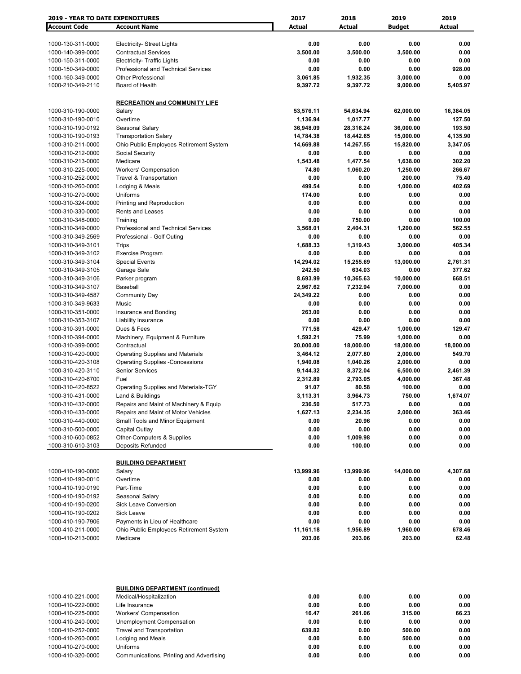| 2019 - YEAR TO DATE EXPENDITURES       |                                                                         | 2017                  | 2018                   | 2019                   | 2019                |
|----------------------------------------|-------------------------------------------------------------------------|-----------------------|------------------------|------------------------|---------------------|
| <b>Account Code</b>                    | <b>Account Name</b>                                                     | Actual                | Actual                 | <b>Budget</b>          | <b>Actual</b>       |
|                                        |                                                                         |                       |                        |                        |                     |
| 1000-130-311-0000                      | <b>Electricity- Street Lights</b>                                       | 0.00                  | 0.00                   | 0.00                   | 0.00                |
| 1000-140-399-0000                      | <b>Contractual Services</b>                                             | 3,500.00              | 3,500.00               | 3,500.00               | 0.00                |
| 1000-150-311-0000                      | <b>Electricity- Traffic Lights</b>                                      | 0.00                  | 0.00                   | 0.00                   | 0.00                |
| 1000-150-349-0000                      | <b>Professional and Technical Services</b>                              | 0.00                  | 0.00                   | 0.00                   | 928.00              |
| 1000-160-349-0000                      | <b>Other Professional</b>                                               | 3,061.85              | 1,932.35               | 3,000.00               | 0.00                |
| 1000-210-349-2110                      | Board of Health                                                         | 9,397.72              | 9,397.72               | 9,000.00               | 5,405.97            |
|                                        |                                                                         |                       |                        |                        |                     |
|                                        | <b>RECREATION and COMMUNITY LIFE</b>                                    |                       |                        |                        |                     |
| 1000-310-190-0000                      | Salary                                                                  | 53,576.11             | 54,634.94              | 62,000.00              | 16,384.05           |
| 1000-310-190-0010<br>1000-310-190-0192 | Overtime                                                                | 1,136.94<br>36,948.09 | 1,017.77               | 0.00                   | 127.50              |
| 1000-310-190-0193                      | Seasonal Salary                                                         | 14,784.38             | 28,316.24<br>18,442.65 | 36,000.00<br>15,000.00 | 193.50<br>4,135.90  |
| 1000-310-211-0000                      | <b>Transportation Salary</b><br>Ohio Public Employees Retirement System | 14,669.88             | 14,267.55              | 15,820.00              | 3,347.05            |
| 1000-310-212-0000                      | Social Security                                                         | 0.00                  | 0.00                   | 0.00                   | 0.00                |
| 1000-310-213-0000                      | Medicare                                                                | 1,543.48              | 1,477.54               | 1,638.00               | 302.20              |
| 1000-310-225-0000                      | <b>Workers' Compensation</b>                                            | 74.80                 | 1,060.20               | 1,250.00               | 266.67              |
| 1000-310-252-0000                      | <b>Travel &amp; Transportation</b>                                      | 0.00                  | 0.00                   | 200.00                 | 75.40               |
| 1000-310-260-0000                      | Lodging & Meals                                                         | 499.54                | 0.00                   | 1,000.00               | 402.69              |
| 1000-310-270-0000                      | Uniforms                                                                | 174.00                | 0.00                   | 0.00                   | 0.00                |
| 1000-310-324-0000                      | Printing and Reproduction                                               | 0.00                  | 0.00                   | 0.00                   | 0.00                |
| 1000-310-330-0000                      | Rents and Leases                                                        | 0.00                  | 0.00                   | 0.00                   | 0.00                |
| 1000-310-348-0000                      | Training                                                                | 0.00                  | 750.00                 | 0.00                   | 100.00              |
| 1000-310-349-0000                      | Professional and Technical Services                                     | 3,568.01              | 2,404.31               | 1,200.00               | 562.55              |
| 1000-310-349-2569                      | Professional - Golf Outing                                              | 0.00                  | 0.00                   | 0.00                   | 0.00                |
| 1000-310-349-3101                      | Trips                                                                   | 1,688.33              | 1,319.43               | 3,000.00               | 405.34              |
| 1000-310-349-3102                      | <b>Exercise Program</b>                                                 | 0.00                  | 0.00                   | 0.00                   | 0.00                |
| 1000-310-349-3104                      | <b>Special Events</b>                                                   | 14,294.02             | 15,255.69              | 13,000.00              | 2,761.31            |
| 1000-310-349-3105                      | Garage Sale                                                             | 242.50                | 634.03                 | 0.00                   | 377.62              |
| 1000-310-349-3106                      | Parker program                                                          | 8,693.99              | 10,365.63              | 10,000.00              | 668.51              |
| 1000-310-349-3107                      | Baseball                                                                | 2,967.62              | 7,232.94               | 7,000.00               | 0.00                |
| 1000-310-349-4587                      | <b>Community Day</b>                                                    | 24,349.22             | 0.00                   | 0.00                   | 0.00                |
| 1000-310-349-9633                      | Music                                                                   | 0.00                  | 0.00                   | 0.00                   | 0.00                |
| 1000-310-351-0000                      | Insurance and Bonding                                                   | 263.00                | 0.00                   | 0.00                   | 0.00                |
| 1000-310-353-3107                      | Liability Insurance                                                     | 0.00                  | 0.00                   | 0.00                   | 0.00                |
| 1000-310-391-0000                      | Dues & Fees                                                             | 771.58                | 429.47                 | 1,000.00               | 129.47              |
| 1000-310-394-0000                      | Machinery, Equipment & Furniture                                        | 1,592.21              | 75.99                  | 1,000.00               | 0.00                |
| 1000-310-399-0000<br>1000-310-420-0000 | Contractual<br><b>Operating Supplies and Materials</b>                  | 20,000.00<br>3,464.12 | 18,000.00<br>2,077.80  | 18,000.00<br>2,000.00  | 18,000.00<br>549.70 |
| 1000-310-420-3108                      | <b>Operating Supplies -Concessions</b>                                  | 1,940.08              | 1,040.26               | 2,000.00               | 0.00                |
| 1000-310-420-3110                      | <b>Senior Services</b>                                                  | 9,144.32              | 8,372.04               | 6,500.00               | 2,461.39            |
| 1000-310-420-6700                      | Fuel                                                                    | 2,312.89              | 2,793.05               | 4,000.00               | 367.48              |
| 1000-310-420-8522                      | Operating Supplies and Materials-TGY                                    | 91.07                 | 80.58                  | 100.00                 | 0.00                |
| 1000-310-431-0000                      | Land & Buildings                                                        | 3,113.31              | 3,964.73               | 750.00                 | 1,674.07            |
| 1000-310-432-0000                      | Repairs and Maint of Machinery & Equip                                  | 236.50                | 517.73                 | 0.00                   | 0.00                |
| 1000-310-433-0000                      | Repairs and Maint of Motor Vehicles                                     | 1,627.13              | 2,234.35               | 2,000.00               | 363.46              |
| 1000-310-440-0000                      | Small Tools and Minor Equipment                                         | 0.00                  | 20.96                  | 0.00                   | 0.00                |
| 1000-310-500-0000                      | Capital Outlay                                                          | 0.00                  | 0.00                   | 0.00                   | 0.00                |
| 1000-310-600-0852                      | Other-Computers & Supplies                                              | 0.00                  | 1,009.98               | 0.00                   | 0.00                |
| 1000-310-610-3103                      | Deposits Refunded                                                       | 0.00                  | 100.00                 | 0.00                   | 0.00                |
|                                        |                                                                         |                       |                        |                        |                     |
|                                        | <b>BUILDING DEPARTMENT</b>                                              |                       |                        |                        |                     |
| 1000-410-190-0000                      | Salary                                                                  | 13,999.96             | 13,999.96              | 14,000.00              | 4,307.68            |
| 1000-410-190-0010                      | Overtime                                                                | 0.00                  | 0.00                   | 0.00                   | 0.00                |
| 1000-410-190-0190                      | Part-Time                                                               | 0.00                  | 0.00                   | 0.00                   | 0.00                |
| 1000-410-190-0192                      | Seasonal Salary                                                         | 0.00                  | 0.00                   | 0.00                   | 0.00                |
| 1000-410-190-0200                      | Sick Leave Conversion                                                   | 0.00                  | 0.00                   | 0.00                   | 0.00                |
| 1000-410-190-0202                      | <b>Sick Leave</b>                                                       | 0.00                  | 0.00                   | 0.00                   | 0.00                |
| 1000-410-190-7906                      | Payments in Lieu of Healthcare                                          | 0.00                  | 0.00                   | 0.00                   | 0.00                |
| 1000-410-211-0000                      | Ohio Public Employees Retirement System                                 | 11,161.18             | 1,956.89               | 1,960.00               | 678.46              |
| 1000-410-213-0000                      | Medicare                                                                | 203.06                | 203.06                 | 203.00                 | 62.48               |
|                                        |                                                                         |                       |                        |                        |                     |
|                                        | <b>BUILDING DEPARTMENT (continued)</b>                                  |                       |                        |                        |                     |
| 1000-410-221-0000                      | Medical/Hospitalization                                                 | 0.00                  | 0.00                   | 0.00                   | 0.00                |
| 1000-410-222-0000                      | Life Insurance                                                          | 0.00                  | 0.00                   | 0.00                   | 0.00                |
| 1000-410-225-0000                      | <b>Workers' Compensation</b>                                            | 16.47                 | 261.06                 | 315.00                 | 66.23               |
| 1000-410-240-0000                      | Unemployment Compensation                                               | 0.00                  | 0.00                   | 0.00                   | 0.00                |
| 1000-410-252-0000                      | <b>Travel and Transportation</b>                                        | 639.82                | 0.00                   | 500.00                 | 0.00                |
| 1000-410-260-0000                      | Lodging and Meals                                                       | 0.00                  | 0.00                   | 500.00                 | 0.00                |

1000-410-270-0000 Uniforms **0.00 0.00 0.00 0.00** 1000-410-320-0000 Communications, Printing and Advertising **0.00 0.00 0.00 0.00**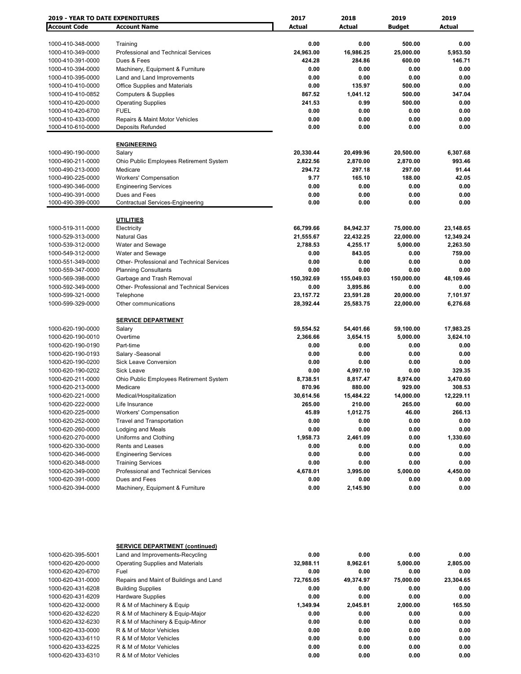| <b>2019 - YEAR TO DATE EXPENDITURES</b> |                                                   | 2017       | 2018          | 2019          | 2019      |
|-----------------------------------------|---------------------------------------------------|------------|---------------|---------------|-----------|
| <b>Account Code</b>                     | <b>Account Name</b>                               | Actual     | <b>Actual</b> | <b>Budget</b> | Actual    |
|                                         |                                                   |            |               |               |           |
| 1000-410-348-0000                       | Training                                          | 0.00       | 0.00          | 500.00        | 0.00      |
| 1000-410-349-0000                       | <b>Professional and Technical Services</b>        | 24,963.00  | 16,986.25     | 25,000.00     | 5,953.50  |
| 1000-410-391-0000                       | Dues & Fees                                       | 424.28     | 284.86        | 600.00        | 146.71    |
| 1000-410-394-0000                       | Machinery, Equipment & Furniture                  | 0.00       | 0.00          | 0.00          | 0.00      |
| 1000-410-395-0000                       | Land and Land Improvements                        | 0.00       | 0.00          | 0.00          | 0.00      |
| 1000-410-410-0000                       | <b>Office Supplies and Materials</b>              | 0.00       | 135.97        | 500.00        | 0.00      |
| 1000-410-410-0852                       | <b>Computers &amp; Supplies</b>                   | 867.52     | 1,041.12      | 500.00        | 347.04    |
| 1000-410-420-0000                       | <b>Operating Supplies</b>                         | 241.53     | 0.99          | 500.00        | 0.00      |
| 1000-410-420-6700                       | <b>FUEL</b>                                       | 0.00       | 0.00          | 0.00          | 0.00      |
| 1000-410-433-0000                       | <b>Repairs &amp; Maint Motor Vehicles</b>         | 0.00       | 0.00          | 0.00          | 0.00      |
| 1000-410-610-0000                       | <b>Deposits Refunded</b>                          | 0.00       | 0.00          | 0.00          | 0.00      |
|                                         | <b>ENGINEERING</b>                                |            |               |               |           |
| 1000-490-190-0000                       | Salary                                            | 20,330.44  | 20,499.96     | 20,500.00     | 6,307.68  |
| 1000-490-211-0000                       | Ohio Public Employees Retirement System           | 2,822.56   | 2,870.00      | 2,870.00      | 993.46    |
| 1000-490-213-0000                       | Medicare                                          | 294.72     | 297.18        | 297.00        | 91.44     |
| 1000-490-225-0000                       | <b>Workers' Compensation</b>                      | 9.77       | 165.10        | 188.00        | 42.05     |
| 1000-490-346-0000                       | <b>Engineering Services</b>                       | 0.00       | 0.00          | 0.00          | 0.00      |
| 1000-490-391-0000                       | Dues and Fees                                     | 0.00       | 0.00          | 0.00          | 0.00      |
| 1000-490-399-0000                       | Contractual Services-Engineering                  | 0.00       | 0.00          | 0.00          | 0.00      |
|                                         |                                                   |            |               |               |           |
|                                         | <b>UTILITIES</b>                                  |            |               |               |           |
| 1000-519-311-0000                       | Electricity                                       | 66,799.66  | 84,942.37     | 75,000.00     | 23,148.65 |
| 1000-529-313-0000                       | <b>Natural Gas</b>                                | 21,555.67  | 22,432.25     | 22,000.00     | 12,349.24 |
| 1000-539-312-0000                       | Water and Sewage                                  | 2,788.53   | 4,255.17      | 5,000.00      | 2,263.50  |
| 1000-549-312-0000                       | Water and Sewage                                  | 0.00       | 843.05        | 0.00          | 759.00    |
| 1000-551-349-0000                       | Other- Professional and Technical Services        | 0.00       | 0.00          | 0.00          | 0.00      |
| 1000-559-347-0000                       | <b>Planning Consultants</b>                       | 0.00       | 0.00          | 0.00          | 0.00      |
| 1000-569-398-0000                       | Garbage and Trash Removal                         | 150,392.69 | 155,049.03    | 150,000.00    | 48,109.46 |
| 1000-592-349-0000                       | <b>Other- Professional and Technical Services</b> | 0.00       | 3,895.86      | 0.00          | 0.00      |
| 1000-599-321-0000                       | Telephone                                         | 23,157.72  | 23,591.28     | 20,000.00     | 7,101.97  |
| 1000-599-329-0000                       | Other communications                              | 28,392.44  | 25,583.75     | 22,000.00     | 6,276.68  |
|                                         | <b>SERVICE DEPARTMENT</b>                         |            |               |               |           |
| 1000-620-190-0000                       | Salary                                            | 59,554.52  | 54,401.66     | 59,100.00     | 17,983.25 |
|                                         | Overtime                                          |            |               |               |           |
| 1000-620-190-0010<br>1000-620-190-0190  |                                                   | 2,366.66   | 3,654.15      | 5,000.00      | 3,624.10  |
|                                         | Part-time                                         | 0.00       | 0.00          | 0.00          | 0.00      |
| 1000-620-190-0193                       | Salary -Seasonal                                  | 0.00       | 0.00          | 0.00          | 0.00      |
| 1000-620-190-0200                       | <b>Sick Leave Conversion</b>                      | 0.00       | 0.00          | 0.00          | 0.00      |
| 1000-620-190-0202                       | Sick Leave                                        | 0.00       | 4,997.10      | 0.00          | 329.35    |
| 1000-620-211-0000                       | Ohio Public Employees Retirement System           | 8,738.51   | 8,817.47      | 8,974.00      | 3,470.60  |
| 1000-620-213-0000                       | Medicare                                          | 870.96     | 880.00        | 929.00        | 308.53    |
| 1000-620-221-0000                       | Medical/Hospitalization                           | 30,614.56  | 15,484.22     | 14,000.00     | 12,229.11 |
| 1000-620-222-0000                       | Life Insurance                                    | 265.00     | 210.00        | 265.00        | 60.00     |
| 1000-620-225-0000                       | <b>Workers' Compensation</b>                      | 45.89      | 1,012.75      | 46.00         | 266.13    |
| 1000-620-252-0000                       | <b>Travel and Transportation</b>                  | 0.00       | 0.00          | 0.00          | 0.00      |
| 1000-620-260-0000                       | Lodging and Meals                                 | 0.00       | 0.00          | 0.00          | 0.00      |
| 1000-620-270-0000                       | Uniforms and Clothing                             | 1,958.73   | 2,461.09      | 0.00          | 1,330.60  |
| 1000-620-330-0000                       | Rents and Leases                                  | 0.00       | 0.00          | 0.00          | 0.00      |
| 1000-620-346-0000                       | <b>Engineering Services</b>                       | 0.00       | 0.00          | 0.00          | 0.00      |
| 1000-620-348-0000                       | <b>Training Services</b>                          | 0.00       | 0.00          | 0.00          | 0.00      |
| 1000-620-349-0000                       | Professional and Technical Services               | 4,678.01   | 3,995.00      | 5,000.00      | 4,450.00  |
| 1000-620-391-0000                       | Dues and Fees                                     | 0.00       | 0.00          | 0.00          | 0.00      |
| 1000-620-394-0000                       | Machinery, Equipment & Furniture                  | 0.00       | 2,145.90      | 0.00          | 0.00      |

|                   | <b>SERVICE DEPARTMENT (continued)</b>   |           |           |           |           |
|-------------------|-----------------------------------------|-----------|-----------|-----------|-----------|
| 1000-620-395-5001 | Land and Improvements-Recycling         | 0.00      | 0.00      | 0.00      | 0.00      |
| 1000-620-420-0000 | Operating Supplies and Materials        | 32.988.11 | 8.962.61  | 5,000.00  | 2,805.00  |
| 1000-620-420-6700 | Fuel                                    | 0.00      | 0.00      | 0.00      | 0.00      |
| 1000-620-431-0000 | Repairs and Maint of Buildings and Land | 72,765.05 | 49.374.97 | 75,000.00 | 23,304.65 |
| 1000-620-431-6208 | <b>Building Supplies</b>                | 0.00      | 0.00      | 0.00      | 0.00      |
| 1000-620-431-6209 | <b>Hardware Supplies</b>                | 0.00      | 0.00      | 0.00      | 0.00      |
| 1000-620-432-0000 | R & M of Machinery & Equip              | 1.349.94  | 2.045.81  | 2.000.00  | 165.50    |
| 1000-620-432-6220 | R & M of Machinery & Equip-Major        | 0.00      | 0.00      | 0.00      | 0.00      |
| 1000-620-432-6230 | R & M of Machinery & Equip-Minor        | 0.00      | 0.00      | 0.00      | 0.00      |
| 1000-620-433-0000 | R & M of Motor Vehicles                 | 0.00      | 0.00      | 0.00      | 0.00      |
| 1000-620-433-6110 | R & M of Motor Vehicles                 | 0.00      | 0.00      | 0.00      | 0.00      |
| 1000-620-433-6225 | R & M of Motor Vehicles                 | 0.00      | 0.00      | 0.00      | 0.00      |
| 1000-620-433-6310 | R & M of Motor Vehicles                 | 0.00      | 0.00      | 0.00      | 0.00      |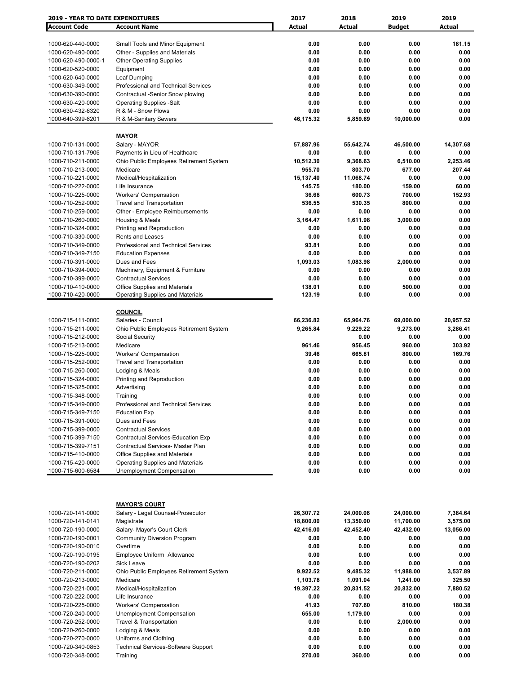| <b>2019 - YEAR TO DATE EXPENDITURES</b> |                                            | 2017      | 2018          | 2019          | 2019      |
|-----------------------------------------|--------------------------------------------|-----------|---------------|---------------|-----------|
| <b>Account Code</b>                     | <b>Account Name</b>                        | Actual    | <b>Actual</b> | <b>Budget</b> | Actual    |
|                                         |                                            |           |               |               |           |
| 1000-620-440-0000                       | Small Tools and Minor Equipment            | 0.00      | 0.00          | 0.00          | 181.15    |
| 1000-620-490-0000                       | Other - Supplies and Materials             | 0.00      | 0.00          | 0.00          | 0.00      |
| 1000-620-490-0000-1                     |                                            | 0.00      | 0.00          | 0.00          | 0.00      |
|                                         | <b>Other Operating Supplies</b>            |           |               |               |           |
| 1000-620-520-0000                       | Equipment                                  | 0.00      | 0.00          | 0.00          | 0.00      |
| 1000-620-640-0000                       | Leaf Dumping                               | 0.00      | 0.00          | 0.00          | 0.00      |
| 1000-630-349-0000                       | Professional and Technical Services        | 0.00      | 0.00          | 0.00          | 0.00      |
| 1000-630-390-0000                       | Contractual -Senior Snow plowing           | 0.00      | 0.00          | 0.00          | 0.00      |
| 1000-630-420-0000                       | <b>Operating Supplies -Salt</b>            | 0.00      | 0.00          | 0.00          | 0.00      |
| 1000-630-432-6320                       | R & M - Snow Plows                         | 0.00      | 0.00          | 0.00          | 0.00      |
| 1000-640-399-6201                       | R & M-Sanitary Sewers                      | 46,175.32 | 5,859.69      | 10,000.00     | 0.00      |
|                                         |                                            |           |               |               |           |
|                                         | <b>MAYOR</b>                               |           |               |               |           |
| 1000-710-131-0000                       | Salary - MAYOR                             | 57,887.96 | 55,642.74     | 46,500.00     | 14,307.68 |
| 1000-710-131-7906                       | Payments in Lieu of Healthcare             | 0.00      | 0.00          | 0.00          | 0.00      |
| 1000-710-211-0000                       | Ohio Public Employees Retirement System    | 10,512.30 | 9,368.63      | 6,510.00      | 2,253.46  |
| 1000-710-213-0000                       | Medicare                                   | 955.70    | 803.70        | 677.00        | 207.44    |
|                                         |                                            |           |               |               |           |
| 1000-710-221-0000                       | Medical/Hospitalization                    | 15,137.40 | 11,068.74     | 0.00          | 0.00      |
| 1000-710-222-0000                       | Life Insurance                             | 145.75    | 180.00        | 159.00        | 60.00     |
| 1000-710-225-0000                       | <b>Workers' Compensation</b>               | 36.68     | 600.73        | 700.00        | 152.93    |
| 1000-710-252-0000                       | <b>Travel and Transportation</b>           | 536.55    | 530.35        | 800.00        | 0.00      |
| 1000-710-259-0000                       | Other - Employee Reimbursements            | 0.00      | 0.00          | 0.00          | 0.00      |
| 1000-710-260-0000                       | Housing & Meals                            | 3,164.47  | 1,611.98      | 3,000.00      | 0.00      |
| 1000-710-324-0000                       | Printing and Reproduction                  | 0.00      | 0.00          | 0.00          | 0.00      |
| 1000-710-330-0000                       | <b>Rents and Leases</b>                    | 0.00      | 0.00          | 0.00          | 0.00      |
| 1000-710-349-0000                       | <b>Professional and Technical Services</b> | 93.81     | 0.00          | 0.00          | 0.00      |
| 1000-710-349-7150                       | <b>Education Expenses</b>                  | 0.00      | 0.00          | 0.00          | 0.00      |
| 1000-710-391-0000                       | Dues and Fees                              | 1,093.03  | 1,083.98      | 2,000.00      | 0.00      |
|                                         |                                            |           |               |               |           |
| 1000-710-394-0000                       | Machinery, Equipment & Furniture           | 0.00      | 0.00          | 0.00          | 0.00      |
| 1000-710-399-0000                       | <b>Contractual Services</b>                | 0.00      | 0.00          | 0.00          | 0.00      |
| 1000-710-410-0000                       | Office Supplies and Materials              | 138.01    | 0.00          | 500.00        | 0.00      |
| 1000-710-420-0000                       | <b>Operating Supplies and Materials</b>    | 123.19    | 0.00          | 0.00          | 0.00      |
|                                         |                                            |           |               |               |           |
|                                         | <b>COUNCIL</b>                             |           |               |               |           |
| 1000-715-111-0000                       | Salaries - Council                         | 66,236.82 | 65,964.76     | 69,000.00     | 20,957.52 |
| 1000-715-211-0000                       | Ohio Public Employees Retirement System    | 9,265.84  | 9,229.22      | 9,273.00      | 3,286.41  |
| 1000-715-212-0000                       | Social Security                            |           | 0.00          | 0.00          | 0.00      |
| 1000-715-213-0000                       | Medicare                                   | 961.46    | 956.45        | 960.00        | 303.92    |
| 1000-715-225-0000                       | <b>Workers' Compensation</b>               | 39.46     | 665.81        | 800.00        | 169.76    |
| 1000-715-252-0000                       | <b>Travel and Transportation</b>           | 0.00      | 0.00          | 0.00          | 0.00      |
| 1000-715-260-0000                       |                                            | 0.00      | 0.00          | 0.00          | 0.00      |
|                                         | Lodging & Meals                            |           |               |               |           |
| 1000-715-324-0000                       | Printing and Reproduction                  | 0.00      | 0.00          | 0.00          | 0.00      |
| 1000-715-325-0000                       | Advertising                                | 0.00      | 0.00          | 0.00          | 0.00      |
| 1000-715-348-0000                       | Training                                   | 0.00      | 0.00          | 0.00          | 0.00      |
| 1000-715-349-0000                       | Professional and Technical Services        | 0.00      | 0.00          | 0.00          | 0.00      |
| 1000-715-349-7150                       | <b>Education Exp</b>                       | 0.00      | 0.00          | 0.00          | 0.00      |
| 1000-715-391-0000                       | Dues and Fees                              | 0.00      | 0.00          | 0.00          | 0.00      |
| 1000-715-399-0000                       | <b>Contractual Services</b>                | 0.00      | 0.00          | 0.00          | 0.00      |
| 1000-715-399-7150                       | Contractual Services-Education Exp         | 0.00      | 0.00          | 0.00          | 0.00      |
| 1000-715-399-7151                       | Contractual Services- Master Plan          | 0.00      | 0.00          | 0.00          | 0.00      |
| 1000-715-410-0000                       | Office Supplies and Materials              | 0.00      | 0.00          | 0.00          | 0.00      |
| 1000-715-420-0000                       | <b>Operating Supplies and Materials</b>    | 0.00      | 0.00          | 0.00          | 0.00      |
| 1000-715-600-6584                       | Unemployment Compensation                  | 0.00      | 0.00          | 0.00          | 0.00      |
|                                         |                                            |           |               |               |           |
|                                         |                                            |           |               |               |           |
|                                         |                                            |           |               |               |           |
|                                         |                                            |           |               |               |           |
|                                         | <b>MAYOR'S COURT</b>                       |           |               |               |           |
| 1000-720-141-0000                       | Salary - Legal Counsel-Prosecutor          | 26,307.72 | 24,000.08     | 24,000.00     | 7,384.64  |
| 1000-720-141-0141                       | Magistrate                                 | 18,800.00 | 13,350.00     | 11,700.00     | 3,575.00  |
| 1000-720-190-0000                       | Salary- Mayor's Court Clerk                | 42,416.00 | 42,452.40     | 42,432.00     | 13,056.00 |
| 1000-720-190-0001                       | <b>Community Diversion Program</b>         | 0.00      | 0.00          | 0.00          | 0.00      |
| 1000-720-190-0010                       | Overtime                                   | 0.00      | 0.00          | 0.00          | 0.00      |
| 1000-720-190-0195                       | Employee Uniform Allowance                 | 0.00      | 0.00          | 0.00          | 0.00      |
| 1000-720-190-0202                       | Sick Leave                                 | 0.00      | 0.00          | 0.00          | 0.00      |
| 1000-720-211-0000                       | Ohio Public Employees Retirement System    | 9,922.52  | 9,485.32      | 11,988.00     | 3,537.89  |
|                                         | Medicare                                   |           |               |               |           |
| 1000-720-213-0000                       |                                            | 1,103.78  | 1,091.04      | 1,241.00      | 325.50    |
| 1000-720-221-0000                       | Medical/Hospitalization                    | 19,397.22 | 20,831.52     | 20,832.00     | 7,880.52  |
| 1000-720-222-0000                       | Life Insurance                             | 0.00      | 0.00          | 0.00          | 0.00      |
| 1000-720-225-0000                       | <b>Workers' Compensation</b>               | 41.93     | 707.60        | 810.00        | 180.38    |
| 1000-720-240-0000                       | Unemployment Compensation                  | 655.00    | 1,179.00      | 0.00          | 0.00      |
| 1000-720-252-0000                       | <b>Travel &amp; Transportation</b>         | 0.00      | 0.00          | 2,000.00      | 0.00      |
| 1000-720-260-0000                       | Lodging & Meals                            | 0.00      | 0.00          | 0.00          | 0.00      |
| 1000-720-270-0000                       | Uniforms and Clothing                      | 0.00      | 0.00          | 0.00          | 0.00      |
| 1000-720-340-0853                       | <b>Technical Services-Software Support</b> | 0.00      | 0.00          | 0.00          | 0.00      |
| 1000-720-348-0000                       | Training                                   | 270.00    | 360.00        | 0.00          | 0.00      |
|                                         |                                            |           |               |               |           |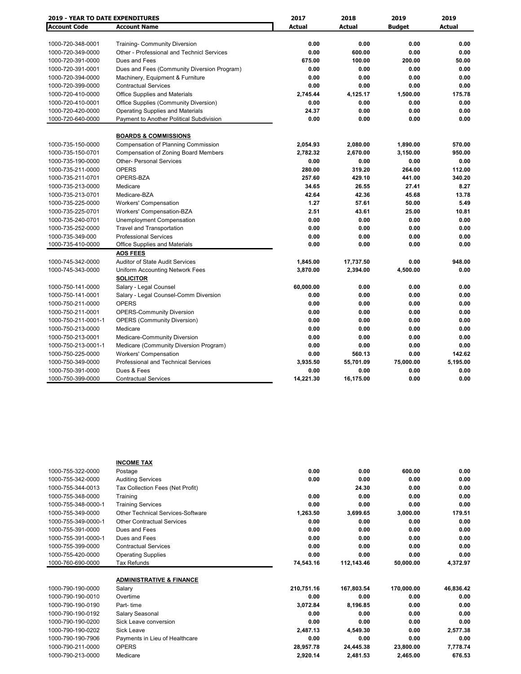| <b>2019 - YEAR TO DATE EXPENDITURES</b> |                                             | 2017          | 2018          | 2019          | 2019          |
|-----------------------------------------|---------------------------------------------|---------------|---------------|---------------|---------------|
| <b>Account Code</b>                     | <b>Account Name</b>                         | <b>Actual</b> | <b>Actual</b> | <b>Budget</b> | <b>Actual</b> |
|                                         |                                             |               |               |               |               |
| 1000-720-348-0001                       | <b>Training- Community Diversion</b>        | 0.00          | 0.00          | 0.00          | 0.00          |
| 1000-720-349-0000                       | Other - Professional and Technicl Services  | 0.00          | 600.00        | 0.00          | 0.00          |
| 1000-720-391-0000                       | Dues and Fees                               | 675.00        | 100.00        | 200.00        | 50.00         |
| 1000-720-391-0001                       | Dues and Fees (Community Diversion Program) | 0.00          | 0.00          | 0.00          | 0.00          |
| 1000-720-394-0000                       | Machinery, Equipment & Furniture            | 0.00          | 0.00          | 0.00          | 0.00          |
| 1000-720-399-0000                       | <b>Contractual Services</b>                 | 0.00          | 0.00          | 0.00          | 0.00          |
| 1000-720-410-0000                       | Office Supplies and Materials               | 2,745.44      | 4,125.17      | 1,500.00      | 175.78        |
| 1000-720-410-0001                       | Office Supplies (Community Diversion)       | 0.00          | 0.00          | 0.00          | 0.00          |
| 1000-720-420-0000                       | <b>Operating Supplies and Materials</b>     | 24.37         | 0.00          | 0.00          | 0.00          |
| 1000-720-640-0000                       | Payment to Another Political Subdivision    | 0.00          | 0.00          | 0.00          | 0.00          |
|                                         | <b>BOARDS &amp; COMMISSIONS</b>             |               |               |               |               |
| 1000-735-150-0000                       | <b>Compensation of Planning Commission</b>  | 2,054.93      | 2,080.00      | 1,890.00      | 570.00        |
| 1000-735-150-0701                       | <b>Compensation of Zoning Board Members</b> | 2,782.32      | 2,670.00      | 3,150.00      | 950.00        |
| 1000-735-190-0000                       | <b>Other- Personal Services</b>             | 0.00          | 0.00          | 0.00          | 0.00          |
| 1000-735-211-0000                       | <b>OPERS</b>                                | 280.00        | 319.20        | 264.00        | 112.00        |
| 1000-735-211-0701                       | OPERS-BZA                                   | 257.60        | 429.10        | 441.00        | 340.20        |
| 1000-735-213-0000                       | Medicare                                    | 34.65         | 26.55         | 27.41         | 8.27          |
| 1000-735-213-0701                       | Medicare-BZA                                | 42.64         | 42.36         | 45.68         | 13.78         |
| 1000-735-225-0000                       | <b>Workers' Compensation</b>                | 1.27          | 57.61         | 50.00         | 5.49          |
| 1000-735-225-0701                       | Workers' Compensation-BZA                   | 2.51          | 43.61         | 25.00         | 10.81         |
| 1000-735-240-0701                       | Unemployment Compensation                   | 0.00          | 0.00          | 0.00          | 0.00          |
| 1000-735-252-0000                       | <b>Travel and Transportation</b>            | 0.00          | 0.00          | 0.00          | 0.00          |
| 1000-735-349-000                        | <b>Professional Services</b>                | 0.00          | 0.00          | 0.00          | 0.00          |
| 1000-735-410-0000                       | Office Supplies and Materials               | 0.00          | 0.00          | 0.00          | 0.00          |
|                                         | <b>AOS FEES</b>                             |               |               |               |               |
| 1000-745-342-0000                       | <b>Auditor of State Audit Services</b>      | 1,845.00      | 17,737.50     | 0.00          | 948.00        |
| 1000-745-343-0000                       | Uniform Accounting Network Fees             | 3,870.00      | 2,394.00      | 4,500.00      | 0.00          |
|                                         | <b>SOLICITOR</b>                            |               |               |               |               |
| 1000-750-141-0000                       | Salary - Legal Counsel                      | 60,000.00     | 0.00          | 0.00          | 0.00          |
| 1000-750-141-0001                       | Salary - Legal Counsel-Comm Diversion       | 0.00          | 0.00          | 0.00          | 0.00          |
| 1000-750-211-0000                       | <b>OPERS</b>                                | 0.00          | 0.00          | 0.00          | 0.00          |
| 1000-750-211-0001                       | <b>OPERS-Community Diversion</b>            | 0.00          | 0.00          | 0.00          | 0.00          |
| 1000-750-211-0001-1                     | <b>OPERS (Community Diversion)</b>          | 0.00          | 0.00          | 0.00          | 0.00          |
| 1000-750-213-0000                       | Medicare                                    | 0.00          | 0.00          | 0.00          | 0.00          |
| 1000-750-213-0001                       | <b>Medicare-Community Diversion</b>         | 0.00          | 0.00          | 0.00          | 0.00          |
| 1000-750-213-0001-1                     | Medicare (Community Diversion Program)      | 0.00          | 0.00          | 0.00          | 0.00          |
| 1000-750-225-0000                       | <b>Workers' Compensation</b>                | 0.00          | 560.13        | 0.00          | 142.62        |
| 1000-750-349-0000                       | Professional and Technical Services         | 3,935.50      | 55,701.09     | 75,000.00     | 5,195.00      |
| 1000-750-391-0000                       | Dues & Fees                                 | 0.00          | 0.00          | 0.00          | 0.00          |
| 1000-750-399-0000                       | <b>Contractual Services</b>                 | 14,221.30     | 16,175.00     | 0.00          | 0.00          |

|                     | <b>INCOME TAX</b>                   |            |            |            |           |
|---------------------|-------------------------------------|------------|------------|------------|-----------|
| 1000-755-322-0000   | Postage                             | 0.00       | 0.00       | 600.00     | 0.00      |
| 1000-755-342-0000   | <b>Auditing Services</b>            | 0.00       | 0.00       | 0.00       | 0.00      |
| 1000-755-344-0013   | Tax Collection Fees (Net Profit)    |            | 24.30      | 0.00       | 0.00      |
| 1000-755-348-0000   | Training                            | 0.00       | 0.00       | 0.00       | 0.00      |
| 1000-755-348-0000-1 | <b>Training Services</b>            | 0.00       | 0.00       | 0.00       | 0.00      |
| 1000-755-349-0000   | Other Technical Services-Software   | 1,263.50   | 3,699.65   | 3,000.00   | 179.51    |
| 1000-755-349-0000-1 | <b>Other Contractual Services</b>   | 0.00       | 0.00       | 0.00       | 0.00      |
| 1000-755-391-0000   | Dues and Fees                       | 0.00       | 0.00       | 0.00       | 0.00      |
| 1000-755-391-0000-1 | Dues and Fees                       | 0.00       | 0.00       | 0.00       | 0.00      |
| 1000-755-399-0000   | <b>Contractual Services</b>         | 0.00       | 0.00       | 0.00       | 0.00      |
| 1000-755-420-0000   | <b>Operating Supplies</b>           | 0.00       | 0.00       | 0.00       | 0.00      |
| 1000-760-690-0000   | Tax Refunds                         | 74,543.16  | 112,143.46 | 50,000.00  | 4,372.97  |
|                     |                                     |            |            |            |           |
|                     | <b>ADMINISTRATIVE &amp; FINANCE</b> |            |            |            |           |
| 1000-790-190-0000   | Salary                              | 210,751.16 | 167,803.54 | 170,000.00 | 46,836.42 |
| 1000-790-190-0010   | Overtime                            | 0.00       | 0.00       | 0.00       | 0.00      |
| 1000-790-190-0190   | Part-time                           | 3,072.84   | 8,196.85   | 0.00       | 0.00      |
| 1000-790-190-0192   | Salary Seasonal                     | 0.00       | 0.00       | 0.00       | 0.00      |
| 1000-790-190-0200   | Sick Leave conversion               | 0.00       | 0.00       | 0.00       | 0.00      |
| 1000-790-190-0202   | <b>Sick Leave</b>                   | 2,487.13   | 4,549.30   | 0.00       | 2,577.38  |
| 1000-790-190-7906   | Payments in Lieu of Healthcare      | 0.00       | 0.00       | 0.00       | 0.00      |
| 1000-790-211-0000   | <b>OPERS</b>                        | 28,957.78  | 24,445.38  | 23,800.00  | 7,778.74  |
| 1000-790-213-0000   | Medicare                            | 2.920.14   | 2,481.53   | 2,465.00   | 676.53    |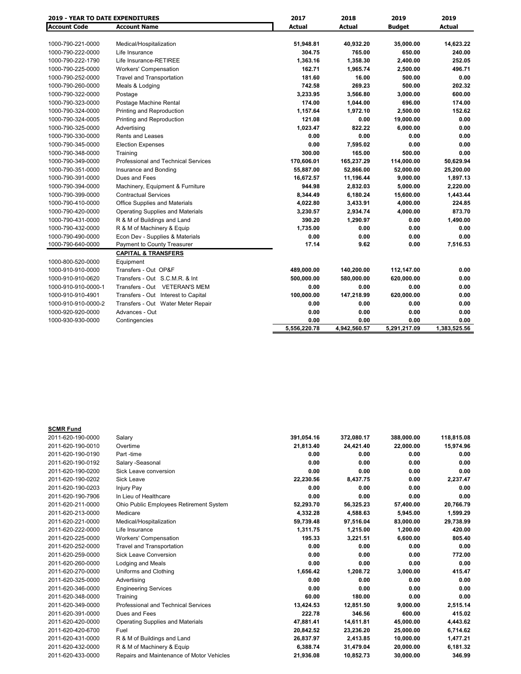| <b>2019 - YEAR TO DATE EXPENDITURES</b> |                                         | 2017         | 2018         | 2019          | 2019          |
|-----------------------------------------|-----------------------------------------|--------------|--------------|---------------|---------------|
| <b>Account Code</b>                     | <b>Account Name</b>                     | Actual       | Actual       | <b>Budget</b> | <b>Actual</b> |
|                                         |                                         |              |              |               |               |
| 1000-790-221-0000                       | Medical/Hospitalization                 | 51,948.81    | 40,932.20    | 35,000.00     | 14,623.22     |
| 1000-790-222-0000                       | Life Insurance                          | 304.75       | 765.00       | 650.00        | 240.00        |
| 1000-790-222-1790                       | Life Insurance-RETIREE                  | 1,363.16     | 1,358.30     | 2,400.00      | 252.05        |
| 1000-790-225-0000                       | <b>Workers' Compensation</b>            | 162.71       | 1,965.74     | 2,500.00      | 496.71        |
| 1000-790-252-0000                       | <b>Travel and Transportation</b>        | 181.60       | 16.00        | 500.00        | 0.00          |
| 1000-790-260-0000                       | Meals & Lodging                         | 742.58       | 269.23       | 500.00        | 202.32        |
| 1000-790-322-0000                       | Postage                                 | 3,233.95     | 3,566.80     | 3,000.00      | 600.00        |
| 1000-790-323-0000                       | Postage Machine Rental                  | 174.00       | 1,044.00     | 696.00        | 174.00        |
| 1000-790-324-0000                       | Printing and Reproduction               | 1,157.64     | 1,972.10     | 2,500.00      | 152.62        |
| 1000-790-324-0005                       | Printing and Reproduction               | 121.08       | 0.00         | 19,000.00     | 0.00          |
| 1000-790-325-0000                       | Advertising                             | 1,023.47     | 822.22       | 6,000.00      | 0.00          |
| 1000-790-330-0000                       | <b>Rents and Leases</b>                 | 0.00         | 0.00         | 0.00          | 0.00          |
| 1000-790-345-0000                       | <b>Election Expenses</b>                | 0.00         | 7,595.02     | 0.00          | 0.00          |
| 1000-790-348-0000                       | Training                                | 300.00       | 165.00       | 500.00        | 0.00          |
| 1000-790-349-0000                       | Professional and Technical Services     | 170,606.01   | 165,237.29   | 114,000.00    | 50,629.94     |
| 1000-790-351-0000                       | Insurance and Bonding                   | 55,887.00    | 52,866.00    | 52,000.00     | 25,200.00     |
| 1000-790-391-0000                       | Dues and Fees                           | 16,672.57    | 11,196.44    | 9,000.00      | 1,897.13      |
| 1000-790-394-0000                       | Machinery, Equipment & Furniture        | 944.98       | 2,832.03     | 5,000.00      | 2,220.00      |
| 1000-790-399-0000                       | <b>Contractual Services</b>             | 8,344.49     | 6,180.24     | 15,600.00     | 1,443.44      |
| 1000-790-410-0000                       | Office Supplies and Materials           | 4,022.80     | 3,433.91     | 4,000.00      | 224.85        |
| 1000-790-420-0000                       | <b>Operating Supplies and Materials</b> | 3,230.57     | 2,934.74     | 4,000.00      | 873.70        |
| 1000-790-431-0000                       | R & M of Buildings and Land             | 390.20       | 1,290.97     | 0.00          | 1,490.00      |
| 1000-790-432-0000                       | R & M of Machinery & Equip              | 1,735.00     | 0.00         | 0.00          | 0.00          |
| 1000-790-490-0000                       | Econ Dev - Supplies & Materials         | 0.00         | 0.00         | 0.00          | 0.00          |
| 1000-790-640-0000                       | Payment to County Treasurer             | 17.14        | 9.62         | 0.00          | 7,516.53      |
|                                         | <b>CAPITAL &amp; TRANSFERS</b>          |              |              |               |               |
| 1000-800-520-0000                       | Equipment                               |              |              |               |               |
| 1000-910-910-0000                       | Transfers - Out OP&F                    | 489,000.00   | 140,200.00   | 112,147.00    | 0.00          |
| 1000-910-910-0620                       | Transfers - Out S.C.M.R. & Int          | 500,000.00   | 580,000.00   | 620,000.00    | 0.00          |
| 1000-910-910-0000-1                     | Transfers - Out VETERAN'S MEM           | 0.00         | 0.00         | 0.00          | 0.00          |
| 1000-910-910-4901                       | Transfers - Out Interest to Capital     | 100,000.00   | 147,218.99   | 620,000.00    | 0.00          |
| 1000-910-910-0000-2                     | Transfers - Out Water Meter Repair      | 0.00         | 0.00         | 0.00          | 0.00          |
| 1000-920-920-0000                       | Advances - Out                          | 0.00         | 0.00         | 0.00          | 0.00          |
| 1000-930-930-0000                       | Contingencies                           | 0.00         | 0.00         | 0.00          | 0.00          |
|                                         |                                         | 5.556.220.78 | 4,942,560.57 | 5,291,217.09  | 1.383.525.56  |

| <b>SCMR Fund</b>  |                                           |            |            |            |            |
|-------------------|-------------------------------------------|------------|------------|------------|------------|
| 2011-620-190-0000 | Salary                                    | 391,054.16 | 372,080.17 | 388,000.00 | 118,815.08 |
| 2011-620-190-0010 | Overtime                                  | 21,813.40  | 24,421.40  | 22,000.00  | 15,974.96  |
| 2011-620-190-0190 | Part -time                                | 0.00       | 0.00       | 0.00       | 0.00       |
| 2011-620-190-0192 | Salary - Seasonal                         | 0.00       | 0.00       | 0.00       | 0.00       |
| 2011-620-190-0200 | Sick Leave conversion                     | 0.00       | 0.00       | 0.00       | 0.00       |
| 2011-620-190-0202 | <b>Sick Leave</b>                         | 22,230.56  | 8,437.75   | 0.00       | 2,237.47   |
| 2011-620-190-0203 | <b>Injury Pay</b>                         | 0.00       | 0.00       | 0.00       | 0.00       |
| 2011-620-190-7906 | In Lieu of Healthcare                     | 0.00       | 0.00       | 0.00       | 0.00       |
| 2011-620-211-0000 | Ohio Public Employees Retirement System   | 52,293.70  | 56,325.23  | 57,400.00  | 20,766.79  |
| 2011-620-213-0000 | Medicare                                  | 4,332.28   | 4.588.63   | 5,945.00   | 1,599.29   |
| 2011-620-221-0000 | Medical/Hospitalization                   | 59,739.48  | 97,516.04  | 83,000.00  | 29,738.99  |
| 2011-620-222-0000 | Life Insurance                            | 1,311.75   | 1,215.00   | 1,200.00   | 420.00     |
| 2011-620-225-0000 | <b>Workers' Compensation</b>              | 195.33     | 3.221.51   | 6.600.00   | 805.40     |
| 2011-620-252-0000 | <b>Travel and Transportation</b>          | 0.00       | 0.00       | 0.00       | 0.00       |
| 2011-620-259-0000 | Sick Leave Conversion                     | 0.00       | 0.00       | 0.00       | 772.00     |
| 2011-620-260-0000 | Lodging and Meals                         | 0.00       | 0.00       | 0.00       | 0.00       |
| 2011-620-270-0000 | Uniforms and Clothing                     | 1.656.42   | 1.208.72   | 3,000.00   | 415.47     |
| 2011-620-325-0000 | Advertising                               | 0.00       | 0.00       | 0.00       | 0.00       |
| 2011-620-346-0000 | <b>Engineering Services</b>               | 0.00       | 0.00       | 0.00       | 0.00       |
| 2011-620-348-0000 | Training                                  | 60.00      | 180.00     | 0.00       | 0.00       |
| 2011-620-349-0000 | Professional and Technical Services       | 13,424.53  | 12,851.50  | 9,000.00   | 2,515.14   |
| 2011-620-391-0000 | Dues and Fees                             | 222.78     | 346.56     | 600.00     | 415.02     |
| 2011-620-420-0000 | <b>Operating Supplies and Materials</b>   | 47,881.41  | 14,611.81  | 45,000.00  | 4,443.62   |
| 2011-620-420-6700 | Fuel                                      | 20,842.52  | 23,236.20  | 25,000.00  | 6,714.62   |
| 2011-620-431-0000 | R & M of Buildings and Land               | 26,837.97  | 2.413.85   | 10.000.00  | 1,477.21   |
| 2011-620-432-0000 | R & M of Machinery & Equip                | 6,388.74   | 31,479.04  | 20,000.00  | 6,181.32   |
| 2011-620-433-0000 | Repairs and Maintenance of Motor Vehicles | 21,936.08  | 10,852.73  | 30,000.00  | 346.99     |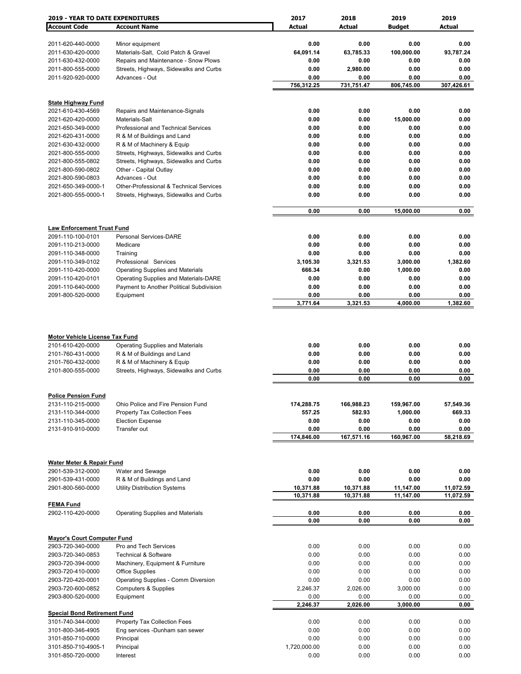| <b>2019 - YEAR TO DATE EXPENDITURES</b>                                         |                                                                        | 2017               | 2018               | 2019              | 2019              |
|---------------------------------------------------------------------------------|------------------------------------------------------------------------|--------------------|--------------------|-------------------|-------------------|
| <b>Account Code</b>                                                             | <b>Account Name</b>                                                    | <b>Actual</b>      | Actual             | <b>Budget</b>     | Actual            |
|                                                                                 |                                                                        |                    |                    |                   |                   |
| 2011-620-440-0000                                                               | Minor equipment                                                        | 0.00               | 0.00               | 0.00              | 0.00              |
| 2011-630-420-0000                                                               | Materials-Salt, Cold Patch & Gravel                                    | 64,091.14          | 63,785.33          | 100,000.00        | 93,787.24         |
| 2011-630-432-0000                                                               | Repairs and Maintenance - Snow Plows                                   | 0.00               | 0.00               | 0.00              | 0.00              |
| 2011-800-555-0000                                                               | Streets, Highways, Sidewalks and Curbs                                 | 0.00               | 2,980.00           | 0.00              | 0.00              |
| 2011-920-920-0000                                                               | Advances - Out                                                         | 0.00               | 0.00               | 0.00              | 0.00              |
|                                                                                 |                                                                        | 756,312.25         | 731,751.47         | 806,745.00        | 307,426.61        |
|                                                                                 |                                                                        |                    |                    |                   |                   |
| <b>State Highway Fund</b>                                                       |                                                                        | 0.00               | 0.00               |                   |                   |
| 2021-610-430-4569<br>2021-620-420-0000                                          | Repairs and Maintenance-Signals<br>Materials-Salt                      | 0.00               | 0.00               | 0.00<br>15,000.00 | 0.00<br>0.00      |
| 2021-650-349-0000                                                               | Professional and Technical Services                                    | 0.00               | 0.00               | 0.00              | 0.00              |
| 2021-620-431-0000                                                               | R & M of Buildings and Land                                            | 0.00               | 0.00               | 0.00              | 0.00              |
| 2021-630-432-0000                                                               | R & M of Machinery & Equip                                             | 0.00               | 0.00               | 0.00              | 0.00              |
| 2021-800-555-0000                                                               | Streets, Highways, Sidewalks and Curbs                                 | 0.00               | 0.00               | 0.00              | 0.00              |
| 2021-800-555-0802                                                               | Streets, Highways, Sidewalks and Curbs                                 | 0.00               | 0.00               | 0.00              | 0.00              |
| 2021-800-590-0802                                                               | Other - Capital Outlay                                                 | 0.00               | 0.00               | 0.00              | 0.00              |
| 2021-800-590-0803                                                               | Advances - Out                                                         | 0.00               | 0.00               | 0.00              | 0.00              |
| 2021-650-349-0000-1                                                             | Other-Professional & Technical Services                                | 0.00               | 0.00               | 0.00              | 0.00              |
| 2021-800-555-0000-1                                                             | Streets, Highways, Sidewalks and Curbs                                 | 0.00               | 0.00               | 0.00              | 0.00              |
|                                                                                 |                                                                        |                    |                    |                   |                   |
|                                                                                 |                                                                        | 0.00               | 0.00               | 15,000.00         | 0.00              |
|                                                                                 |                                                                        |                    |                    |                   |                   |
| <b>Law Enforcement Trust Fund</b>                                               |                                                                        |                    |                    |                   |                   |
| 2091-110-100-0101                                                               | <b>Personal Services-DARE</b>                                          | 0.00               | 0.00               | 0.00              | 0.00              |
| 2091-110-213-0000                                                               | Medicare                                                               | 0.00               | 0.00               | 0.00              | 0.00              |
| 2091-110-348-0000                                                               | Training                                                               | 0.00               | 0.00               | 0.00              | 0.00              |
| 2091-110-349-0102                                                               | Professional Services                                                  | 3,105.30           | 3,321.53           | 3,000.00          | 1,382.60          |
| 2091-110-420-0000                                                               | <b>Operating Supplies and Materials</b>                                | 666.34             | 0.00               | 1,000.00          | 0.00              |
| 2091-110-420-0101                                                               | Operating Supplies and Materials-DARE                                  | 0.00               | 0.00               | 0.00              | 0.00              |
| 2091-110-640-0000<br>2091-800-520-0000                                          | Payment to Another Political Subdivision<br>Equipment                  | 0.00<br>0.00       | 0.00<br>0.00       | 0.00<br>0.00      | 0.00<br>0.00      |
|                                                                                 |                                                                        | 3,771.64           | 3,321.53           | 4,000.00          | 1,382.60          |
|                                                                                 |                                                                        |                    |                    |                   |                   |
| <b>Motor Vehicle License Tax Fund</b><br>2101-610-420-0000<br>2101-760-431-0000 | <b>Operating Supplies and Materials</b><br>R & M of Buildings and Land | 0.00<br>0.00       | 0.00<br>0.00       | 0.00<br>0.00      | 0.00<br>0.00      |
| 2101-760-432-0000                                                               | R & M of Machinery & Equip                                             | 0.00               | 0.00               | 0.00              | 0.00              |
| 2101-800-555-0000                                                               | Streets, Highways, Sidewalks and Curbs                                 | 0.00               | 0.00               | 0.00              | 0.00              |
|                                                                                 |                                                                        | 0.00               | 0.00               | 0.00              | 0.00              |
|                                                                                 |                                                                        |                    |                    |                   |                   |
| <b>Police Pension Fund</b>                                                      |                                                                        |                    |                    |                   |                   |
| 2131-110-215-0000                                                               | Ohio Police and Fire Pension Fund                                      | 174,288.75         | 166,988.23         | 159,967.00        | 57,549.36         |
| 2131-110-344-0000                                                               | Property Tax Collection Fees                                           | 557.25             | 582.93             | 1,000.00          | 669.33            |
| 2131-110-345-0000                                                               | <b>Election Expense</b>                                                | 0.00               | 0.00               | 0.00              | 0.00              |
| 2131-910-910-0000                                                               | Transfer out                                                           | 0.00<br>174,846.00 | 0.00<br>167,571.16 | 0.00              | 0.00<br>58,218.69 |
|                                                                                 |                                                                        |                    |                    | 160,967.00        |                   |
|                                                                                 |                                                                        |                    |                    |                   |                   |
| <b>Water Meter &amp; Repair Fund</b>                                            |                                                                        |                    |                    |                   |                   |
| 2901-539-312-0000                                                               | Water and Sewage                                                       | 0.00               | 0.00               | 0.00              | 0.00              |
| 2901-539-431-0000                                                               | R & M of Buildings and Land                                            | 0.00               | 0.00               | 0.00              | 0.00              |
| 2901-800-560-0000                                                               | <b>Utility Distribution Systems</b>                                    | 10,371.88          | 10,371.88          | 11,147.00         | 11,072.59         |
|                                                                                 |                                                                        | 10,371.88          | 10,371.88          | 11,147.00         | 11,072.59         |
| <b>FEMA Fund</b>                                                                |                                                                        |                    |                    |                   |                   |
| 2902-110-420-0000                                                               | <b>Operating Supplies and Materials</b>                                | 0.00               | 0.00               | 0.00              | 0.00              |
|                                                                                 |                                                                        | 0.00               | 0.00               | 0.00              | 0.00              |
|                                                                                 |                                                                        |                    |                    |                   |                   |
| <b>Mayor's Court Computer Fund</b>                                              | Pro and Tech Services                                                  |                    |                    |                   | 0.00              |
| 2903-720-340-0000<br>2903-720-340-0853                                          | <b>Technical &amp; Software</b>                                        | 0.00<br>0.00       | 0.00<br>0.00       | 0.00<br>0.00      | 0.00              |
| 2903-720-394-0000                                                               | Machinery, Equipment & Furniture                                       | 0.00               | 0.00               | 0.00              | 0.00              |
| 2903-720-410-0000                                                               | <b>Office Supplies</b>                                                 | 0.00               | 0.00               | 0.00              | 0.00              |
| 2903-720-420-0001                                                               | Operating Supplies - Comm Diversion                                    | 0.00               | 0.00               | 0.00              | 0.00              |
| 2903-720-600-0852                                                               | <b>Computers &amp; Supplies</b>                                        | 2,246.37           | 2,026.00           | 3,000.00          | 0.00              |
| 2903-800-520-0000                                                               | Equipment                                                              | 0.00               | 0.00               | 0.00              | 0.00              |
|                                                                                 |                                                                        | 2,246.37           | 2,026.00           | 3,000.00          | 0.00              |
| <b>Special Bond Retirement Fund</b>                                             |                                                                        |                    |                    |                   |                   |
| 3101-740-344-0000                                                               | Property Tax Collection Fees                                           | 0.00               | 0.00               | 0.00              | 0.00              |
| 3101-800-346-4905                                                               | Eng services -Dunham san sewer                                         | 0.00               | 0.00               | 0.00              | 0.00              |
| 3101-850-710-0000                                                               | Principal                                                              | 0.00               | 0.00               | 0.00              | 0.00              |
| 3101-850-710-4905-1                                                             | Principal                                                              | 1,720,000.00       | 0.00               | 0.00              | 0.00              |
| 3101-850-720-0000                                                               | Interest                                                               | 0.00               | 0.00               | 0.00              | 0.00              |
|                                                                                 |                                                                        |                    |                    |                   |                   |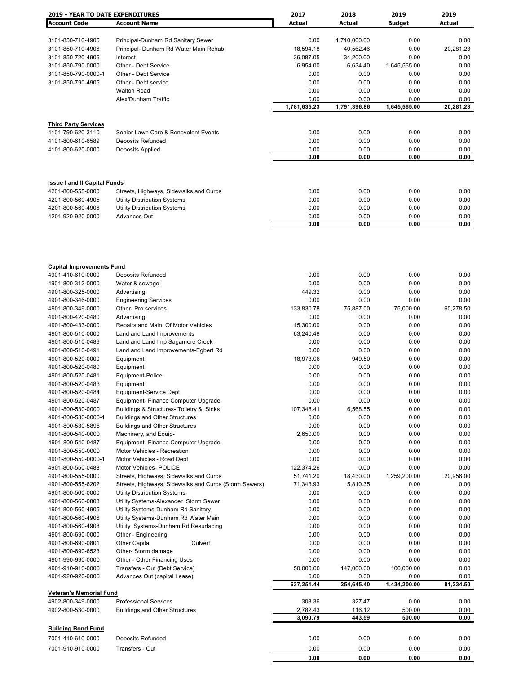| <b>2019 - YEAR TO DATE EXPENDITURES</b> |                                                       | 2017         | 2018         | 2019          | 2019      |
|-----------------------------------------|-------------------------------------------------------|--------------|--------------|---------------|-----------|
| <b>Account Code</b>                     | <b>Account Name</b>                                   | Actual       | Actual       | <b>Budget</b> | Actual    |
|                                         |                                                       |              |              |               |           |
| 3101-850-710-4905                       | Principal-Dunham Rd Sanitary Sewer                    | 0.00         | 1,710,000.00 | 0.00          | 0.00      |
| 3101-850-710-4906                       | Principal- Dunham Rd Water Main Rehab                 | 18,594.18    | 40,562.46    | 0.00          | 20,281.23 |
| 3101-850-720-4906                       | Interest                                              | 36,087.05    | 34,200.00    | 0.00          | 0.00      |
| 3101-850-790-0000                       | Other - Debt Service                                  | 6,954.00     | 6,634.40     | 1,645,565.00  | 0.00      |
| 3101-850-790-0000-1                     | Other - Debt Service                                  | 0.00         | 0.00         | 0.00          | 0.00      |
| 3101-850-790-4905                       | Other - Debt service                                  | 0.00         | 0.00         | 0.00          | 0.00      |
|                                         |                                                       |              | 0.00         |               | 0.00      |
|                                         | <b>Walton Road</b>                                    | 0.00         |              | 0.00          |           |
|                                         | Alex/Dunham Traffic                                   | 0.00         | 0.00         | 0.00          | 0.00      |
|                                         |                                                       | 1,781,635.23 | 1,791,396.86 | 1,645,565.00  | 20,281.23 |
|                                         |                                                       |              |              |               |           |
| <b>Third Party Services</b>             |                                                       |              |              |               |           |
| 4101-790-620-3110                       | Senior Lawn Care & Benevolent Events                  | 0.00         | 0.00         | 0.00          | 0.00      |
| 4101-800-610-6589                       | Deposits Refunded                                     | 0.00         | 0.00         | 0.00          | 0.00      |
| 4101-800-620-0000                       | Deposits Applied                                      | 0.00         | 0.00         | 0.00          | 0.00      |
|                                         |                                                       | 0.00         | 0.00         | 0.00          | 0.00      |
|                                         |                                                       |              |              |               |           |
|                                         |                                                       |              |              |               |           |
| <b>Issue I and II Capital Funds</b>     |                                                       | 0.00         | 0.00         | 0.00          | 0.00      |
| 4201-800-555-0000                       | Streets, Highways, Sidewalks and Curbs                |              |              |               |           |
| 4201-800-560-4905                       | <b>Utility Distribution Systems</b>                   | 0.00         | 0.00         | 0.00          | 0.00      |
| 4201-800-560-4906                       | <b>Utility Distribution Systems</b>                   | 0.00         | 0.00         | 0.00          | 0.00      |
| 4201-920-920-0000                       | Advances Out                                          | 0.00         | 0.00         | 0.00          | 0.00      |
|                                         |                                                       | 0.00         | 0.00         | 0.00          | 0.00      |
|                                         |                                                       |              |              |               |           |
|                                         |                                                       |              |              |               |           |
| <b>Capital Improvements Fund</b>        |                                                       |              |              |               |           |
| 4901-410-610-0000                       | Deposits Refunded                                     | 0.00         | 0.00         | 0.00          | 0.00      |
| 4901-800-312-0000                       | Water & sewage                                        | 0.00         | 0.00         | 0.00          | 0.00      |
| 4901-800-325-0000                       | Advertising                                           | 449.32       | 0.00         | 0.00          | 0.00      |
| 4901-800-346-0000                       | <b>Engineering Services</b>                           | 0.00         | 0.00         | 0.00          | 0.00      |
| 4901-800-349-0000                       | Other- Pro services                                   | 133,830.78   | 75,887.00    | 75,000.00     | 60,278.50 |
| 4901-800-420-0480                       | Advertising                                           | 0.00         | 0.00         | 0.00          | 0.00      |
| 4901-800-433-0000                       | Repairs and Main. Of Motor Vehicles                   | 15,300.00    | 0.00         | 0.00          | 0.00      |
| 4901-800-510-0000                       | Land and Land Improvements                            | 63,240.48    | 0.00         | 0.00          | 0.00      |
|                                         |                                                       |              |              |               |           |
| 4901-800-510-0489                       | Land and Land Imp Sagamore Creek                      | 0.00         | 0.00         | 0.00          | 0.00      |
| 4901-800-510-0491                       | Land and Land Improvements-Egbert Rd                  | 0.00         | 0.00         | 0.00          | 0.00      |
| 4901-800-520-0000                       | Equipment                                             | 18,973.06    | 949.50       | 0.00          | 0.00      |
| 4901-800-520-0480                       | Equipment                                             | 0.00         | 0.00         | 0.00          | 0.00      |
| 4901-800-520-0481                       | Equipment-Police                                      | 0.00         | 0.00         | 0.00          | 0.00      |
| 4901-800-520-0483                       | Equipment                                             | 0.00         | 0.00         | 0.00          | 0.00      |
| 4901-800-520-0484                       | Equipment-Service Dept                                | 0.00         | 0.00         | 0.00          | 0.00      |
| 4901-800-520-0487                       | Equipment- Finance Computer Upgrade                   | 0.00         | 0.00         | 0.00          | 0.00      |
| 4901-800-530-0000                       | Buildings & Structures- Toiletry & Sinks              | 107,348.41   | 6,568.55     | 0.00          | 0.00      |
| 4901-800-530-0000-1                     | <b>Buildings and Other Structures</b>                 | 0.00         | 0.00         | 0.00          | 0.00      |
| 4901-800-530-5896                       | <b>Buildings and Other Structures</b>                 | 0.00         | 0.00         | 0.00          | 0.00      |
| 4901-800-540-0000                       | Machinery, and Equip-                                 | 2,650.00     | 0.00         | 0.00          | 0.00      |
| 4901-800-540-0487                       | Equipment- Finance Computer Upgrade                   | 0.00         | 0.00         | 0.00          | 0.00      |
|                                         |                                                       |              |              |               |           |
| 4901-800-550-0000                       | Motor Vehicles - Recreation                           | 0.00         | 0.00         | 0.00          | 0.00      |
| 4901-800-550-0000-1                     | Motor Vehicles - Road Dept                            | 0.00         | 0.00         | 0.00          | 0.00      |
| 4901-800-550-0488                       | <b>Motor Vehicles- POLICE</b>                         | 122,374.26   | 0.00         | 0.00          | 0.00      |
| 4901-800-555-0000                       | Streets, Highways, Sidewalks and Curbs                | 51,741.20    | 18,430.00    | 1,259,200.00  | 20,956.00 |
| 4901-800-555-6202                       | Streets, Highways, Sidewalks and Curbs (Storm Sewers) | 71,343.93    | 5,810.35     | 0.00          | 0.00      |
| 4901-800-560-0000                       | <b>Utility Distribution Systems</b>                   | 0.00         | 0.00         | 0.00          | 0.00      |
| 4901-800-560-0803                       | Utility Systems-Alexander Storm Sewer                 | 0.00         | 0.00         | 0.00          | 0.00      |
| 4901-800-560-4905                       | Utility Systems-Dunham Rd Sanitary                    | 0.00         | 0.00         | 0.00          | 0.00      |
| 4901-800-560-4906                       | Utility Systems-Dunham Rd Water Main                  | 0.00         | 0.00         | 0.00          | 0.00      |
| 4901-800-560-4908                       | Utility Systems-Dunham Rd Resurfacing                 | 0.00         | 0.00         | 0.00          | 0.00      |
| 4901-800-690-0000                       | Other - Engineering                                   | 0.00         | 0.00         | 0.00          | 0.00      |
| 4901-800-690-0801                       | Other Capital<br>Culvert                              | 0.00         | 0.00         | 0.00          | 0.00      |
| 4901-800-690-6523                       | Other- Storm damage                                   | 0.00         | 0.00         | 0.00          | 0.00      |
|                                         |                                                       |              |              |               |           |
| 4901-990-990-0000                       | Other - Other Financing Uses                          | 0.00         | 0.00         | 0.00          | 0.00      |
| 4901-910-910-0000                       | Transfers - Out (Debt Service)                        | 50,000.00    | 147,000.00   | 100,000.00    | 0.00      |
| 4901-920-920-0000                       | Advances Out (capital Lease)                          | 0.00         | 0.00         | 0.00          | 0.00      |
| <b>Veteran's Memorial Fund</b>          |                                                       | 637,251.44   | 254,645.40   | 1,434,200.00  | 81,234.50 |
| 4902-800-349-0000                       | <b>Professional Services</b>                          | 308.36       | 327.47       | 0.00          | 0.00      |
| 4902-800-530-0000                       | <b>Buildings and Other Structures</b>                 | 2,782.43     | 116.12       | 500.00        | 0.00      |
|                                         |                                                       | 3,090.79     | 443.59       | 500.00        | 0.00      |
| <b>Building Bond Fund</b>               |                                                       |              |              |               |           |
| 7001-410-610-0000                       |                                                       |              |              |               |           |
|                                         | Deposits Refunded                                     | 0.00         | 0.00         | 0.00          | 0.00      |
| 7001-910-910-0000                       | Transfers - Out                                       | 0.00         | 0.00         | 0.00          | 0.00      |
|                                         |                                                       | 0.00         | 0.00         | 0.00          | 0.00      |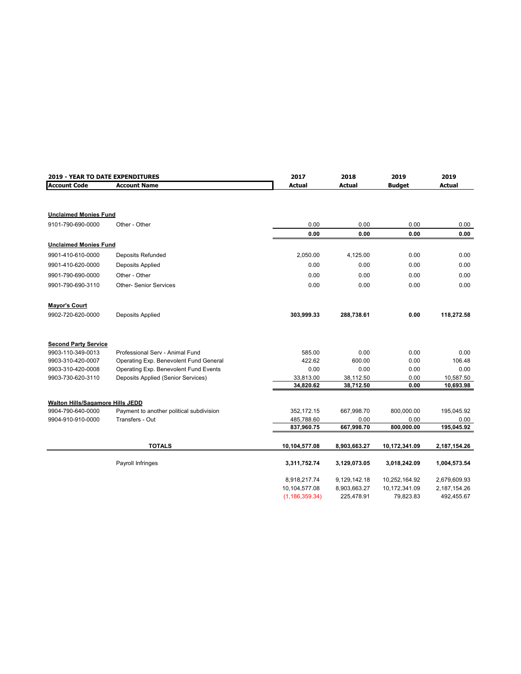| 2019 - YEAR TO DATE EXPENDITURES |                                          | 2017             | 2018         | 2019          | 2019          |
|----------------------------------|------------------------------------------|------------------|--------------|---------------|---------------|
| <b>Account Code</b>              | <b>Account Name</b>                      | <b>Actual</b>    | Actual       | <b>Budget</b> | <b>Actual</b> |
|                                  |                                          |                  |              |               |               |
| <b>Unclaimed Monies Fund</b>     |                                          |                  |              |               |               |
| 9101-790-690-0000                | Other - Other                            | 0.00             | 0.00         | 0.00          | 0.00          |
|                                  |                                          | 0.00             | 0.00         | 0.00          | 0.00          |
| <b>Unclaimed Monies Fund</b>     |                                          |                  |              |               |               |
| 9901-410-610-0000                | Deposits Refunded                        | 2,050.00         | 4,125.00     | 0.00          | 0.00          |
| 9901-410-620-0000                | Deposits Applied                         | 0.00             | 0.00         | 0.00          | 0.00          |
| 9901-790-690-0000                | Other - Other                            | 0.00             | 0.00         | 0.00          | 0.00          |
| 9901-790-690-3110                | <b>Other- Senior Services</b>            | 0.00             | 0.00         | 0.00          | 0.00          |
| <b>Mayor's Court</b>             |                                          |                  |              |               |               |
| 9902-720-620-0000                | Deposits Applied                         | 303,999.33       | 288,738.61   | 0.00          | 118,272.58    |
| <b>Second Party Service</b>      |                                          |                  |              |               |               |
| 9903-110-349-0013                | Professional Serv - Animal Fund          | 585.00           | 0.00         | 0.00          | 0.00          |
| 9903-310-420-0007                | Operating Exp. Benevolent Fund General   | 422.62           | 600.00       | 0.00          | 106.48        |
| 9903-310-420-0008                | Operating Exp. Benevolent Fund Events    | 0.00             | 0.00         | 0.00          | 0.00          |
| 9903-730-620-3110                | Deposits Applied (Senior Services)       | 33,813.00        | 38,112.50    | 0.00          | 10,587.50     |
|                                  |                                          | 34,820.62        | 38,712.50    | 0.00          | 10,693.98     |
| Walton Hills/Sagamore Hills JEDD |                                          |                  |              |               |               |
| 9904-790-640-0000                | Payment to another political subdivision | 352,172.15       | 667,998.70   | 800,000.00    | 195,045.92    |
| 9904-910-910-0000                | Transfers - Out                          | 485,788.60       | 0.00         | 0.00          | 0.00          |
|                                  |                                          | 837,960.75       | 667,998.70   | 800,000.00    | 195,045.92    |
|                                  | <b>TOTALS</b>                            | 10,104,577.08    | 8,903,663.27 | 10,172,341.09 | 2,187,154.26  |
|                                  | Payroll Infringes                        | 3,311,752.74     | 3,129,073.05 | 3,018,242.09  | 1,004,573.54  |
|                                  |                                          |                  |              |               |               |
|                                  |                                          | 8,918,217.74     | 9,129,142.18 | 10,252,164.92 | 2,679,609.93  |
|                                  |                                          | 10,104,577.08    | 8,903,663.27 | 10,172,341.09 | 2,187,154.26  |
|                                  |                                          | (1, 186, 359.34) | 225,478.91   | 79,823.83     | 492,455.67    |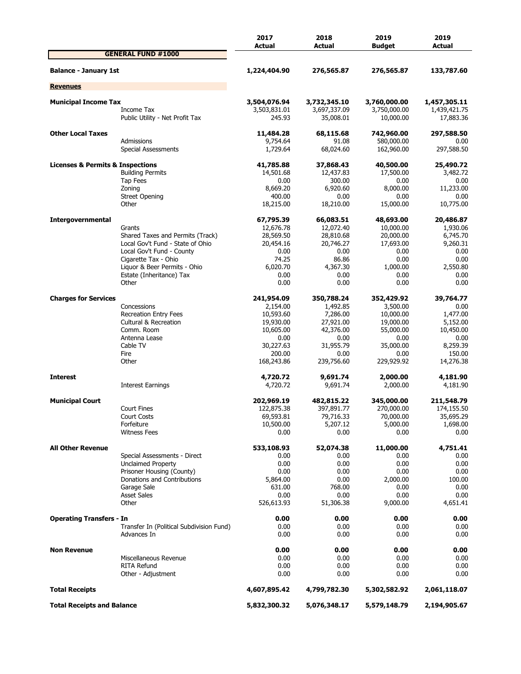|                                   |                                                                                                                                                                                                                                                                                                                                                                                                                                                                                                                                                                                                                                                                                                                                                                                                                                                                                                                                                                                                                                                                                                                                                                                                                                                                                                                                                                                                                                                                                                                                                                                                                                                                                                                                                                                                                                                                                                                                                                                                                                                                                                                                                                                                                                                                                                                                                                                                                                                                                                                                                                                                                                                                                                                                                                                                                                    | 2017         | 2018         | 2019         | 2019<br>Actual               |
|-----------------------------------|------------------------------------------------------------------------------------------------------------------------------------------------------------------------------------------------------------------------------------------------------------------------------------------------------------------------------------------------------------------------------------------------------------------------------------------------------------------------------------------------------------------------------------------------------------------------------------------------------------------------------------------------------------------------------------------------------------------------------------------------------------------------------------------------------------------------------------------------------------------------------------------------------------------------------------------------------------------------------------------------------------------------------------------------------------------------------------------------------------------------------------------------------------------------------------------------------------------------------------------------------------------------------------------------------------------------------------------------------------------------------------------------------------------------------------------------------------------------------------------------------------------------------------------------------------------------------------------------------------------------------------------------------------------------------------------------------------------------------------------------------------------------------------------------------------------------------------------------------------------------------------------------------------------------------------------------------------------------------------------------------------------------------------------------------------------------------------------------------------------------------------------------------------------------------------------------------------------------------------------------------------------------------------------------------------------------------------------------------------------------------------------------------------------------------------------------------------------------------------------------------------------------------------------------------------------------------------------------------------------------------------------------------------------------------------------------------------------------------------------------------------------------------------------------------------------------------------|--------------|--------------|--------------|------------------------------|
|                                   |                                                                                                                                                                                                                                                                                                                                                                                                                                                                                                                                                                                                                                                                                                                                                                                                                                                                                                                                                                                                                                                                                                                                                                                                                                                                                                                                                                                                                                                                                                                                                                                                                                                                                                                                                                                                                                                                                                                                                                                                                                                                                                                                                                                                                                                                                                                                                                                                                                                                                                                                                                                                                                                                                                                                                                                                                                    |              |              |              |                              |
| <b>Balance - January 1st</b>      |                                                                                                                                                                                                                                                                                                                                                                                                                                                                                                                                                                                                                                                                                                                                                                                                                                                                                                                                                                                                                                                                                                                                                                                                                                                                                                                                                                                                                                                                                                                                                                                                                                                                                                                                                                                                                                                                                                                                                                                                                                                                                                                                                                                                                                                                                                                                                                                                                                                                                                                                                                                                                                                                                                                                                                                                                                    | 1,224,404.90 | 276,565.87   | 276,565.87   | 133,787.60                   |
| <b>Revenues</b>                   |                                                                                                                                                                                                                                                                                                                                                                                                                                                                                                                                                                                                                                                                                                                                                                                                                                                                                                                                                                                                                                                                                                                                                                                                                                                                                                                                                                                                                                                                                                                                                                                                                                                                                                                                                                                                                                                                                                                                                                                                                                                                                                                                                                                                                                                                                                                                                                                                                                                                                                                                                                                                                                                                                                                                                                                                                                    |              |              |              |                              |
|                                   | Actual<br>Actual<br><b>Budget</b><br><b>GENERAL FUND #1000</b><br><b>Municipal Income Tax</b><br>3,504,076.94<br>3,732,345.10<br>3,760,000.00<br>Income Tax<br>3,697,337.09<br>3,750,000.00<br>3,503,831.01<br>Public Utility - Net Profit Tax<br>245.93<br>35,008.01<br>10,000.00<br>11,484.28<br>68,115.68<br>742,960.00<br>Admissions<br>9,754.64<br>91.08<br>580,000.00<br>Special Assessments<br>1,729.64<br>68,024.60<br>162,960.00<br><b>Licenses &amp; Permits &amp; Inspections</b><br>41,785.88<br>37,868.43<br>40,500.00<br><b>Building Permits</b><br>14,501.68<br>12,437.83<br>17,500.00<br>0.00<br>300.00<br>0.00<br>Tap Fees<br>Zoning<br>8,669.20<br>6,920.60<br>8,000.00<br><b>Street Opening</b><br>400.00<br>0.00<br>0.00<br>Other<br>18,215.00<br>18,210.00<br>15,000.00<br>67,795.39<br>66,083.51<br>48,693.00<br>Grants<br>12,676.78<br>12,072.40<br>10,000.00<br>Shared Taxes and Permits (Track)<br>28,569.50<br>28,810.68<br>20,000.00<br>20,746.27<br>Local Gov't Fund - State of Ohio<br>20,454.16<br>17,693.00<br>Local Gov't Fund - County<br>0.00<br>0.00<br>0.00<br>Cigarette Tax - Ohio<br>74.25<br>86.86<br>0.00<br>Liquor & Beer Permits - Ohio<br>6,020,70<br>4,367.30<br>1,000.00<br>Estate (Inheritance) Tax<br>0.00<br>0.00<br>0.00<br>Other<br>0.00<br>0.00<br>0.00<br>350,788.24<br><b>Charges for Services</b><br>241,954.09<br>352,429.92<br>Concessions<br>2,154.00<br>1,492.85<br>3,500.00<br>10,593.60<br><b>Recreation Entry Fees</b><br>7,286.00<br>10,000.00<br><b>Cultural &amp; Recreation</b><br>19,930.00<br>27,921.00<br>19,000.00<br>Comm. Room<br>10,605.00<br>42,376.00<br>55,000.00<br>Antenna Lease<br>0.00<br>0.00<br>0.00<br>Cable TV<br>30,227.63<br>31,955.79<br>35,000.00<br>200.00<br>0.00<br>Fire<br>0.00<br>Other<br>168,243.86<br>239,756.60<br>229,929.92<br>4,720.72<br>9,691.74<br>2,000.00<br>4,720.72<br>9,691.74<br>2,000.00<br>Interest Earnings<br>202,969.19<br>482,815.22<br>345,000.00<br><b>Court Fines</b><br>122,875.38<br>397,891.77<br>270,000.00<br>69,593.81<br>70,000.00<br>Court Costs<br>79,716.33<br>10,500.00<br>5,207.12<br>5,000.00<br>Forfeiture<br>0.00<br>0.00<br><b>Witness Fees</b><br>0.00<br>533,108.93<br>52,074.38<br>11,000.00<br>Special Assessments - Direct<br>0.00<br>0.00<br>0.00<br><b>Unclaimed Property</b><br>0.00<br>0.00<br>0.00<br>Prisoner Housing (County)<br>0.00<br>0.00<br>0.00<br>Donations and Contributions<br>0.00<br>5,864.00<br>2,000.00<br>Garage Sale<br>631.00<br>768.00<br>0.00<br><b>Asset Sales</b><br>0.00<br>0.00<br>0.00<br>Other<br>526,613.93<br>51,306.38<br>9,000.00<br><b>Operating Transfers - In</b><br>0.00<br>0.00<br>0.00<br>0.00<br>0.00<br>0.00<br>Transfer In (Political Subdivision Fund)<br>0.00<br>0.00<br>0.00<br>Advances In<br><b>Non Revenue</b><br>0.00<br>0.00<br>0.00 |              |              |              |                              |
|                                   |                                                                                                                                                                                                                                                                                                                                                                                                                                                                                                                                                                                                                                                                                                                                                                                                                                                                                                                                                                                                                                                                                                                                                                                                                                                                                                                                                                                                                                                                                                                                                                                                                                                                                                                                                                                                                                                                                                                                                                                                                                                                                                                                                                                                                                                                                                                                                                                                                                                                                                                                                                                                                                                                                                                                                                                                                                    |              |              |              | 1,457,305.11<br>1,439,421.75 |
|                                   |                                                                                                                                                                                                                                                                                                                                                                                                                                                                                                                                                                                                                                                                                                                                                                                                                                                                                                                                                                                                                                                                                                                                                                                                                                                                                                                                                                                                                                                                                                                                                                                                                                                                                                                                                                                                                                                                                                                                                                                                                                                                                                                                                                                                                                                                                                                                                                                                                                                                                                                                                                                                                                                                                                                                                                                                                                    |              |              |              | 17,883.36                    |
| <b>Other Local Taxes</b>          |                                                                                                                                                                                                                                                                                                                                                                                                                                                                                                                                                                                                                                                                                                                                                                                                                                                                                                                                                                                                                                                                                                                                                                                                                                                                                                                                                                                                                                                                                                                                                                                                                                                                                                                                                                                                                                                                                                                                                                                                                                                                                                                                                                                                                                                                                                                                                                                                                                                                                                                                                                                                                                                                                                                                                                                                                                    |              |              |              | 297,588.50                   |
|                                   |                                                                                                                                                                                                                                                                                                                                                                                                                                                                                                                                                                                                                                                                                                                                                                                                                                                                                                                                                                                                                                                                                                                                                                                                                                                                                                                                                                                                                                                                                                                                                                                                                                                                                                                                                                                                                                                                                                                                                                                                                                                                                                                                                                                                                                                                                                                                                                                                                                                                                                                                                                                                                                                                                                                                                                                                                                    |              |              |              | 0.00<br>297,588.50           |
|                                   |                                                                                                                                                                                                                                                                                                                                                                                                                                                                                                                                                                                                                                                                                                                                                                                                                                                                                                                                                                                                                                                                                                                                                                                                                                                                                                                                                                                                                                                                                                                                                                                                                                                                                                                                                                                                                                                                                                                                                                                                                                                                                                                                                                                                                                                                                                                                                                                                                                                                                                                                                                                                                                                                                                                                                                                                                                    |              |              |              | 25,490.72                    |
|                                   |                                                                                                                                                                                                                                                                                                                                                                                                                                                                                                                                                                                                                                                                                                                                                                                                                                                                                                                                                                                                                                                                                                                                                                                                                                                                                                                                                                                                                                                                                                                                                                                                                                                                                                                                                                                                                                                                                                                                                                                                                                                                                                                                                                                                                                                                                                                                                                                                                                                                                                                                                                                                                                                                                                                                                                                                                                    |              |              |              | 3,482.72                     |
|                                   |                                                                                                                                                                                                                                                                                                                                                                                                                                                                                                                                                                                                                                                                                                                                                                                                                                                                                                                                                                                                                                                                                                                                                                                                                                                                                                                                                                                                                                                                                                                                                                                                                                                                                                                                                                                                                                                                                                                                                                                                                                                                                                                                                                                                                                                                                                                                                                                                                                                                                                                                                                                                                                                                                                                                                                                                                                    |              |              |              | 0.00                         |
|                                   |                                                                                                                                                                                                                                                                                                                                                                                                                                                                                                                                                                                                                                                                                                                                                                                                                                                                                                                                                                                                                                                                                                                                                                                                                                                                                                                                                                                                                                                                                                                                                                                                                                                                                                                                                                                                                                                                                                                                                                                                                                                                                                                                                                                                                                                                                                                                                                                                                                                                                                                                                                                                                                                                                                                                                                                                                                    |              |              |              | 11,233.00                    |
|                                   |                                                                                                                                                                                                                                                                                                                                                                                                                                                                                                                                                                                                                                                                                                                                                                                                                                                                                                                                                                                                                                                                                                                                                                                                                                                                                                                                                                                                                                                                                                                                                                                                                                                                                                                                                                                                                                                                                                                                                                                                                                                                                                                                                                                                                                                                                                                                                                                                                                                                                                                                                                                                                                                                                                                                                                                                                                    |              |              |              | 0.00                         |
|                                   |                                                                                                                                                                                                                                                                                                                                                                                                                                                                                                                                                                                                                                                                                                                                                                                                                                                                                                                                                                                                                                                                                                                                                                                                                                                                                                                                                                                                                                                                                                                                                                                                                                                                                                                                                                                                                                                                                                                                                                                                                                                                                                                                                                                                                                                                                                                                                                                                                                                                                                                                                                                                                                                                                                                                                                                                                                    |              |              |              | 10,775.00                    |
| Intergovernmental                 |                                                                                                                                                                                                                                                                                                                                                                                                                                                                                                                                                                                                                                                                                                                                                                                                                                                                                                                                                                                                                                                                                                                                                                                                                                                                                                                                                                                                                                                                                                                                                                                                                                                                                                                                                                                                                                                                                                                                                                                                                                                                                                                                                                                                                                                                                                                                                                                                                                                                                                                                                                                                                                                                                                                                                                                                                                    |              |              |              | 20,486.87                    |
|                                   |                                                                                                                                                                                                                                                                                                                                                                                                                                                                                                                                                                                                                                                                                                                                                                                                                                                                                                                                                                                                                                                                                                                                                                                                                                                                                                                                                                                                                                                                                                                                                                                                                                                                                                                                                                                                                                                                                                                                                                                                                                                                                                                                                                                                                                                                                                                                                                                                                                                                                                                                                                                                                                                                                                                                                                                                                                    |              |              |              | 1,930.06                     |
|                                   |                                                                                                                                                                                                                                                                                                                                                                                                                                                                                                                                                                                                                                                                                                                                                                                                                                                                                                                                                                                                                                                                                                                                                                                                                                                                                                                                                                                                                                                                                                                                                                                                                                                                                                                                                                                                                                                                                                                                                                                                                                                                                                                                                                                                                                                                                                                                                                                                                                                                                                                                                                                                                                                                                                                                                                                                                                    |              |              |              | 6,745.70                     |
|                                   |                                                                                                                                                                                                                                                                                                                                                                                                                                                                                                                                                                                                                                                                                                                                                                                                                                                                                                                                                                                                                                                                                                                                                                                                                                                                                                                                                                                                                                                                                                                                                                                                                                                                                                                                                                                                                                                                                                                                                                                                                                                                                                                                                                                                                                                                                                                                                                                                                                                                                                                                                                                                                                                                                                                                                                                                                                    |              |              |              | 9,260.31                     |
|                                   |                                                                                                                                                                                                                                                                                                                                                                                                                                                                                                                                                                                                                                                                                                                                                                                                                                                                                                                                                                                                                                                                                                                                                                                                                                                                                                                                                                                                                                                                                                                                                                                                                                                                                                                                                                                                                                                                                                                                                                                                                                                                                                                                                                                                                                                                                                                                                                                                                                                                                                                                                                                                                                                                                                                                                                                                                                    |              |              |              | 0.00                         |
|                                   |                                                                                                                                                                                                                                                                                                                                                                                                                                                                                                                                                                                                                                                                                                                                                                                                                                                                                                                                                                                                                                                                                                                                                                                                                                                                                                                                                                                                                                                                                                                                                                                                                                                                                                                                                                                                                                                                                                                                                                                                                                                                                                                                                                                                                                                                                                                                                                                                                                                                                                                                                                                                                                                                                                                                                                                                                                    |              |              |              | 0.00<br>2,550.80             |
|                                   |                                                                                                                                                                                                                                                                                                                                                                                                                                                                                                                                                                                                                                                                                                                                                                                                                                                                                                                                                                                                                                                                                                                                                                                                                                                                                                                                                                                                                                                                                                                                                                                                                                                                                                                                                                                                                                                                                                                                                                                                                                                                                                                                                                                                                                                                                                                                                                                                                                                                                                                                                                                                                                                                                                                                                                                                                                    |              |              |              | 0.00                         |
|                                   |                                                                                                                                                                                                                                                                                                                                                                                                                                                                                                                                                                                                                                                                                                                                                                                                                                                                                                                                                                                                                                                                                                                                                                                                                                                                                                                                                                                                                                                                                                                                                                                                                                                                                                                                                                                                                                                                                                                                                                                                                                                                                                                                                                                                                                                                                                                                                                                                                                                                                                                                                                                                                                                                                                                                                                                                                                    |              |              |              | 0.00                         |
|                                   |                                                                                                                                                                                                                                                                                                                                                                                                                                                                                                                                                                                                                                                                                                                                                                                                                                                                                                                                                                                                                                                                                                                                                                                                                                                                                                                                                                                                                                                                                                                                                                                                                                                                                                                                                                                                                                                                                                                                                                                                                                                                                                                                                                                                                                                                                                                                                                                                                                                                                                                                                                                                                                                                                                                                                                                                                                    |              |              |              | 39,764.77                    |
|                                   |                                                                                                                                                                                                                                                                                                                                                                                                                                                                                                                                                                                                                                                                                                                                                                                                                                                                                                                                                                                                                                                                                                                                                                                                                                                                                                                                                                                                                                                                                                                                                                                                                                                                                                                                                                                                                                                                                                                                                                                                                                                                                                                                                                                                                                                                                                                                                                                                                                                                                                                                                                                                                                                                                                                                                                                                                                    |              |              |              | 0.00                         |
|                                   |                                                                                                                                                                                                                                                                                                                                                                                                                                                                                                                                                                                                                                                                                                                                                                                                                                                                                                                                                                                                                                                                                                                                                                                                                                                                                                                                                                                                                                                                                                                                                                                                                                                                                                                                                                                                                                                                                                                                                                                                                                                                                                                                                                                                                                                                                                                                                                                                                                                                                                                                                                                                                                                                                                                                                                                                                                    |              |              |              | 1,477.00                     |
|                                   |                                                                                                                                                                                                                                                                                                                                                                                                                                                                                                                                                                                                                                                                                                                                                                                                                                                                                                                                                                                                                                                                                                                                                                                                                                                                                                                                                                                                                                                                                                                                                                                                                                                                                                                                                                                                                                                                                                                                                                                                                                                                                                                                                                                                                                                                                                                                                                                                                                                                                                                                                                                                                                                                                                                                                                                                                                    |              |              |              | 5,152.00                     |
|                                   |                                                                                                                                                                                                                                                                                                                                                                                                                                                                                                                                                                                                                                                                                                                                                                                                                                                                                                                                                                                                                                                                                                                                                                                                                                                                                                                                                                                                                                                                                                                                                                                                                                                                                                                                                                                                                                                                                                                                                                                                                                                                                                                                                                                                                                                                                                                                                                                                                                                                                                                                                                                                                                                                                                                                                                                                                                    |              |              |              | 10,450.00                    |
|                                   |                                                                                                                                                                                                                                                                                                                                                                                                                                                                                                                                                                                                                                                                                                                                                                                                                                                                                                                                                                                                                                                                                                                                                                                                                                                                                                                                                                                                                                                                                                                                                                                                                                                                                                                                                                                                                                                                                                                                                                                                                                                                                                                                                                                                                                                                                                                                                                                                                                                                                                                                                                                                                                                                                                                                                                                                                                    |              |              |              | 0.00                         |
|                                   |                                                                                                                                                                                                                                                                                                                                                                                                                                                                                                                                                                                                                                                                                                                                                                                                                                                                                                                                                                                                                                                                                                                                                                                                                                                                                                                                                                                                                                                                                                                                                                                                                                                                                                                                                                                                                                                                                                                                                                                                                                                                                                                                                                                                                                                                                                                                                                                                                                                                                                                                                                                                                                                                                                                                                                                                                                    |              |              |              | 8,259.39                     |
|                                   |                                                                                                                                                                                                                                                                                                                                                                                                                                                                                                                                                                                                                                                                                                                                                                                                                                                                                                                                                                                                                                                                                                                                                                                                                                                                                                                                                                                                                                                                                                                                                                                                                                                                                                                                                                                                                                                                                                                                                                                                                                                                                                                                                                                                                                                                                                                                                                                                                                                                                                                                                                                                                                                                                                                                                                                                                                    |              |              |              | 150.00                       |
|                                   |                                                                                                                                                                                                                                                                                                                                                                                                                                                                                                                                                                                                                                                                                                                                                                                                                                                                                                                                                                                                                                                                                                                                                                                                                                                                                                                                                                                                                                                                                                                                                                                                                                                                                                                                                                                                                                                                                                                                                                                                                                                                                                                                                                                                                                                                                                                                                                                                                                                                                                                                                                                                                                                                                                                                                                                                                                    |              |              |              | 14,276.38                    |
| <b>Interest</b>                   |                                                                                                                                                                                                                                                                                                                                                                                                                                                                                                                                                                                                                                                                                                                                                                                                                                                                                                                                                                                                                                                                                                                                                                                                                                                                                                                                                                                                                                                                                                                                                                                                                                                                                                                                                                                                                                                                                                                                                                                                                                                                                                                                                                                                                                                                                                                                                                                                                                                                                                                                                                                                                                                                                                                                                                                                                                    |              |              |              | 4,181.90                     |
|                                   |                                                                                                                                                                                                                                                                                                                                                                                                                                                                                                                                                                                                                                                                                                                                                                                                                                                                                                                                                                                                                                                                                                                                                                                                                                                                                                                                                                                                                                                                                                                                                                                                                                                                                                                                                                                                                                                                                                                                                                                                                                                                                                                                                                                                                                                                                                                                                                                                                                                                                                                                                                                                                                                                                                                                                                                                                                    |              |              |              | 4,181.90                     |
| <b>Municipal Court</b>            |                                                                                                                                                                                                                                                                                                                                                                                                                                                                                                                                                                                                                                                                                                                                                                                                                                                                                                                                                                                                                                                                                                                                                                                                                                                                                                                                                                                                                                                                                                                                                                                                                                                                                                                                                                                                                                                                                                                                                                                                                                                                                                                                                                                                                                                                                                                                                                                                                                                                                                                                                                                                                                                                                                                                                                                                                                    |              |              |              | 211,548.79                   |
|                                   |                                                                                                                                                                                                                                                                                                                                                                                                                                                                                                                                                                                                                                                                                                                                                                                                                                                                                                                                                                                                                                                                                                                                                                                                                                                                                                                                                                                                                                                                                                                                                                                                                                                                                                                                                                                                                                                                                                                                                                                                                                                                                                                                                                                                                                                                                                                                                                                                                                                                                                                                                                                                                                                                                                                                                                                                                                    |              |              |              | 174,155.50                   |
|                                   |                                                                                                                                                                                                                                                                                                                                                                                                                                                                                                                                                                                                                                                                                                                                                                                                                                                                                                                                                                                                                                                                                                                                                                                                                                                                                                                                                                                                                                                                                                                                                                                                                                                                                                                                                                                                                                                                                                                                                                                                                                                                                                                                                                                                                                                                                                                                                                                                                                                                                                                                                                                                                                                                                                                                                                                                                                    |              |              |              | 35,695.29                    |
|                                   |                                                                                                                                                                                                                                                                                                                                                                                                                                                                                                                                                                                                                                                                                                                                                                                                                                                                                                                                                                                                                                                                                                                                                                                                                                                                                                                                                                                                                                                                                                                                                                                                                                                                                                                                                                                                                                                                                                                                                                                                                                                                                                                                                                                                                                                                                                                                                                                                                                                                                                                                                                                                                                                                                                                                                                                                                                    |              |              |              | 1,698.00                     |
|                                   |                                                                                                                                                                                                                                                                                                                                                                                                                                                                                                                                                                                                                                                                                                                                                                                                                                                                                                                                                                                                                                                                                                                                                                                                                                                                                                                                                                                                                                                                                                                                                                                                                                                                                                                                                                                                                                                                                                                                                                                                                                                                                                                                                                                                                                                                                                                                                                                                                                                                                                                                                                                                                                                                                                                                                                                                                                    |              |              |              | 0.00                         |
| <b>All Other Revenue</b>          |                                                                                                                                                                                                                                                                                                                                                                                                                                                                                                                                                                                                                                                                                                                                                                                                                                                                                                                                                                                                                                                                                                                                                                                                                                                                                                                                                                                                                                                                                                                                                                                                                                                                                                                                                                                                                                                                                                                                                                                                                                                                                                                                                                                                                                                                                                                                                                                                                                                                                                                                                                                                                                                                                                                                                                                                                                    |              |              |              | 4,751.41                     |
|                                   |                                                                                                                                                                                                                                                                                                                                                                                                                                                                                                                                                                                                                                                                                                                                                                                                                                                                                                                                                                                                                                                                                                                                                                                                                                                                                                                                                                                                                                                                                                                                                                                                                                                                                                                                                                                                                                                                                                                                                                                                                                                                                                                                                                                                                                                                                                                                                                                                                                                                                                                                                                                                                                                                                                                                                                                                                                    |              |              |              | 0.00                         |
|                                   |                                                                                                                                                                                                                                                                                                                                                                                                                                                                                                                                                                                                                                                                                                                                                                                                                                                                                                                                                                                                                                                                                                                                                                                                                                                                                                                                                                                                                                                                                                                                                                                                                                                                                                                                                                                                                                                                                                                                                                                                                                                                                                                                                                                                                                                                                                                                                                                                                                                                                                                                                                                                                                                                                                                                                                                                                                    |              |              |              | 0.00                         |
|                                   |                                                                                                                                                                                                                                                                                                                                                                                                                                                                                                                                                                                                                                                                                                                                                                                                                                                                                                                                                                                                                                                                                                                                                                                                                                                                                                                                                                                                                                                                                                                                                                                                                                                                                                                                                                                                                                                                                                                                                                                                                                                                                                                                                                                                                                                                                                                                                                                                                                                                                                                                                                                                                                                                                                                                                                                                                                    |              |              |              | 0.00                         |
|                                   |                                                                                                                                                                                                                                                                                                                                                                                                                                                                                                                                                                                                                                                                                                                                                                                                                                                                                                                                                                                                                                                                                                                                                                                                                                                                                                                                                                                                                                                                                                                                                                                                                                                                                                                                                                                                                                                                                                                                                                                                                                                                                                                                                                                                                                                                                                                                                                                                                                                                                                                                                                                                                                                                                                                                                                                                                                    |              |              |              | 100.00<br>0.00               |
|                                   |                                                                                                                                                                                                                                                                                                                                                                                                                                                                                                                                                                                                                                                                                                                                                                                                                                                                                                                                                                                                                                                                                                                                                                                                                                                                                                                                                                                                                                                                                                                                                                                                                                                                                                                                                                                                                                                                                                                                                                                                                                                                                                                                                                                                                                                                                                                                                                                                                                                                                                                                                                                                                                                                                                                                                                                                                                    |              |              |              | 0.00                         |
|                                   |                                                                                                                                                                                                                                                                                                                                                                                                                                                                                                                                                                                                                                                                                                                                                                                                                                                                                                                                                                                                                                                                                                                                                                                                                                                                                                                                                                                                                                                                                                                                                                                                                                                                                                                                                                                                                                                                                                                                                                                                                                                                                                                                                                                                                                                                                                                                                                                                                                                                                                                                                                                                                                                                                                                                                                                                                                    |              |              |              | 4,651.41                     |
|                                   |                                                                                                                                                                                                                                                                                                                                                                                                                                                                                                                                                                                                                                                                                                                                                                                                                                                                                                                                                                                                                                                                                                                                                                                                                                                                                                                                                                                                                                                                                                                                                                                                                                                                                                                                                                                                                                                                                                                                                                                                                                                                                                                                                                                                                                                                                                                                                                                                                                                                                                                                                                                                                                                                                                                                                                                                                                    |              |              |              | 0.00                         |
|                                   |                                                                                                                                                                                                                                                                                                                                                                                                                                                                                                                                                                                                                                                                                                                                                                                                                                                                                                                                                                                                                                                                                                                                                                                                                                                                                                                                                                                                                                                                                                                                                                                                                                                                                                                                                                                                                                                                                                                                                                                                                                                                                                                                                                                                                                                                                                                                                                                                                                                                                                                                                                                                                                                                                                                                                                                                                                    |              |              |              | 0.00                         |
|                                   |                                                                                                                                                                                                                                                                                                                                                                                                                                                                                                                                                                                                                                                                                                                                                                                                                                                                                                                                                                                                                                                                                                                                                                                                                                                                                                                                                                                                                                                                                                                                                                                                                                                                                                                                                                                                                                                                                                                                                                                                                                                                                                                                                                                                                                                                                                                                                                                                                                                                                                                                                                                                                                                                                                                                                                                                                                    |              |              |              | 0.00                         |
|                                   |                                                                                                                                                                                                                                                                                                                                                                                                                                                                                                                                                                                                                                                                                                                                                                                                                                                                                                                                                                                                                                                                                                                                                                                                                                                                                                                                                                                                                                                                                                                                                                                                                                                                                                                                                                                                                                                                                                                                                                                                                                                                                                                                                                                                                                                                                                                                                                                                                                                                                                                                                                                                                                                                                                                                                                                                                                    |              |              |              | 0.00                         |
|                                   | Miscellaneous Revenue                                                                                                                                                                                                                                                                                                                                                                                                                                                                                                                                                                                                                                                                                                                                                                                                                                                                                                                                                                                                                                                                                                                                                                                                                                                                                                                                                                                                                                                                                                                                                                                                                                                                                                                                                                                                                                                                                                                                                                                                                                                                                                                                                                                                                                                                                                                                                                                                                                                                                                                                                                                                                                                                                                                                                                                                              | 0.00         | 0.00         | 0.00         | 0.00                         |
|                                   | <b>RITA Refund</b>                                                                                                                                                                                                                                                                                                                                                                                                                                                                                                                                                                                                                                                                                                                                                                                                                                                                                                                                                                                                                                                                                                                                                                                                                                                                                                                                                                                                                                                                                                                                                                                                                                                                                                                                                                                                                                                                                                                                                                                                                                                                                                                                                                                                                                                                                                                                                                                                                                                                                                                                                                                                                                                                                                                                                                                                                 | 0.00         | 0.00         | 0.00         | 0.00                         |
|                                   | Other - Adjustment                                                                                                                                                                                                                                                                                                                                                                                                                                                                                                                                                                                                                                                                                                                                                                                                                                                                                                                                                                                                                                                                                                                                                                                                                                                                                                                                                                                                                                                                                                                                                                                                                                                                                                                                                                                                                                                                                                                                                                                                                                                                                                                                                                                                                                                                                                                                                                                                                                                                                                                                                                                                                                                                                                                                                                                                                 | 0.00         | 0.00         | 0.00         | 0.00                         |
| <b>Total Receipts</b>             |                                                                                                                                                                                                                                                                                                                                                                                                                                                                                                                                                                                                                                                                                                                                                                                                                                                                                                                                                                                                                                                                                                                                                                                                                                                                                                                                                                                                                                                                                                                                                                                                                                                                                                                                                                                                                                                                                                                                                                                                                                                                                                                                                                                                                                                                                                                                                                                                                                                                                                                                                                                                                                                                                                                                                                                                                                    | 4,607,895.42 | 4,799,782.30 | 5,302,582.92 | 2,061,118.07                 |
| <b>Total Receipts and Balance</b> |                                                                                                                                                                                                                                                                                                                                                                                                                                                                                                                                                                                                                                                                                                                                                                                                                                                                                                                                                                                                                                                                                                                                                                                                                                                                                                                                                                                                                                                                                                                                                                                                                                                                                                                                                                                                                                                                                                                                                                                                                                                                                                                                                                                                                                                                                                                                                                                                                                                                                                                                                                                                                                                                                                                                                                                                                                    | 5,832,300.32 | 5,076,348.17 | 5,579,148.79 | 2,194,905.67                 |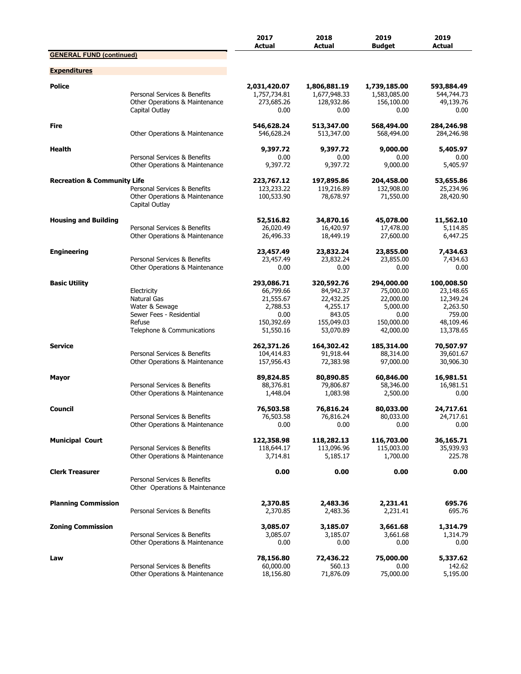|                                        |                                                                                                                         | 2017<br><b>Actual</b>                                                               | 2018<br><b>Actual</b>                                                                 | 2019<br><b>Budget</b>                                                               | 2019<br><b>Actual</b>                                                                |
|----------------------------------------|-------------------------------------------------------------------------------------------------------------------------|-------------------------------------------------------------------------------------|---------------------------------------------------------------------------------------|-------------------------------------------------------------------------------------|--------------------------------------------------------------------------------------|
| <b>GENERAL FUND (continued)</b>        |                                                                                                                         |                                                                                     |                                                                                       |                                                                                     |                                                                                      |
| <b>Expenditures</b>                    |                                                                                                                         |                                                                                     |                                                                                       |                                                                                     |                                                                                      |
| <b>Police</b>                          | Personal Services & Benefits<br>Other Operations & Maintenance<br>Capital Outlay                                        | 2,031,420.07<br>1,757,734.81<br>273,685.26<br>0.00                                  | 1,806,881.19<br>1,677,948.33<br>128,932.86<br>0.00                                    | 1,739,185.00<br>1,583,085.00<br>156,100.00<br>0.00                                  | 593,884.49<br>544,744.73<br>49,139.76<br>0.00                                        |
| <b>Fire</b>                            | Other Operations & Maintenance                                                                                          | 546,628.24<br>546,628.24                                                            | 513,347.00<br>513,347.00                                                              | 568,494.00<br>568,494.00                                                            | 284,246.98<br>284,246.98                                                             |
| Health                                 | Personal Services & Benefits<br>Other Operations & Maintenance                                                          | 9,397.72<br>0.00<br>9,397.72                                                        | 9,397.72<br>0.00<br>9,397.72                                                          | 9,000.00<br>0.00<br>9,000.00                                                        | 5,405.97<br>0.00<br>5,405.97                                                         |
| <b>Recreation &amp; Community Life</b> | Personal Services & Benefits<br>Other Operations & Maintenance<br>Capital Outlay                                        | 223,767.12<br>123,233.22<br>100,533.90                                              | 197,895.86<br>119,216.89<br>78,678.97                                                 | 204,458.00<br>132,908.00<br>71,550.00                                               | 53,655.86<br>25,234.96<br>28,420.90                                                  |
| <b>Housing and Building</b>            | Personal Services & Benefits<br>Other Operations & Maintenance                                                          | 52,516.82<br>26,020.49<br>26,496.33                                                 | 34,870.16<br>16,420.97<br>18,449.19                                                   | 45,078.00<br>17,478.00<br>27,600.00                                                 | 11,562.10<br>5,114.85<br>6,447.25                                                    |
| <b>Engineering</b>                     | Personal Services & Benefits<br>Other Operations & Maintenance                                                          | 23,457.49<br>23,457.49<br>0.00                                                      | 23,832.24<br>23,832.24<br>0.00                                                        | 23,855.00<br>23,855.00<br>0.00                                                      | 7,434.63<br>7,434.63<br>0.00                                                         |
| <b>Basic Utility</b>                   | Electricity<br><b>Natural Gas</b><br>Water & Sewage<br>Sewer Fees - Residential<br>Refuse<br>Telephone & Communications | 293,086.71<br>66,799.66<br>21,555.67<br>2,788.53<br>0.00<br>150,392.69<br>51,550.16 | 320,592.76<br>84,942.37<br>22,432.25<br>4,255.17<br>843.05<br>155,049.03<br>53,070.89 | 294,000.00<br>75,000.00<br>22,000.00<br>5,000.00<br>0.00<br>150,000.00<br>42,000.00 | 100,008.50<br>23,148.65<br>12,349.24<br>2,263.50<br>759.00<br>48,109.46<br>13,378.65 |
| <b>Service</b>                         | Personal Services & Benefits<br>Other Operations & Maintenance                                                          | 262,371.26<br>104,414.83<br>157,956.43                                              | 164,302.42<br>91,918.44<br>72,383.98                                                  | 185,314.00<br>88,314.00<br>97,000.00                                                | 70,507.97<br>39,601.67<br>30,906.30                                                  |
| Mayor                                  | Personal Services & Benefits<br>Other Operations & Maintenance                                                          | 89,824.85<br>88,376.81<br>1,448.04                                                  | 80,890.85<br>79,806.87<br>1,083.98                                                    | 60,846.00<br>58,346.00<br>2,500.00                                                  | 16,981.51<br>16,981.51<br>0.00                                                       |
| Council                                | Personal Services & Benefits<br>Other Operations & Maintenance                                                          | 76,503.58<br>76,503.58<br>0.00                                                      | 76,816.24<br>76,816.24<br>0.00                                                        | 80,033.00<br>80,033.00<br>0.00                                                      | 24,717.61<br>24,717.61<br>0.00                                                       |
| <b>Municipal Court</b>                 | Personal Services & Benefits<br>Other Operations & Maintenance                                                          | 122,358.98<br>118,644.17<br>3,714.81                                                | 118,282.13<br>113,096.96<br>5,185.17                                                  | 116,703.00<br>115,003.00<br>1,700.00                                                | 36,165.71<br>35,939.93<br>225.78                                                     |
| <b>Clerk Treasurer</b>                 | Personal Services & Benefits<br>Other Operations & Maintenance                                                          | 0.00                                                                                | 0.00                                                                                  | 0.00                                                                                | 0.00                                                                                 |
| <b>Planning Commission</b>             | Personal Services & Benefits                                                                                            | 2,370.85<br>2,370.85                                                                | 2,483.36<br>2,483.36                                                                  | 2,231.41<br>2,231.41                                                                | 695.76<br>695.76                                                                     |
| <b>Zoning Commission</b>               | Personal Services & Benefits<br>Other Operations & Maintenance                                                          | 3,085.07<br>3,085.07<br>0.00                                                        | 3,185.07<br>3,185.07<br>0.00                                                          | 3,661.68<br>3,661.68<br>0.00                                                        | 1,314.79<br>1,314.79<br>0.00                                                         |
| Law                                    | Personal Services & Benefits<br>Other Operations & Maintenance                                                          | 78,156.80<br>60,000.00<br>18,156.80                                                 | 72,436.22<br>560.13<br>71,876.09                                                      | 75,000.00<br>0.00<br>75,000.00                                                      | 5,337.62<br>142.62<br>5,195.00                                                       |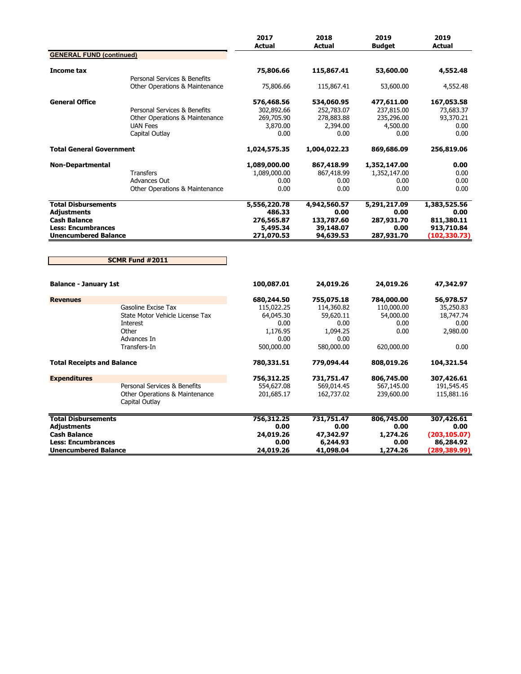|                                   |                                                                | 2017<br><b>Actual</b> | 2018<br><b>Actual</b> | 2019<br><b>Budget</b> | 2019<br><b>Actual</b> |
|-----------------------------------|----------------------------------------------------------------|-----------------------|-----------------------|-----------------------|-----------------------|
| <b>GENERAL FUND (continued)</b>   |                                                                |                       |                       |                       |                       |
| Income tax                        |                                                                | 75,806.66             | 115,867.41            | 53,600.00             | 4,552.48              |
|                                   | Personal Services & Benefits<br>Other Operations & Maintenance | 75,806.66             | 115,867.41            | 53,600.00             | 4,552.48              |
| <b>General Office</b>             |                                                                | 576,468.56            | 534,060.95            | 477,611.00            | 167,053.58            |
|                                   | Personal Services & Benefits                                   | 302,892.66            | 252,783.07            | 237,815.00            | 73,683.37             |
|                                   | Other Operations & Maintenance                                 | 269,705.90            | 278,883.88            | 235,296.00            | 93,370.21             |
|                                   | <b>UAN Fees</b>                                                | 3,870.00              | 2,394.00              | 4,500.00              | 0.00                  |
|                                   | Capital Outlay                                                 | 0.00                  | 0.00                  | 0.00                  | 0.00                  |
| <b>Total General Government</b>   |                                                                | 1,024,575.35          | 1,004,022.23          | 869,686.09            | 256,819.06            |
| <b>Non-Departmental</b>           |                                                                | 1,089,000.00          | 867,418.99            | 1,352,147.00          | 0.00                  |
|                                   | <b>Transfers</b>                                               | 1,089,000.00          | 867,418.99            | 1,352,147.00          | 0.00                  |
|                                   | Advances Out                                                   | 0.00                  | 0.00                  | 0.00                  | 0.00                  |
|                                   | Other Operations & Maintenance                                 | 0.00                  | 0.00                  | 0.00                  | 0.00                  |
| <b>Total Disbursements</b>        |                                                                | 5,556,220.78          | 4,942,560.57          | 5,291,217.09          | 1,383,525.56          |
| Adjustments                       |                                                                | 486.33                | 0.00                  | 0.00                  | 0.00                  |
| <b>Cash Balance</b>               |                                                                | 276,565.87            | 133,787.60            | 287,931.70            | 811,380.11            |
| <b>Less: Encumbrances</b>         |                                                                | 5,495.34              | 39,148.07             | 0.00                  | 913,710.84            |
| <b>Unencumbered Balance</b>       |                                                                | 271,070.53            | 94,639.53             | 287,931.70            | (102,330.73)          |
|                                   | SCMR Fund #2011                                                |                       |                       |                       |                       |
| <b>Balance - January 1st</b>      |                                                                | 100,087.01            | 24,019.26             | 24,019.26             | 47,342.97             |
| <b>Revenues</b>                   |                                                                | 680,244.50            | 755,075.18            | 784,000.00            | 56,978.57             |
|                                   | Gasoline Excise Tax                                            | 115,022.25            | 114,360.82            | 110,000.00            | 35,250.83             |
|                                   | State Motor Vehicle License Tax                                | 64,045.30             | 59,620.11             | 54,000.00             | 18,747.74             |
|                                   | Interest                                                       | 0.00                  | 0.00                  | 0.00                  | 0.00                  |
|                                   | Other                                                          | 1,176.95              | 1,094.25              | 0.00                  | 2,980.00              |
|                                   | Advances In                                                    | 0.00                  | 0.00                  |                       |                       |
|                                   | Transfers-In                                                   | 500,000.00            | 580,000.00            | 620,000.00            | 0.00                  |
| <b>Total Receipts and Balance</b> |                                                                | 780,331.51            | 779,094.44            | 808,019.26            | 104,321.54            |
| <b>Expenditures</b>               |                                                                | 756,312.25            | 731,751.47            | 806,745.00            | 307,426.61            |
|                                   | Personal Services & Benefits                                   | 554,627.08            | 569,014.45            | 567,145.00            | 191,545.45            |
|                                   | Other Operations & Maintenance<br>Capital Outlay               | 201,685.17            | 162,737.02            | 239,600.00            | 115,881.16            |
| <b>Total Disbursements</b>        |                                                                | 756,312.25            | 731,751.47            | 806,745.00            | 307,426.61            |
| <b>Adjustments</b>                |                                                                | 0.00                  | 0.00                  | 0.00                  | 0.00                  |
| <b>Cash Balance</b>               |                                                                | 24,019.26             | 47,342.97             | 1,274.26              | (203, 105.07)         |
| <b>Less: Encumbrances</b>         |                                                                | 0.00                  | 6,244.93              | 0.00                  | 86,284.92             |
| <b>Unencumbered Balance</b>       |                                                                | 24,019.26             | 41,098.04             | 1,274.26              | (289, 389.99)         |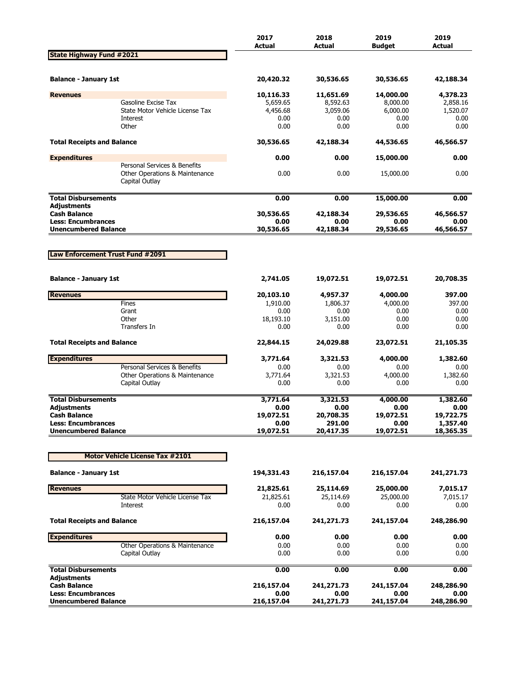|                                                  |                                                                                  | 2017<br><b>Actual</b> | 2018<br><b>Actual</b> | 2019<br><b>Budget</b> | 2019<br><b>Actual</b> |
|--------------------------------------------------|----------------------------------------------------------------------------------|-----------------------|-----------------------|-----------------------|-----------------------|
| <b>State Highway Fund #2021</b>                  |                                                                                  |                       |                       |                       |                       |
| <b>Balance - January 1st</b>                     |                                                                                  | 20,420.32             | 30,536.65             | 30,536.65             | 42,188.34             |
| <b>Revenues</b>                                  |                                                                                  | 10,116.33             | 11,651.69             | 14,000.00             | 4,378.23              |
|                                                  | Gasoline Excise Tax                                                              | 5,659.65              | 8,592.63              | 8,000.00              | 2,858.16              |
|                                                  | State Motor Vehicle License Tax                                                  | 4,456.68              | 3,059.06              | 6,000.00              | 1,520.07              |
|                                                  | Interest                                                                         | 0.00                  | 0.00                  | 0.00                  | 0.00                  |
|                                                  | Other                                                                            | 0.00                  | 0.00                  | 0.00                  | 0.00                  |
| <b>Total Receipts and Balance</b>                |                                                                                  | 30,536.65             | 42,188.34             | 44,536.65             | 46,566.57             |
| <b>Expenditures</b>                              |                                                                                  | 0.00                  | 0.00                  | 15,000.00             | 0.00                  |
|                                                  | Personal Services & Benefits<br>Other Operations & Maintenance<br>Capital Outlay | 0.00                  | 0.00                  | 15,000.00             | 0.00                  |
| <b>Total Disbursements</b>                       |                                                                                  | 0.00                  | 0.00                  | 15,000.00             | 0.00                  |
| <b>Adjustments</b>                               |                                                                                  |                       |                       |                       |                       |
| <b>Cash Balance</b><br><b>Less: Encumbrances</b> |                                                                                  | 30,536.65             | 42,188.34<br>0.00     | 29,536.65             | 46,566.57             |
| <b>Unencumbered Balance</b>                      |                                                                                  | 0.00<br>30,536.65     | 42,188.34             | 0.00<br>29,536.65     | 0.00<br>46,566.57     |
|                                                  |                                                                                  |                       |                       |                       |                       |
|                                                  |                                                                                  |                       |                       |                       |                       |
| Law Enforcement Trust Fund #2091                 |                                                                                  |                       |                       |                       |                       |
| <b>Balance - January 1st</b>                     |                                                                                  | 2,741.05              | 19,072.51             | 19,072.51             | 20,708.35             |
| <b>Revenues</b>                                  |                                                                                  | 20,103.10             | 4,957.37              | 4,000.00              | 397.00                |
|                                                  | Fines                                                                            | 1,910.00              | 1,806.37              | 4,000.00              | 397.00                |
|                                                  | Grant                                                                            | 0.00                  | 0.00                  | 0.00                  | 0.00                  |
|                                                  | Other                                                                            | 18,193.10             | 3,151.00              | 0.00                  | 0.00                  |
|                                                  | Transfers In                                                                     | 0.00                  | 0.00                  | 0.00                  | 0.00                  |
| <b>Total Receipts and Balance</b>                |                                                                                  | 22,844.15             | 24,029.88             | 23,072.51             | 21,105.35             |
| <b>Expenditures</b>                              |                                                                                  | 3,771.64              | 3,321.53              | 4,000.00              | 1,382.60              |
|                                                  | Personal Services & Benefits                                                     | 0.00                  | 0.00                  | 0.00                  | 0.00                  |
|                                                  | Other Operations & Maintenance                                                   | 3,771.64              | 3,321.53              | 4,000.00              | 1,382.60              |
|                                                  | Capital Outlay                                                                   | 0.00                  | 0.00                  | 0.00                  | 0.00                  |
| <b>Total Disbursements</b>                       |                                                                                  | 3,771.64              | 3,321.53              | 4,000.00              | 1,382.60              |
| Adjustments                                      |                                                                                  | 0.00                  | 0.00                  | 0.00                  | 0.00                  |
| <b>Cash Balance</b>                              |                                                                                  | 19,072.51             | 20,708.35             | 19,072.51             | 19,722.75             |
| <b>Less: Encumbrances</b>                        |                                                                                  | 0.00                  | 291.00                | 0.00                  | 1,357.40              |
| <b>Unencumbered Balance</b>                      |                                                                                  | 19,072.51             | 20,417.35             | 19,072.51             | 18,365.35             |
|                                                  | <b>Motor Vehicle License Tax #2101</b>                                           |                       |                       |                       |                       |
| <b>Balance - January 1st</b>                     |                                                                                  | 194,331.43            | 216,157.04            | 216,157.04            | 241,271.73            |
| <b>Revenues</b>                                  |                                                                                  | 21,825.61             | 25,114.69             | 25,000.00             | 7,015.17              |
|                                                  | State Motor Vehicle License Tax                                                  | 21,825.61             | 25,114.69             | 25,000.00             | 7,015.17              |
|                                                  | Interest                                                                         | 0.00                  | 0.00                  | 0.00                  | 0.00                  |
| <b>Total Receipts and Balance</b>                |                                                                                  | 216,157.04            | 241,271.73            | 241,157.04            | 248,286.90            |
| <b>Expenditures</b>                              |                                                                                  | 0.00                  | 0.00                  | 0.00                  | 0.00                  |
|                                                  | Other Operations & Maintenance                                                   | 0.00                  | 0.00                  | 0.00                  | 0.00                  |
|                                                  | Capital Outlay                                                                   | 0.00                  | 0.00                  | 0.00                  | 0.00                  |
| <b>Total Disbursements</b>                       |                                                                                  | 0.00                  | 0.00                  | 0.00                  | 0.00                  |
| <b>Adjustments</b><br><b>Cash Balance</b>        |                                                                                  | 216,157.04            | 241,271.73            | 241,157.04            | 248,286.90            |
| <b>Less: Encumbrances</b>                        |                                                                                  | 0.00                  | 0.00                  | 0.00                  | 0.00                  |
| <b>Unencumbered Balance</b>                      |                                                                                  | 216,157.04            | 241,271.73            | 241,157.04            | 248,286.90            |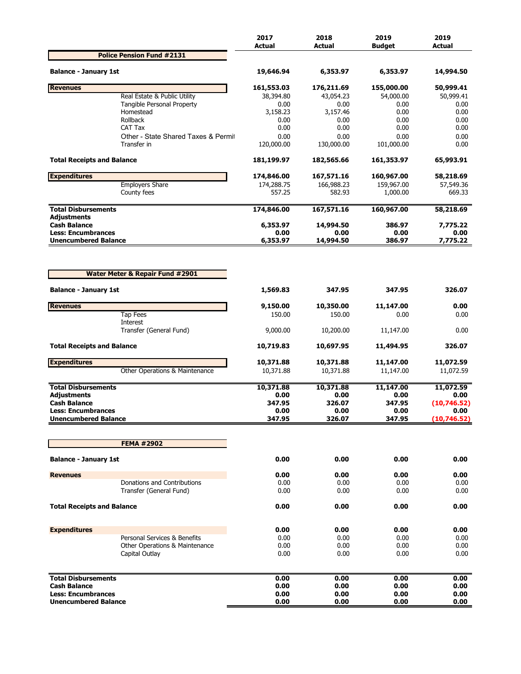|                                                          |                                                                                                                                                                                                                                                                                                                                                                                                                                                                                                                                                                                                                                                                                                                                                                                                                                                                                                                                                                                                                                                                                                                                                                                                                                                                                                                                                                                                                                                                                                                                                                                     | 2017       | 2018       | 2019       | 2019<br><b>Actual</b> |
|----------------------------------------------------------|-------------------------------------------------------------------------------------------------------------------------------------------------------------------------------------------------------------------------------------------------------------------------------------------------------------------------------------------------------------------------------------------------------------------------------------------------------------------------------------------------------------------------------------------------------------------------------------------------------------------------------------------------------------------------------------------------------------------------------------------------------------------------------------------------------------------------------------------------------------------------------------------------------------------------------------------------------------------------------------------------------------------------------------------------------------------------------------------------------------------------------------------------------------------------------------------------------------------------------------------------------------------------------------------------------------------------------------------------------------------------------------------------------------------------------------------------------------------------------------------------------------------------------------------------------------------------------------|------------|------------|------------|-----------------------|
|                                                          |                                                                                                                                                                                                                                                                                                                                                                                                                                                                                                                                                                                                                                                                                                                                                                                                                                                                                                                                                                                                                                                                                                                                                                                                                                                                                                                                                                                                                                                                                                                                                                                     |            |            |            |                       |
| <b>Balance - January 1st</b>                             |                                                                                                                                                                                                                                                                                                                                                                                                                                                                                                                                                                                                                                                                                                                                                                                                                                                                                                                                                                                                                                                                                                                                                                                                                                                                                                                                                                                                                                                                                                                                                                                     | 19,646.94  | 6,353.97   | 6,353.97   | 14,994.50             |
| <b>Revenues</b>                                          |                                                                                                                                                                                                                                                                                                                                                                                                                                                                                                                                                                                                                                                                                                                                                                                                                                                                                                                                                                                                                                                                                                                                                                                                                                                                                                                                                                                                                                                                                                                                                                                     | 161,553.03 | 176,211.69 | 155,000.00 | 50,999.41             |
|                                                          | <b>Actual</b><br><b>Actual</b><br><b>Budget</b><br><b>Police Pension Fund #2131</b><br>Real Estate & Public Utility<br>38,394.80<br>43,054.23<br>54,000.00<br>Tangible Personal Property<br>0.00<br>0.00<br>0.00<br>Homestead<br>3,158.23<br>3,157.46<br>0.00<br>Rollback<br>0.00<br>0.00<br>0.00<br>CAT Tax<br>0.00<br>0.00<br>0.00<br>Other - State Shared Taxes & Permit<br>0.00<br>0.00<br>0.00<br>Transfer in<br>120,000.00<br>130,000.00<br>101,000.00<br>181,199.97<br>182,565.66<br>161,353.97<br>174,846.00<br>167,571.16<br>160,967.00<br><b>Employers Share</b><br>174,288.75<br>166,988.23<br>159,967.00<br>557.25<br>582.93<br>County fees<br>1,000.00<br>174,846.00<br>167,571.16<br>160,967.00<br>6,353.97<br>14,994.50<br>386.97<br>0.00<br>0.00<br>0.00<br>14,994.50<br><b>Unencumbered Balance</b><br>6,353.97<br>386.97<br><b>Water Meter &amp; Repair Fund #2901</b><br>1,569.83<br>347.95<br>347.95<br>9,150.00<br>10,350.00<br>11,147.00<br><b>Tap Fees</b><br>0.00<br>150.00<br>150.00<br>Interest<br>Transfer (General Fund)<br>9,000.00<br>10,200.00<br>11,147.00<br>10,719.83<br>10,697.95<br>11,494.95<br>10,371.88<br>10,371.88<br>11,147.00<br>Other Operations & Maintenance<br>10,371.88<br>10,371.88<br>11,147.00<br>10,371.88<br>10,371.88<br>11,147.00<br>0.00<br>0.00<br>0.00<br>347.95<br>326.07<br>347.95<br>0.00<br>0.00<br>0.00<br>347.95<br>326.07<br>347.95<br><b>FEMA #2902</b><br>0.00<br>0.00<br>0.00<br>0.00<br>0.00<br>0.00<br>Donations and Contributions<br>0.00<br>0.00<br>0.00<br>0.00<br>0.00<br>0.00<br>Transfer (General Fund) | 50,999.41  |            |            |                       |
|                                                          |                                                                                                                                                                                                                                                                                                                                                                                                                                                                                                                                                                                                                                                                                                                                                                                                                                                                                                                                                                                                                                                                                                                                                                                                                                                                                                                                                                                                                                                                                                                                                                                     |            |            |            | 0.00<br>0.00          |
|                                                          |                                                                                                                                                                                                                                                                                                                                                                                                                                                                                                                                                                                                                                                                                                                                                                                                                                                                                                                                                                                                                                                                                                                                                                                                                                                                                                                                                                                                                                                                                                                                                                                     |            |            |            | 0.00                  |
|                                                          |                                                                                                                                                                                                                                                                                                                                                                                                                                                                                                                                                                                                                                                                                                                                                                                                                                                                                                                                                                                                                                                                                                                                                                                                                                                                                                                                                                                                                                                                                                                                                                                     |            |            |            | 0.00                  |
|                                                          |                                                                                                                                                                                                                                                                                                                                                                                                                                                                                                                                                                                                                                                                                                                                                                                                                                                                                                                                                                                                                                                                                                                                                                                                                                                                                                                                                                                                                                                                                                                                                                                     |            |            |            | 0.00                  |
|                                                          |                                                                                                                                                                                                                                                                                                                                                                                                                                                                                                                                                                                                                                                                                                                                                                                                                                                                                                                                                                                                                                                                                                                                                                                                                                                                                                                                                                                                                                                                                                                                                                                     |            |            |            | 0.00                  |
| <b>Total Receipts and Balance</b>                        |                                                                                                                                                                                                                                                                                                                                                                                                                                                                                                                                                                                                                                                                                                                                                                                                                                                                                                                                                                                                                                                                                                                                                                                                                                                                                                                                                                                                                                                                                                                                                                                     |            |            |            | 65,993.91             |
| <b>Expenditures</b>                                      |                                                                                                                                                                                                                                                                                                                                                                                                                                                                                                                                                                                                                                                                                                                                                                                                                                                                                                                                                                                                                                                                                                                                                                                                                                                                                                                                                                                                                                                                                                                                                                                     |            |            |            | 58,218.69             |
|                                                          |                                                                                                                                                                                                                                                                                                                                                                                                                                                                                                                                                                                                                                                                                                                                                                                                                                                                                                                                                                                                                                                                                                                                                                                                                                                                                                                                                                                                                                                                                                                                                                                     |            |            |            | 57,549.36             |
|                                                          |                                                                                                                                                                                                                                                                                                                                                                                                                                                                                                                                                                                                                                                                                                                                                                                                                                                                                                                                                                                                                                                                                                                                                                                                                                                                                                                                                                                                                                                                                                                                                                                     |            |            |            | 669.33                |
| <b>Total Disbursements</b><br><b>Adjustments</b>         |                                                                                                                                                                                                                                                                                                                                                                                                                                                                                                                                                                                                                                                                                                                                                                                                                                                                                                                                                                                                                                                                                                                                                                                                                                                                                                                                                                                                                                                                                                                                                                                     |            |            |            | 58,218.69             |
| <b>Cash Balance</b>                                      |                                                                                                                                                                                                                                                                                                                                                                                                                                                                                                                                                                                                                                                                                                                                                                                                                                                                                                                                                                                                                                                                                                                                                                                                                                                                                                                                                                                                                                                                                                                                                                                     |            |            |            | 7,775.22              |
| <b>Less: Encumbrances</b>                                |                                                                                                                                                                                                                                                                                                                                                                                                                                                                                                                                                                                                                                                                                                                                                                                                                                                                                                                                                                                                                                                                                                                                                                                                                                                                                                                                                                                                                                                                                                                                                                                     |            |            |            | 0.00<br>7,775.22      |
|                                                          |                                                                                                                                                                                                                                                                                                                                                                                                                                                                                                                                                                                                                                                                                                                                                                                                                                                                                                                                                                                                                                                                                                                                                                                                                                                                                                                                                                                                                                                                                                                                                                                     |            |            |            |                       |
| <b>Balance - January 1st</b>                             |                                                                                                                                                                                                                                                                                                                                                                                                                                                                                                                                                                                                                                                                                                                                                                                                                                                                                                                                                                                                                                                                                                                                                                                                                                                                                                                                                                                                                                                                                                                                                                                     |            |            |            | 326.07                |
| <b>Revenues</b>                                          |                                                                                                                                                                                                                                                                                                                                                                                                                                                                                                                                                                                                                                                                                                                                                                                                                                                                                                                                                                                                                                                                                                                                                                                                                                                                                                                                                                                                                                                                                                                                                                                     |            |            |            | 0.00                  |
|                                                          |                                                                                                                                                                                                                                                                                                                                                                                                                                                                                                                                                                                                                                                                                                                                                                                                                                                                                                                                                                                                                                                                                                                                                                                                                                                                                                                                                                                                                                                                                                                                                                                     |            |            |            | 0.00                  |
|                                                          |                                                                                                                                                                                                                                                                                                                                                                                                                                                                                                                                                                                                                                                                                                                                                                                                                                                                                                                                                                                                                                                                                                                                                                                                                                                                                                                                                                                                                                                                                                                                                                                     |            |            |            | 0.00                  |
| <b>Total Receipts and Balance</b>                        |                                                                                                                                                                                                                                                                                                                                                                                                                                                                                                                                                                                                                                                                                                                                                                                                                                                                                                                                                                                                                                                                                                                                                                                                                                                                                                                                                                                                                                                                                                                                                                                     |            |            |            | 326.07                |
| <b>Expenditures</b>                                      |                                                                                                                                                                                                                                                                                                                                                                                                                                                                                                                                                                                                                                                                                                                                                                                                                                                                                                                                                                                                                                                                                                                                                                                                                                                                                                                                                                                                                                                                                                                                                                                     |            |            |            | 11,072.59             |
|                                                          |                                                                                                                                                                                                                                                                                                                                                                                                                                                                                                                                                                                                                                                                                                                                                                                                                                                                                                                                                                                                                                                                                                                                                                                                                                                                                                                                                                                                                                                                                                                                                                                     |            |            |            | 11,072.59             |
| <b>Total Disbursements</b>                               |                                                                                                                                                                                                                                                                                                                                                                                                                                                                                                                                                                                                                                                                                                                                                                                                                                                                                                                                                                                                                                                                                                                                                                                                                                                                                                                                                                                                                                                                                                                                                                                     |            |            |            | 11,072.59             |
| Adjustments                                              |                                                                                                                                                                                                                                                                                                                                                                                                                                                                                                                                                                                                                                                                                                                                                                                                                                                                                                                                                                                                                                                                                                                                                                                                                                                                                                                                                                                                                                                                                                                                                                                     |            |            |            | 0.00                  |
| <b>Cash Balance</b>                                      |                                                                                                                                                                                                                                                                                                                                                                                                                                                                                                                                                                                                                                                                                                                                                                                                                                                                                                                                                                                                                                                                                                                                                                                                                                                                                                                                                                                                                                                                                                                                                                                     |            |            |            | (10,746.52)           |
| <b>Less: Encumbrances</b><br><b>Unencumbered Balance</b> |                                                                                                                                                                                                                                                                                                                                                                                                                                                                                                                                                                                                                                                                                                                                                                                                                                                                                                                                                                                                                                                                                                                                                                                                                                                                                                                                                                                                                                                                                                                                                                                     |            |            |            | 0.00<br>(10, 746.52)  |
|                                                          |                                                                                                                                                                                                                                                                                                                                                                                                                                                                                                                                                                                                                                                                                                                                                                                                                                                                                                                                                                                                                                                                                                                                                                                                                                                                                                                                                                                                                                                                                                                                                                                     |            |            |            |                       |
|                                                          |                                                                                                                                                                                                                                                                                                                                                                                                                                                                                                                                                                                                                                                                                                                                                                                                                                                                                                                                                                                                                                                                                                                                                                                                                                                                                                                                                                                                                                                                                                                                                                                     |            |            |            |                       |
| <b>Balance - January 1st</b>                             |                                                                                                                                                                                                                                                                                                                                                                                                                                                                                                                                                                                                                                                                                                                                                                                                                                                                                                                                                                                                                                                                                                                                                                                                                                                                                                                                                                                                                                                                                                                                                                                     |            |            |            | 0.00                  |
| <b>Revenues</b>                                          |                                                                                                                                                                                                                                                                                                                                                                                                                                                                                                                                                                                                                                                                                                                                                                                                                                                                                                                                                                                                                                                                                                                                                                                                                                                                                                                                                                                                                                                                                                                                                                                     |            |            |            | 0.00                  |
|                                                          |                                                                                                                                                                                                                                                                                                                                                                                                                                                                                                                                                                                                                                                                                                                                                                                                                                                                                                                                                                                                                                                                                                                                                                                                                                                                                                                                                                                                                                                                                                                                                                                     |            |            |            | 0.00                  |
|                                                          |                                                                                                                                                                                                                                                                                                                                                                                                                                                                                                                                                                                                                                                                                                                                                                                                                                                                                                                                                                                                                                                                                                                                                                                                                                                                                                                                                                                                                                                                                                                                                                                     |            |            |            | 0.00                  |
| <b>Total Receipts and Balance</b>                        |                                                                                                                                                                                                                                                                                                                                                                                                                                                                                                                                                                                                                                                                                                                                                                                                                                                                                                                                                                                                                                                                                                                                                                                                                                                                                                                                                                                                                                                                                                                                                                                     | 0.00       | 0.00       | 0.00       | 0.00                  |
| <b>Expenditures</b>                                      |                                                                                                                                                                                                                                                                                                                                                                                                                                                                                                                                                                                                                                                                                                                                                                                                                                                                                                                                                                                                                                                                                                                                                                                                                                                                                                                                                                                                                                                                                                                                                                                     | 0.00       | 0.00       | 0.00       | 0.00                  |
|                                                          | Personal Services & Benefits                                                                                                                                                                                                                                                                                                                                                                                                                                                                                                                                                                                                                                                                                                                                                                                                                                                                                                                                                                                                                                                                                                                                                                                                                                                                                                                                                                                                                                                                                                                                                        | 0.00       | 0.00       | 0.00       | 0.00                  |
|                                                          | Other Operations & Maintenance                                                                                                                                                                                                                                                                                                                                                                                                                                                                                                                                                                                                                                                                                                                                                                                                                                                                                                                                                                                                                                                                                                                                                                                                                                                                                                                                                                                                                                                                                                                                                      | 0.00       | 0.00       | 0.00       | 0.00                  |
|                                                          | Capital Outlay                                                                                                                                                                                                                                                                                                                                                                                                                                                                                                                                                                                                                                                                                                                                                                                                                                                                                                                                                                                                                                                                                                                                                                                                                                                                                                                                                                                                                                                                                                                                                                      | 0.00       | 0.00       | 0.00       | 0.00                  |
| <b>Total Disbursements</b>                               |                                                                                                                                                                                                                                                                                                                                                                                                                                                                                                                                                                                                                                                                                                                                                                                                                                                                                                                                                                                                                                                                                                                                                                                                                                                                                                                                                                                                                                                                                                                                                                                     | 0.00       | 0.00       | 0.00       | 0.00                  |
| <b>Cash Balance</b>                                      |                                                                                                                                                                                                                                                                                                                                                                                                                                                                                                                                                                                                                                                                                                                                                                                                                                                                                                                                                                                                                                                                                                                                                                                                                                                                                                                                                                                                                                                                                                                                                                                     | 0.00       | 0.00       | 0.00       | 0.00                  |
| <b>Less: Encumbrances</b>                                |                                                                                                                                                                                                                                                                                                                                                                                                                                                                                                                                                                                                                                                                                                                                                                                                                                                                                                                                                                                                                                                                                                                                                                                                                                                                                                                                                                                                                                                                                                                                                                                     | 0.00       | 0.00       | 0.00       | 0.00                  |
| <b>Unencumbered Balance</b>                              |                                                                                                                                                                                                                                                                                                                                                                                                                                                                                                                                                                                                                                                                                                                                                                                                                                                                                                                                                                                                                                                                                                                                                                                                                                                                                                                                                                                                                                                                                                                                                                                     | 0.00       | 0.00       | 0.00       | 0.00                  |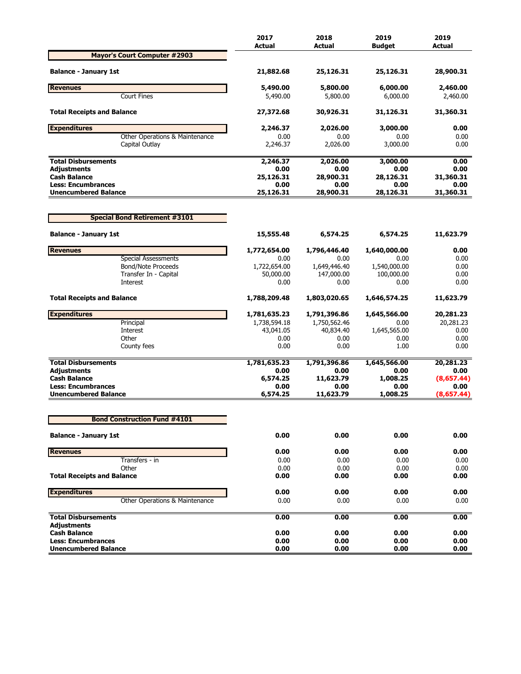|                                                          | 2017<br><b>Actual</b> | 2018<br>Actual    | 2019<br><b>Budaet</b> | 2019<br><b>Actual</b> |
|----------------------------------------------------------|-----------------------|-------------------|-----------------------|-----------------------|
| <b>Mayor's Court Computer #2903</b>                      |                       |                   |                       |                       |
| <b>Balance - January 1st</b>                             | 21,882.68             | 25,126.31         | 25,126.31             | 28,900.31             |
| <b>Revenues</b>                                          | 5,490.00              | 5,800.00          | 6,000.00              | 2,460.00              |
| <b>Court Fines</b>                                       | 5,490.00              | 5,800.00          | 6,000.00              | 2,460.00              |
| <b>Total Receipts and Balance</b>                        | 27,372.68             | 30,926.31         | 31,126.31             | 31,360.31             |
| <b>Expenditures</b>                                      | 2,246.37              | 2,026.00          | 3,000.00              | 0.00                  |
| Other Operations & Maintenance                           | 0.00                  | 0.00              | 0.00                  | 0.00                  |
| Capital Outlay                                           | 2,246.37              | 2,026.00          | 3,000.00              | 0.00                  |
| <b>Total Disbursements</b>                               | 2,246.37              | 2,026.00          | 3,000.00              | 0.00                  |
| <b>Adjustments</b>                                       | 0.00                  | 0.00              | 0.00                  | 0.00                  |
| <b>Cash Balance</b>                                      | 25,126.31             | 28,900.31         | 28,126.31             | 31,360.31             |
| <b>Less: Encumbrances</b><br><b>Unencumbered Balance</b> | 0.00<br>25,126.31     | 0.00<br>28,900.31 | 0.00<br>28,126.31     | 0.00<br>31,360.31     |
|                                                          |                       |                   |                       |                       |
| <b>Special Bond Retirement #3101</b>                     |                       |                   |                       |                       |
| <b>Balance - January 1st</b>                             | 15,555.48             | 6,574.25          | 6,574.25              | 11,623.79             |
| <b>Revenues</b>                                          | 1,772,654.00          | 1,796,446.40      | 1,640,000.00          | 0.00                  |
| <b>Special Assessments</b>                               | 0.00                  | 0.00              | 0.00                  | 0.00                  |
| <b>Bond/Note Proceeds</b>                                | 1,722,654.00          | 1,649,446.40      | 1,540,000.00          | 0.00                  |
| Transfer In - Capital                                    | 50,000.00             | 147,000.00        | 100,000.00            | 0.00                  |
| Interest                                                 | 0.00                  | 0.00              | 0.00                  | 0.00                  |
| <b>Total Receipts and Balance</b>                        | 1,788,209.48          | 1,803,020.65      | 1,646,574.25          | 11,623.79             |
| <b>Expenditures</b>                                      | 1,781,635.23          | 1,791,396.86      | 1,645,566.00          | 20,281.23             |
| Principal                                                | 1,738,594.18          | 1,750,562.46      | 0.00                  | 20,281.23             |
| Interest                                                 | 43,041.05             | 40,834.40         | 1,645,565.00          | 0.00                  |
| Other                                                    | 0.00                  | 0.00              | 0.00                  | 0.00                  |
| County fees                                              | 0.00                  | 0.00              | 1.00                  | 0.00                  |
| <b>Total Disbursements</b>                               | 1,781,635.23          | 1,791,396.86      | 1,645,566.00          | 20,281.23             |
| <b>Adjustments</b>                                       | 0.00                  | 0.00              | 0.00                  | 0.00                  |
| <b>Cash Balance</b>                                      | 6,574.25              | 11,623.79         | 1,008.25              | (8,657.44)            |
| <b>Less: Encumbrances</b>                                | 0.00                  | 0.00              | 0.00                  | 0.00                  |
| <b>Unencumbered Balance</b>                              | 6,574.25              | 11,623.79         | 1,008.25              | (8,657.44)            |
| <b>Bond Construction Fund #4101</b>                      |                       |                   |                       |                       |
|                                                          |                       |                   |                       |                       |
| <b>Balance - January 1st</b>                             | 0.00                  | 0.00              | 0.00                  | 0.00                  |
| <b>Revenues</b>                                          | 0.00                  | 0.00              | 0.00                  | 0.00                  |
| Transfers - in                                           | 0.00                  | 0.00              | 0.00                  | 0.00                  |
| Other                                                    | 0.00                  | 0.00              | 0.00                  | 0.00                  |
| <b>Total Receipts and Balance</b>                        | 0.00                  | 0.00              | 0.00                  | 0.00                  |
| <b>Expenditures</b>                                      | 0.00                  | 0.00              | 0.00                  | 0.00                  |
| Other Operations & Maintenance                           | 0.00                  | 0.00              | 0.00                  | 0.00                  |
| <b>Total Disbursements</b>                               | 0.00                  | 0.00              | 0.00                  | 0.00                  |
| <b>Adjustments</b>                                       |                       |                   |                       |                       |
| <b>Cash Balance</b>                                      | 0.00                  | 0.00              | 0.00                  | 0.00                  |
| <b>Less: Encumbrances</b><br><b>Unencumbered Balance</b> | 0.00<br>0.00          | 0.00<br>0.00      | 0.00<br>0.00          | 0.00<br>0.00          |
|                                                          |                       |                   |                       |                       |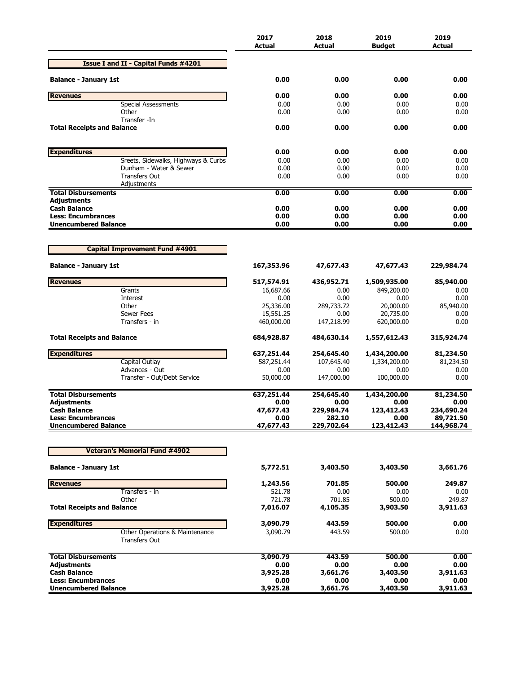|                                                        | 2017<br><b>Actual</b>   | 2018<br><b>Actual</b> | 2019<br>Budget          | 2019<br><b>Actual</b> |
|--------------------------------------------------------|-------------------------|-----------------------|-------------------------|-----------------------|
| <b>Issue I and II - Capital Funds #4201</b>            |                         |                       |                         |                       |
| <b>Balance - January 1st</b>                           | 0.00                    | 0.00                  | 0.00                    | 0.00                  |
| <b>Revenues</b>                                        | 0.00                    | 0.00                  | 0.00                    | 0.00                  |
| <b>Special Assessments</b>                             | 0.00                    | 0.00                  | 0.00                    | 0.00                  |
| Other                                                  | 0.00                    | 0.00                  | 0.00                    | 0.00                  |
| Transfer -In<br><b>Total Receipts and Balance</b>      | 0.00                    | 0.00                  | 0.00                    | 0.00                  |
| <b>Expenditures</b>                                    | 0.00                    | 0.00                  | 0.00                    | 0.00                  |
| Sreets, Sidewalks, Highways & Curbs                    | 0.00                    | 0.00                  | 0.00                    | 0.00                  |
| Dunham - Water & Sewer                                 | 0.00                    | 0.00                  | 0.00                    | 0.00                  |
| <b>Transfers Out</b>                                   | 0.00                    | 0.00                  | 0.00                    | 0.00                  |
| Adjustments                                            |                         |                       |                         |                       |
| <b>Total Disbursements</b><br><b>Adiustments</b>       | 0.00                    | 0.00                  | 0.00                    | 0.00                  |
| <b>Cash Balance</b>                                    | 0.00                    | 0.00                  | 0.00                    | 0.00                  |
| <b>Less: Encumbrances</b>                              | 0.00                    | 0.00                  | 0.00                    | 0.00                  |
| <b>Unencumbered Balance</b>                            | 0.00                    | 0.00                  | 0.00                    | 0.00                  |
|                                                        |                         |                       |                         |                       |
| <b>Capital Improvement Fund #4901</b>                  |                         |                       |                         |                       |
| <b>Balance - January 1st</b>                           | 167,353.96              | 47,677.43             | 47,677.43               | 229,984.74            |
| <b>Revenues</b>                                        | 517,574.91              | 436,952.71            | 1,509,935.00            | 85,940.00             |
| Grants                                                 | 16,687.66               | 0.00                  | 849,200.00              | 0.00                  |
| Interest                                               | 0.00                    | 0.00                  | 0.00                    | 0.00                  |
| Other                                                  | 25,336.00               | 289,733.72            | 20,000.00               | 85,940.00             |
| <b>Sewer Fees</b><br>Transfers - in                    | 15,551.25<br>460,000.00 | 0.00<br>147,218.99    | 20,735.00<br>620,000.00 | 0.00<br>0.00          |
| <b>Total Receipts and Balance</b>                      | 684,928.87              | 484,630.14            | 1,557,612.43            | 315,924.74            |
|                                                        |                         |                       |                         |                       |
| <b>Expenditures</b>                                    | 637,251.44              | 254,645.40            | 1,434,200.00            | 81,234.50             |
| Capital Outlay<br>Advances - Out                       | 587,251.44              | 107,645.40            | 1,334,200.00            | 81,234.50             |
| Transfer - Out/Debt Service                            | 0.00<br>50,000.00       | 0.00<br>147,000.00    | 0.00<br>100,000.00      | 0.00<br>0.00          |
| <b>Total Disbursements</b>                             |                         |                       |                         |                       |
| <b>Adiustments</b>                                     | 637,251.44<br>0.00      | 254,645.40<br>0.00    | 1,434,200.00<br>0.00    | 81,234.50<br>0.00     |
| <b>Cash Balance</b>                                    | 47,677.43               | 229,984.74            | 123,412.43              | 234,690.24            |
| <b>Less: Encumbrances</b>                              | 0.00                    | 282.10                | 0.00                    | 89,721.50             |
| <b>Unencumbered Balance</b>                            | 47,677.43               | 229,702.64            | 123,412.43              | 144,968.74            |
|                                                        |                         |                       |                         |                       |
| <b>Veteran's Memorial Fund #4902</b>                   |                         |                       |                         |                       |
| <b>Balance - January 1st</b>                           | 5,772.51                | 3,403.50              | 3,403.50                | 3,661.76              |
| <b>Revenues</b>                                        | 1,243.56                | 701.85                | 500.00                  | 249.87                |
| Transfers - in                                         | 521.78                  | 0.00                  | 0.00                    | 0.00                  |
| Other                                                  | 721.78                  | 701.85                | 500.00                  | 249.87                |
| <b>Total Receipts and Balance</b>                      | 7,016.07                | 4,105.35              | 3,903.50                | 3,911.63              |
| <b>Expenditures</b>                                    | 3,090.79                | 443.59                | 500.00                  | 0.00                  |
| Other Operations & Maintenance<br><b>Transfers Out</b> | 3,090.79                | 443.59                | 500.00                  | 0.00                  |
| <b>Total Disbursements</b>                             | 3,090.79                | 443.59                | 500.00                  | 0.00                  |
| <b>Adjustments</b>                                     | 0.00                    | 0.00                  | 0.00                    | 0.00                  |
| <b>Cash Balance</b>                                    | 3,925.28                | 3,661.76              | 3,403.50                | 3,911.63              |
| <b>Less: Encumbrances</b>                              | 0.00                    | 0.00                  | 0.00                    | 0.00                  |
| <b>Unencumbered Balance</b>                            | 3,925.28                | 3,661.76              | 3,403.50                | 3,911.63              |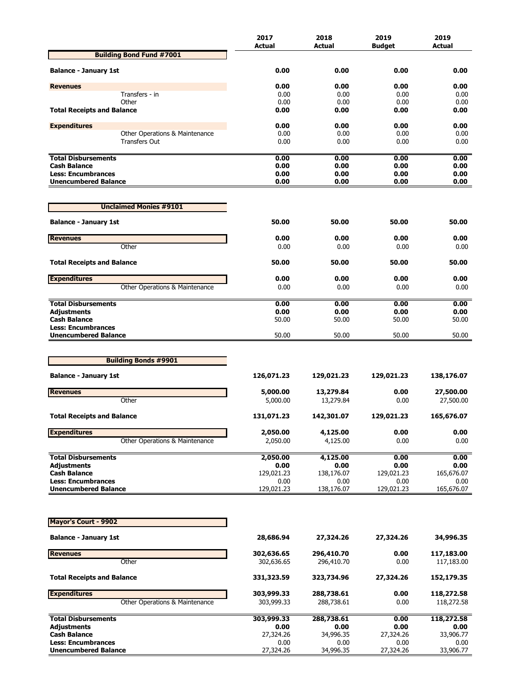|                                                          | 2017              | 2018              | 2019              | 2019              |
|----------------------------------------------------------|-------------------|-------------------|-------------------|-------------------|
| <b>Building Bond Fund #7001</b>                          | <b>Actual</b>     | Actual            | <b>Budget</b>     | Actual            |
|                                                          |                   |                   |                   |                   |
| <b>Balance - January 1st</b>                             | 0.00              | 0.00              | 0.00              | 0.00              |
| <b>Revenues</b>                                          | 0.00              | 0.00              | 0.00              | 0.00              |
| Transfers - in                                           | 0.00              | 0.00              | 0.00              | 0.00              |
| Other                                                    | 0.00              | 0.00              | 0.00              | 0.00              |
| <b>Total Receipts and Balance</b>                        | 0.00              | 0.00              | 0.00              | 0.00              |
| <b>Expenditures</b>                                      | 0.00              | 0.00              | 0.00              | 0.00              |
| Other Operations & Maintenance                           | 0.00              | 0.00              | 0.00              | 0.00              |
| <b>Transfers Out</b>                                     | 0.00              | 0.00              | 0.00              | 0.00              |
| <b>Total Disbursements</b>                               | 0.00              | 0.00              | 0.00              | 0.00              |
| <b>Cash Balance</b>                                      | 0.00              | 0.00              | 0.00              | 0.00              |
| <b>Less: Encumbrances</b>                                | 0.00              | 0.00              | 0.00              | 0.00              |
| <b>Unencumbered Balance</b>                              | 0.00              | 0.00              | 0.00              | 0.00              |
| <b>Unclaimed Monies #9101</b>                            |                   |                   |                   |                   |
|                                                          |                   |                   |                   |                   |
| <b>Balance - January 1st</b>                             | 50.00             | 50.00             | 50.00             | 50.00             |
| <b>Revenues</b>                                          | 0.00              | 0.00              | 0.00              | 0.00              |
| Other                                                    | 0.00              | 0.00              | 0.00              | 0.00              |
| <b>Total Receipts and Balance</b>                        | 50.00             | 50.00             | 50.00             | 50.00             |
|                                                          |                   |                   |                   |                   |
| <b>Expenditures</b>                                      | 0.00              | 0.00              | 0.00              | 0.00              |
| Other Operations & Maintenance                           | 0.00              | 0.00              | 0.00              | 0.00              |
| <b>Total Disbursements</b>                               | 0.00              | 0.00              | 0.00              | 0.00              |
| <b>Adjustments</b>                                       | 0.00              | 0.00              | 0.00              | 0.00              |
| <b>Cash Balance</b>                                      | 50.00             | 50.00             | 50.00             | 50.00             |
| <b>Less: Encumbrances</b><br><b>Unencumbered Balance</b> | 50.00             | 50.00             | 50.00             | 50.00             |
|                                                          |                   |                   |                   |                   |
|                                                          |                   |                   |                   |                   |
| <b>Building Bonds #9901</b>                              |                   |                   |                   |                   |
| <b>Balance - January 1st</b>                             | 126,071.23        | 129,021.23        | 129,021.23        | 138,176.07        |
| <b>Revenues</b>                                          | 5,000.00          | 13,279.84         | 0.00              | 27,500.00         |
| Other                                                    | 5,000.00          | 13,279.84         | 0.00              | 27,500.00         |
| <b>Total Receipts and Balance</b>                        | 131,071.23        | 142,301.07        | 129,021.23        | 165,676.07        |
|                                                          |                   |                   |                   |                   |
| <b>Expenditures</b>                                      | 2,050.00          | 4,125.00          | 0.00              | 0.00              |
| Other Operations & Maintenance                           | 2,050.00          | 4,125.00          | 0.00              | 0.00              |
| <b>Total Disbursements</b>                               | 2,050.00          | 4,125.00          | 0.00              | 0.00              |
| <b>Adjustments</b>                                       | 0.00              | 0.00              | 0.00              | 0.00              |
| <b>Cash Balance</b>                                      | 129,021.23        | 138,176.07        | 129,021.23        | 165,676.07        |
| <b>Less: Encumbrances</b>                                | 0.00              | 0.00              | 0.00              | 0.00              |
| <b>Unencumbered Balance</b>                              | 129,021.23        | 138,176.07        | 129,021.23        | 165,676.07        |
|                                                          |                   |                   |                   |                   |
| <b>Mayor's Court - 9902</b>                              |                   |                   |                   |                   |
| <b>Balance - January 1st</b>                             | 28,686.94         | 27,324.26         | 27,324.26         | 34,996.35         |
| <b>Revenues</b>                                          | 302,636.65        | 296,410.70        | 0.00              | 117,183.00        |
| Other                                                    | 302,636.65        | 296,410.70        | 0.00              | 117,183.00        |
| <b>Total Receipts and Balance</b>                        | 331,323.59        | 323,734.96        | 27,324.26         | 152,179.35        |
| <b>Expenditures</b>                                      | 303,999.33        | 288,738.61        | 0.00              | 118,272.58        |
| Other Operations & Maintenance                           | 303,999.33        | 288,738.61        | 0.00              | 118,272.58        |
| <b>Total Disbursements</b>                               | 303,999.33        | 288,738.61        | 0.00              | 118,272.58        |
| <b>Adjustments</b>                                       | 0.00              | 0.00              | 0.00              | 0.00              |
| <b>Cash Balance</b><br><b>Less: Encumbrances</b>         | 27,324.26<br>0.00 | 34,996.35<br>0.00 | 27,324.26<br>0.00 | 33,906.77<br>0.00 |
| <b>Unencumbered Balance</b>                              | 27,324.26         | 34,996.35         | 27,324.26         | 33,906.77         |